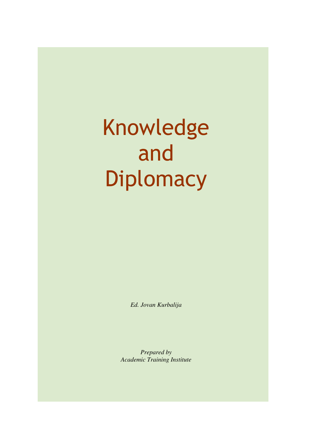# Knowledge and Diplomacy

*Ed. Jovan Kurbalija*

*Prepared by Academic Training Institute*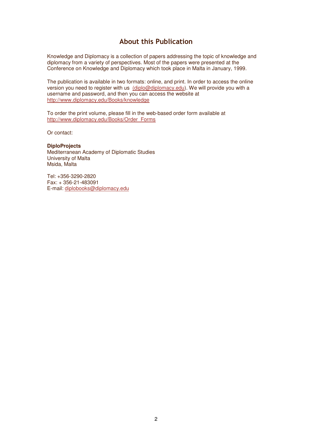# About this Publication

Knowledge and Diplomacy is a collection of papers addressing the topic of knowledge and diplomacy from a variety of perspectives. Most of the papers were presented at the Conference on Knowledge and Diplomacy which took place in Malta in January, 1999.

The publication is available in two formats: online, and print. In order to access the online version you need to register with us (diplo@diplomacy.edu). We will provide you with a username and password, and then you can access the website at http://www.diplomacy.edu/Books/knowledge

To order the print volume, please fill in the web-based order form available at http://www.diplomacy.edu/Books/Order\_Forms

Or contact:

**DiploProjects** Mediterranean Academy of Diplomatic Studies University of Malta Msida, Malta

Tel: +356-3290-2820 Fax: + 356-21-483091 E-mail: diplobooks@diplomacy.edu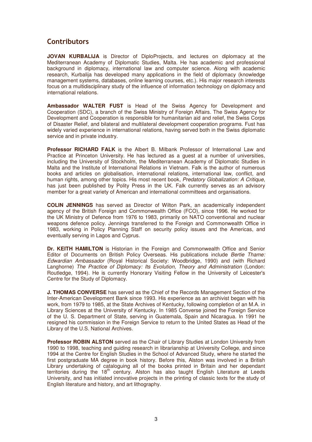# **Contributors**

**JOVAN KURBALIJA** is Director of DiploProjects, and lectures on diplomacy at the Mediterranean Academy of Diplomatic Studies, Malta. He has academic and professional background in diplomacy, international law and computer science. Along with academic research, Kurbalija has developed many applications in the field of diplomacy (knowledge management systems, databases, online learning courses, etc.). His major research interests focus on a multidisciplinary study of the influence of information technology on diplomacy and international relations.

**Ambassador WALTER FUST** is Head of the Swiss Agency for Development and Cooperation (SDC), a branch of the Swiss Ministry of Foreign Affairs. The Swiss Agency for Development and Cooperation is responsible for humanitarian aid and relief, the Swiss Corps of Disaster Relief, and bilateral and multilateral development cooperation programs. Fust has widely varied experience in international relations, having served both in the Swiss diplomatic service and in private industry.

**Professor RICHARD FALK** is the Albert B. Milbank Professor of International Law and Practice at Princeton University. He has lectured as a guest at a number of universities, including the University of Stockholm, the Mediterranean Academy of Diplomatic Studies in Malta and the Institute of International Relations in Vietnam. Falk is the author of numerous books and articles on globalisation, international relations, international law, conflict, and human rights, among other topics. His most recent book, Predatory Globalization: A Critique, has just been published by Polity Press in the UK. Falk currently serves as an advisory member for a great variety of American and international committees and organisations.

**COLIN JENNINGS** has served as Director of Wilton Park, an academically independent agency of the British Foreign and Commonwealth Office (FCO), since 1996. He worked for the UK Ministry of Defence from 1976 to 1983, primarily on NATO conventional and nuclear weapons defence policy. Jennings transferred to the Foreign and Commonwealth Office in 1983, working in Policy Planning Staff on security policy issues and the Americas, and eventually serving in Lagos and Cyprus.

**Dr. KEITH HAMILTON** is Historian in the Foreign and Commonwealth Office and Senior Editor of Documents on British Policy Overseas. His publications include Bertie Thame: Edwardian Ambassador (Royal Historical Society: Woodbridge, 1990) and (with Richard Langhorne) The Practice of Diplomacy: Its Evolution, Theory and Administration (London: Routledge, 1994). He is currently Honorary Visiting Fellow in the University of Leicester's Centre for the Study of Diplomacy.

**J. THOMAS CONVERSE** has served as the Chief of the Records Management Section of the Inter-American Development Bank since 1993. His experience as an archivist began with his work, from 1979 to 1985, at the State Archives of Kentucky, following completion of an M.A. in Library Sciences at the University of Kentucky. In 1985 Converse joined the Foreign Service of the U. S. Department of State, serving in Guatemala, Spain and Nicaragua. In 1991 he resigned his commission in the Foreign Service to return to the United States as Head of the Library of the U.S. National Archives.

**Professor ROBIN ALSTON** served as the Chair of Library Studies at London University from 1990 to 1998, teaching and guiding research in librarianship at University College, and since 1994 at the Centre for English Studies in the School of Advanced Study, where he started the first postgraduate MA degree in book history. Before this, Alston was involved in a British Library undertaking of cataloguing all of the books printed in Britain and her dependant territories during the 18<sup>th</sup> century. Alston has also taught English Literature at Leeds University, and has initiated innovative projects in the printing of classic texts for the study of English literature and history, and art lithography.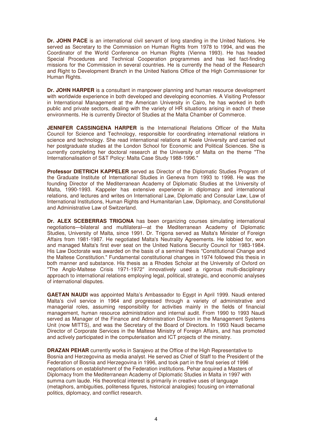**Dr. JOHN PACE** is an international civil servant of long standing in the United Nations. He served as Secretary to the Commission on Human Rights from 1978 to 1994, and was the Coordinator of the World Conference on Human Rights (Vienna 1993). He has headed Special Procedures and Technical Cooperation programmes and has led fact-finding missions for the Commission in several countries. He is currently the head of the Research and Right to Development Branch in the United Nations Office of the High Commissioner for Human Rights.

**Dr. JOHN HARPER** is a consultant in manpower planning and human resource development with worldwide experience in both developed and developing economies. A Visiting Professor in International Management at the American University in Cairo, he has worked in both public and private sectors, dealing with the variety of HR situations arising in each of these environments. He is currently Director of Studies at the Malta Chamber of Commerce.

**JENNIFER CASSINGENA HARPER** is the International Relations Officer of the Malta Council for Science and Technology, responsible for coordinating international relations in science and technology. She read international relations at Keele University and carried out her postgraduate studies at the London School for Economic and Political Sciences. She is currently completing her doctoral research at the University of Malta on the theme "The Internationalisation of S&T Policy: Malta Case Study 1988-1996."

**Professor DIETRICH KAPPELER** served as Director of the Diplomatic Studies Program of the Graduate Institute of International Studies in Geneva from 1993 to 1998. He was the founding Director of the Mediterranean Academy of Diplomatic Studies at the University of Malta, 1990-1993. Kappeler has extensive experience in diplomacy and international relations, and lectures and writes on International Law, Diplomatic and Consular Law, Law of International Institutions, Human Rights and Humanitarian Law, Diplomacy, and Constitutional and Administrative Law of Switzerland.

**Dr. ALEX SCEBERRAS TRIGONA** has been organizing courses simulating international negotiations—bilateral and multilateral—at the Mediterranean Academy of Diplomatic Studies, University of Malta, since 1991. Dr. Trigona served as Malta's Minister of Foreign Affairs from 1981-1987. He negotiated Malta's Neutrality Agreements. He lobbied for, won and managed Malta's first ever seat on the United Nations Security Council for 1983-1984. His Law Doctorate was awarded on the basis of a seminal thesis "Constitutional Change and the Maltese Constitution." Fundamental constitutional changes in 1974 followed this thesis in both manner and substance. His thesis as a Rhodes Scholar at the University of Oxford on "The Anglo-Maltese Crisis 1971-1972" innovatively used a rigorous multi-disciplinary approach to international relations employing legal, political, strategic, and economic analyses of international disputes.

**GAETAN NAUDI** was appointed Malta's Ambassador to Egypt in April 1999. Naudi entered Malta's civil service in 1964 and progressed through a variety of administrative and managerial roles, assuming responsibility for activities mainly in the fields of financial management, human resource administration and internal audit. From 1990 to 1993 Naudi served as Manager of the Finance and Administration Division in the Management Systems Unit (now MITTS), and was the Secretary of the Board of Directors. In 1993 Naudi became Director of Corporate Services in the Maltese Ministry of Foreign Affairs, and has promoted and actively participated in the computerisation and ICT projects of the ministry.

**DRAZAN PEHAR** currently works in Sarajevo at the Office of the High Representative to Bosnia and Herzegovina as media analyst. He served as Chief of Staff to the President of the Federation of Bosnia and Herzegovina in 1996, and took part in the final series of 1996 negotiations on establishment of the Federation institutions. Pehar acquired a Masters of Diplomacy from the Mediterranean Academy of Diplomatic Studies in Malta in 1997 with summa cum laude. His theoretical interest is primarily in creative uses of language (metaphors, ambiguities, politeness figures, historical analogies) focusing on international politics, diplomacy, and conflict research.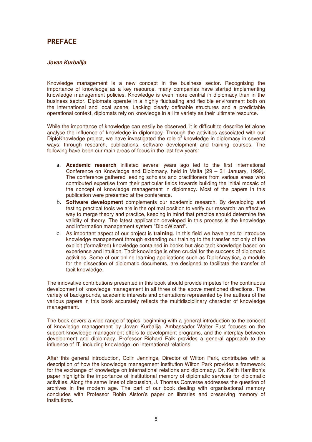# PREFACE

## **Jovan Kurbalija**

Knowledge management is a new concept in the business sector. Recognising the importance of knowledge as a key resource, many companies have started implementing knowledge management policies. Knowledge is even more central in diplomacy than in the business sector. Diplomats operate in a highly fluctuating and flexible environment both on the international and local scene. Lacking clearly definable structures and a predictable operational context, diplomats rely on knowledge in all its variety as their ultimate resource.

While the importance of knowledge can easily be observed, it is difficult to describe let alone analyse the influence of knowledge in diplomacy. Through the activities associated with our DiploKnowledge project, we have investigated the role of knowledge in diplomacy in several ways: through research, publications, software development and training courses. The following have been our main areas of focus in the last few years:

- a. **Academic research** initiated several years ago led to the first International Conference on Knowledge and Diplomacy, held in Malta (29 – 31 January, 1999). The conference gathered leading scholars and practitioners from various areas who contributed expertise from their particular fields towards building the initial mosaic of the concept of knowledge management in diplomacy. Most of the papers in this publication were presented at the conference.
- b. **Software development** complements our academic research. By developing and testing practical tools we are in the optimal position to verify our research: an effective way to merge theory and practice, keeping in mind that practice should determine the validity of theory. The latest application developed in this process is the knowledge and information management system "DiploWizard".
- c. As important aspect of our project is **training**. In this field we have tried to introduce knowledge management through extending our training to the transfer not only of the explicit (formalized) knowledge contained in books but also tacit knowledge based on experience and intuition. Tacit knowledge is often crucial for the success of diplomatic activities. Some of our online learning applications such as DiploAnayltica, a module for the dissection of diplomatic documents, are designed to facilitate the transfer of tacit knowledge.

The innovative contributions presented in this book should provide impetus for the continuous development of knowledge management in all three of the above mentioned directions. The variety of backgrounds, academic interests and orientations represented by the authors of the various papers in this book accurately reflects the multidisciplinary character of knowledge management.

The book covers a wide range of topics, beginning with a general introduction to the concept of knowledge management by Jovan Kurbalija. Ambassador Walter Fust focuses on the support knowledge management offers to development programs, and the interplay between development and diplomacy. Professor Richard Falk provides a general approach to the influence of IT, including knowledge, on international relations.

After this general introduction, Colin Jennings, Director of Wilton Park, contributes with a description of how the knowledge management institution Wilton Park provides a framework for the exchange of knowledge on international relations and diplomacy. Dr. Keith Hamilton's paper highlights the importance of institutional memory of diplomatic services for diplomatic activities. Along the same lines of discussion, J. Thomas Converse addresses the question of archives in the modern age. The part of our book dealing with organisational memory concludes with Professor Robin Alston's paper on libraries and preserving memory of institutions.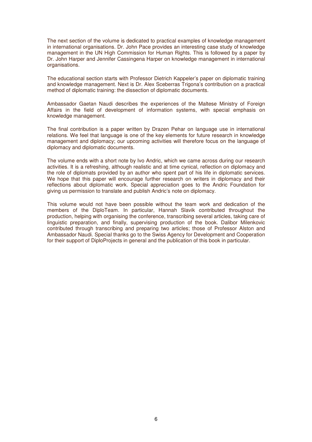The next section of the volume is dedicated to practical examples of knowledge management in international organisations. Dr. John Pace provides an interesting case study of knowledge management in the UN High Commission for Human Rights. This is followed by a paper by Dr. John Harper and Jennifer Cassingena Harper on knowledge management in international organisations.

The educational section starts with Professor Dietrich Kappeler's paper on diplomatic training and knowledge management. Next is Dr. Alex Sceberras Trigona's contribution on a practical method of diplomatic training: the dissection of diplomatic documents.

Ambassador Gaetan Naudi describes the experiences of the Maltese Ministry of Foreign Affairs in the field of development of information systems, with special emphasis on knowledge management.

The final contribution is a paper written by Drazen Pehar on language use in international relations. We feel that language is one of the key elements for future research in knowledge management and diplomacy; our upcoming activities will therefore focus on the language of diplomacy and diplomatic documents.

The volume ends with a short note by Ivo Andric, which we came across during our research activities. It is a refreshing, although realistic and at time cynical, reflection on diplomacy and the role of diplomats provided by an author who spent part of his life in diplomatic services. We hope that this paper will encourage further research on writers in diplomacy and their reflections about diplomatic work. Special appreciation goes to the Andric Foundation for giving us permission to translate and publish Andric's note on diplomacy.

This volume would not have been possible without the team work and dedication of the members of the DiploTeam. In particular, Hannah Slavik contributed throughout the production, helping with organising the conference, transcribing several articles, taking care of linguistic preparation, and finally, supervising production of the book. Dalibor Milenkovic contributed through transcribing and preparing two articles; those of Professor Alston and Ambassador Naudi. Special thanks go to the Swiss Agency for Development and Cooperation for their support of DiploProjects in general and the publication of this book in particular.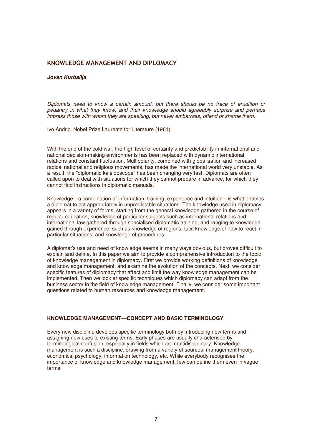## KNOWLEDGE MANAGEMENT AND DIPLOMACY

## **Jovan Kurbalija**

Diplomats need to know a certain amount, but there should be no trace of erudition or pedantry in what they know, and their knowledge should agreeably surprise and perhaps impress those with whom they are speaking, but never embarrass, offend or shame them.

Ivo Andric, Nobel Prize Laureate for Literature (1961)

With the end of the cold war, the high level of certainty and predictability in international and national decision-making environments has been replaced with dynamic international relations and constant fluctuation. Multipolarity, combined with globalisation and increased radical national and religious movements, has made the international world very unstable. As a result, the "diplomatic kaleidoscope" has been changing very fast. Diplomats are often called upon to deal with situations for which they cannot prepare in advance, for which they cannot find instructions in diplomatic manuals.

Knowledge—a combination of information, training, experience and intuition—is what enables a diplomat to act appropriately in unpredictable situations. The knowledge used in diplomacy appears in a variety of forms, starting from the general knowledge gathered in the course of regular education, knowledge of particular subjects such as international relations and international law gathered through specialised diplomatic training, and ranging to knowledge gained through experience, such as knowledge of regions, tacit knowledge of how to react in particular situations, and knowledge of procedures.

A diplomat's use and need of knowledge seems in many ways obvious, but proves difficult to explain and define. In this paper we aim to provide a comprehensive introduction to the topic of knowledge management in diplomacy. First we provide working definitions of knowledge and knowledge management, and examine the evolution of the concepts. Next, we consider specific features of diplomacy that affect and limit the way knowledge management can be implemented. Then we look at specific techniques which diplomacy can adapt from the business sector in the field of knowledge management. Finally, we consider some important questions related to human resources and knowledge management.

#### **KNOWLEDGE MANAGEMENT—CONCEPT AND BASIC TERMINOLOGY**

Every new discipline develops specific terminology both by introducing new terms and assigning new uses to existing terms. Early phases are usually characterised by terminological confusion, especially in fields which are multidisciplinary. Knowledge management is such a discipline, drawing from a variety of sources: management theory, economics, psychology, information technology, etc. While everybody recognises the importance of knowledge and knowledge management, few can define them even in vague terms.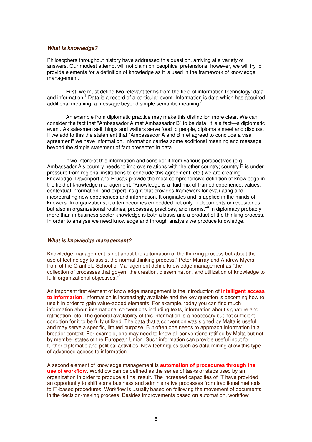#### **What is knowledge?**

Philosophers throughout history have addressed this question, arriving at a variety of answers. Our modest attempt will not claim philosophical pretensions, however, we will try to provide elements for a definition of knowledge as it is used in the framework of knowledge management.

 First, we must define two relevant terms from the field of information technology: data and information.<sup>1</sup> Data is a record of a particular event. Information is data which has acquired additional meaning: a message beyond simple semantic meaning.<sup>2</sup>

 An example from diplomatic practice may make this distinction more clear. We can consider the fact that "Ambassador A met Ambassador B" to be data. It is a fact—a diplomatic event. As salesmen sell things and waiters serve food to people, diplomats meet and discuss. If we add to this the statement that "Ambassador A and B met agreed to conclude a visa agreement" we have information. Information carries some additional meaning and message beyond the simple statement of fact presented in data.

 If we interpret this information and consider it from various perspectives (e.g. Ambassador A's country needs to improve relations with the other country; country B is under pressure from regional institutions to conclude this agreement, etc.) we are creating knowledge. Davenport and Prusak provide the most comprehensive definition of knowledge in the field of knowledge management: "Knowledge is a fluid mix of framed experience, values, contextual information, and expert insight that provides framework for evaluating and incorporating new experiences and information. It originates and is applied in the minds of knowers. In organzations, it often becomes embedded not only in documents or repositories but also in organizational routines, processes, practices, and norms."<sup>3</sup> In diplomacy probably more than in business sector knowledge is both a basis and a product of the thinking process. In order to analyse we need knowledge and through analysis we produce knowledge.

#### **What is knowledge management?**

Knowledge management is not about the automation of the thinking process but about the use of technology to assist the normal thinking process.<sup>4</sup> Peter Murray and Andrew Myers from of the Cranfield School of Management define knowledge management as "the collection of processes that govern the creation, dissemination, and utilization of knowledge to fulfil organizational objectives."<sup>5</sup>

An important first element of knowledge management is the introduction of **intelligent access to information**. Information is increasingly available and the key question is becoming how to use it in order to gain value-added elements. For example, today you can find much information about international conventions including texts, information about signature and ratification, etc. The general availability of this information is a necessary but not sufficient condition for it to be fully utilized. The data that a convention was signed by Malta is useful and may serve a specific, limited purpose. But often one needs to approach information in a broader context. For example, one may need to know all conventions ratified by Malta but not by member states of the European Union. Such information can provide useful input for further diplomatic and political activities. New techniques such as data-mining allow this type of advanced access to information.

A second element of knowledge management is **automation of procedures through the use of workflow**. Workflow can be defined as the series of tasks or steps used by an organization in order to produce a final result. The increased capacities of IT have provided an opportunity to shift some business and administrative processes from traditional methods to IT-based procedures. Workflow is usually based on following the movement of documents in the decision-making process. Besides improvements based on automation, workflow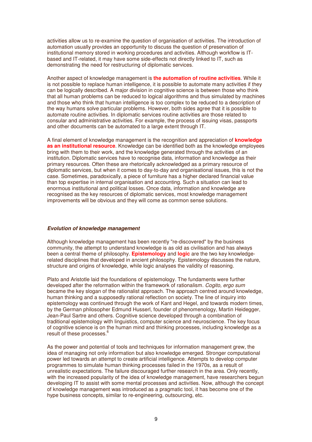activities allow us to re-examine the question of organisation of activities. The introduction of automation usually provides an opportunity to discuss the question of preservation of institutional memory stored in working procedures and activities. Although workflow is ITbased and IT-related, it may have some side-effects not directly linked to IT, such as demonstrating the need for restructuring of diplomatic services.

Another aspect of knowledge management is **the automation of routine activities**. While it is not possible to replace human intelligence, it is possible to automate many activities if they can be logically described. A major division in cognitive science is between those who think that all human problems can be reduced to logical algorithms and thus simulated by machines and those who think that human intelligence is too complex to be reduced to a description of the way humans solve particular problems. However, both sides agree that it is possible to automate routine activities. In diplomatic services routine activities are those related to consular and administrative activities. For example, the process of issuing visas, passports and other documents can be automated to a large extent through IT.

A final element of knowledge management is the recognition and appreciation of **knowledge as an institutional resource**. Knowledge can be identified both as the knowledge employees bring with them to their work, and the knowledge generated through the activities of an institution. Diplomatic services have to recognise data, information and knowledge as their primary resources. Often these are rhetorically acknowledged as a primary resource of diplomatic services, but when it comes to day-to-day and organisational issues, this is not the case. Sometimes, paradoxically, a piece of furniture has a higher declared financial value than top expertise in internal organisation and accounting. Such a situation can lead to enormous institutional and political losses. Once data, information and knowledge are recognised as the key resources of diplomatic services, most knowledge management improvements will be obvious and they will come as common sense solutions.

#### **Evolution of knowledge management**

Although knowledge management has been recently "re-discovered" by the business community, the attempt to understand knowledge is as old as civilisation and has always been a central theme of philosophy. **Epistemology** and **logic** are the two key knowledgerelated disciplines that developed in ancient philosophy. Epistemology discusses the nature, structure and origins of knowledge, while logic analyses the validity of reasoning.

Plato and Aristotle laid the foundations of epistemology. The fundaments were further developed after the reformation within the framework of rationalism. Cogito, ergo sum became the key slogan of the rationalist approach. The approach centred around knowledge, human thinking and a supposedly rational reflection on society. The line of inquiry into epistemology was continued through the work of Kant and Hegel, and towards modern times, by the German philosopher Edmund Husserl, founder of phenomenology, Martin Heidegger, Jean-Paul Sartre and others. Cognitive science developed through a combination of traditional epistemology with linguistics, computer science and neuroscience. The key focus of cognitive science is on the human mind and thinking processes, including knowledge as a result of these processes.<sup>6</sup>

As the power and potential of tools and techniques for information management grew, the idea of managing not only information but also knowledge emerged. Stronger computational power led towards an attempt to create artificial intelligence. Attempts to develop computer programmes to simulate human thinking processes failed in the 1970s, as a result of unrealistic expectations. The failure discouraged further research in the area. Only recently, with the increased popularity of the idea of knowledge management, have researchers begun developing IT to assist with some mental processes and activities. Now, although the concept of knowledge management was introduced as a pragmatic tool, it has become one of the hype business concepts, similar to re-engineering, outsourcing, etc.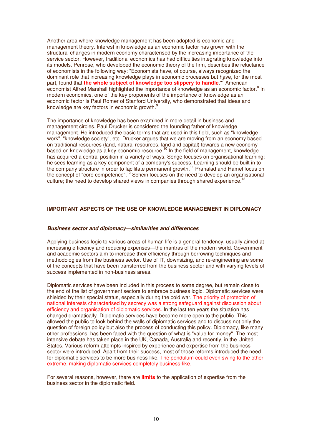Another area where knowledge management has been adopted is economic and management theory. Interest in knowledge as an economic factor has grown with the structural changes in modern economy characterised by the increasing importance of the service sector. However, traditional economics has had difficulties integrating knowledge into its models. Penrose, who developed the economic theory of the firm, describes the reluctance of economists in the following way: "Economists have, of course, always recognized the dominant role that increasing knowledge plays in economic processes but have, for the most part, found that *the whole subject of knowledge too slippery to handle*."<sup>7</sup> American economist Alfred Marshall highlighted the importance of knowledge as an economic factor.<sup>8</sup> In modern economics, one of the key proponents of the importance of knowledge as an economic factor is Paul Romer of Stanford University, who demonstrated that ideas and knowledge are key factors in economic growth.<sup>9</sup>

The importance of knowledge has been examined in more detail in business and management circles. Paul Drucker is considered the founding father of knowledge management. He introduced the basic terms that are used in this field, such as "knowledge work", "knowledge society", etc. Drucker argues that we are moving from an economy based on traditional resources (land, natural resources, land and capital) towards a new economy based on knowledge as a key economic resource.<sup>10</sup> In the field of management, knowledge has acquired a central position in a variety of ways. Senge focuses on organisational learning; he sees learning as a key component of a company's success. Learning should be built in to the company structure in order to facilitate permanent growth.<sup>11</sup> Prahalad and Hamel focus on the concept of "core competence".<sup>12</sup> Schein focuses on the need to develop an organisational culture; the need to develop shared views in companies through shared experience.<sup>13</sup>

## **IMPORTANT ASPECTS OF THE USE OF KNOWLEDGE MANAGEMENT IN DIPLOMACY**

#### **Business sector and diplomacy—similarities and differences**

Applying business logic to various areas of human life is a general tendency, usually aimed at increasing efficiency and reducing expenses—the mantras of the modern world. Government and academic sectors aim to increase their efficiency through borrowing techniques and methodologies from the business sector. Use of IT, downsizing, and re-engineering are some of the concepts that have been transferred from the business sector and with varying levels of success implemented in non-business areas.

Diplomatic services have been included in this process to some degree, but remain close to the end of the list of government sectors to embrace business logic. Diplomatic services were shielded by their special status, especially during the cold war. The priority of protection of national interests characterised by secrecy was a strong safeguard against discussion about efficiency and organisation of diplomatic services. In the last ten years the situation has changed dramatically. Diplomatic services have become more open to the public. This allowed the public to look behind the walls of diplomatic services and to discuss not only the question of foreign policy but also the process of conducting this policy. Diplomacy, like many other professions, has been faced with the question of what is "value for money". The most intensive debate has taken place in the UK, Canada, Australia and recently, in the United States. Various reform attempts inspired by experience and expertise from the business sector were introduced. Apart from their success, most of those reforms introduced the need for diplomatic services to be more business-like. The pendulum could even swing to the other extreme, making diplomatic services completely business-like.

For several reasons, however, there are **limits** to the application of expertise from the business sector in the diplomatic field.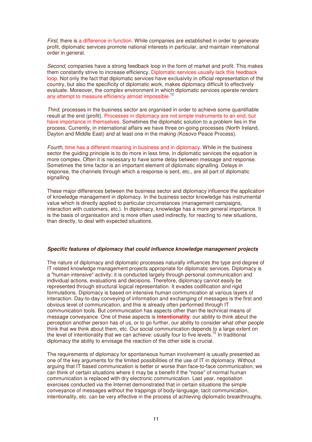First, there is a difference in function. While companies are established in order to generate profit, diplomatic services promote national interests in particular, and maintain international order in general.

Second, companies have a strong feedback loop in the form of market and profit. This makes them constantly strive to increase efficiency. Diplomatic services usually lack this feedback loop. Not only the fact that diplomatic services have exclusivity in official representation of the country, but also the specificity of diplomatic work, makes diplomacy difficult to effectively evaluate. Moreover, the complex environment in which diplomatic services operate renders any attempt to measure efficiency almost impossible.<sup>12</sup>

Third, processes in the business sector are organised in order to achieve some quantifiable result at the end (profit). Processes in diplomacy are not simple instruments to an end, but have importance in themselves. Sometimes the diplomatic solution to a problem lies in the process. Currently, in international affairs we have three on-going processes (North Ireland, Dayton and Middle East) and at least one in the making (Kosovo Peace Process).

Fourth, time has a different meaning in business and in diplomacy. While in the business sector the quiding principle is to do more in less time, in diplomatic services the equation is more complex. Often it is necessary to have some delay between message and response. Sometimes the time factor is an important element of diplomatic signalling. Delays in response, the channels through which a response is sent, etc., are all part of diplomatic signalling.

These major differences between the business sector and diplomacy influence the application of knowledge management in diplomacy. In the business sector knowledge has instrumental value which is directly applied to particular circumstances (management campaigns, interaction with customers, etc.). In diplomacy, knowledge has a more general importance. It is the basis of organisation and is more often used indirectly, for reacting to new situations, than directly, to deal with expected situations.

#### **Specific features of diplomacy that could influence knowledge management projects**

The nature of diplomacy and diplomatic processes naturally influences the type and degree of IT related knowledge management projects appropriate for diplomatic services. Diplomacy is a "human-intensive" activity; it is conducted largely through personal communication and individual actions, evaluations and decisions. Therefore, diplomacy cannot easily be represented through structural logical representation. It evades codification and rigid formulations. Diplomacy is based on intensive human communication at various layers of interaction. Day-to-day conveying of information and exchanging of messages is the first and obvious level of communication, and this is already often performed through IT communication tools. But communication has aspects other than the technical means of message conveyance. One of these aspects is **intentionality**: our ability to think about the perception another person has of us, or to go further, our ability to consider what other people think that we think about them, etc. Our social communication depends to a large extent on the level of intentionality that we can achieve: usually four to five levels.<sup>15</sup> In traditional diplomacy the ability to envisage the reaction of the other side is crucial.

The requirements of diplomacy for spontaneous human involvement is usually presented as one of the key arguments for the limited possibilities of the use of IT in diplomacy. Without arguing that IT based communication is better or worse than face-to-face communication, we can think of certain situations where it may be a benefit if the "noise" of normal human communication is replaced with dry electronic communication. Last year, negotiation exercises conducted via the Internet demonstrated that in certain situations the simple conveyance of messages without the trappings of body-language, tacit communication, intentionality, etc. can be very effective in the process of achieving diplomatic breakthroughs.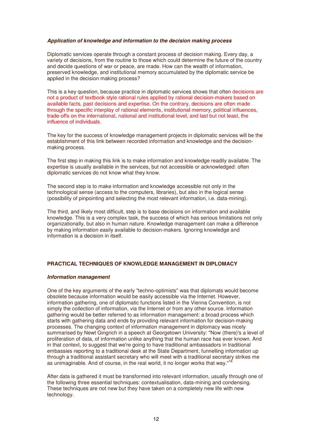#### **Application of knowledge and information to the decision making process**

Diplomatic services operate through a constant process of decision making. Every day, a variety of decisions, from the routine to those which could determine the future of the country and decide questions of war or peace, are made. How can the wealth of information, preserved knowledge, and institutional memory accumulated by the diplomatic service be applied in the decision making process?

This is a key question, because practice in diplomatic services shows that often decisions are not a product of textbook style rational rules applied by rational decision-makers based on available facts, past decisions and expertise. On the contrary, decisions are often made through the specific interplay of rational elements, institutional memory, political influences, trade-offs on the international, national and institutional level, and last but not least, the influence of individuals.

The key for the success of knowledge management projects in diplomatic services will be the establishment of this link between recorded information and knowledge and the decisionmaking process.

The first step in making this link is to make information and knowledge readily available. The expertise is usually available in the services, but not accessible or acknowledged: often diplomatic services do not know what they know.

The second step is to make information and knowledge accessible not only in the technological sense (access to the computers, libraries), but also in the logical sense (possibility of pinpointing and selecting the most relevant information, i.e. data-mining).

The third, and likely most difficult, step is to base decisions on information and available knowledge. This is a very complex task, the success of which has serious limitations not only organizationally, but also in human nature. Knowledge management can make a difference by making information easily available to decision-makers. Ignoring knowledge and information is a decision in itself.

## **PRACTICAL TECHNIQUES OF KNOWLEDGE MANAGEMENT IN DIPLOMACY**

#### **Information management**

One of the key arguments of the early "techno-optimists" was that diplomats would become obsolete because information would be easily accessible via the Internet. However, information gathering, one of diplomatic functions listed in the Vienna Convention, is not simply the collection of information, via the Internet or from any other source. Information gathering would be better referred to as information management: a broad process which starts with gathering data and ends by providing relevant information for decision-making processes. The changing context of information management in diplomacy was nicely summarised by Newt Gingrich in a speech at Georgetown University: "Now (there)'s a level of proliferation of data, of information unlike anything that the human race has ever known. And in that context, to suggest that we're going to have traditional ambassadors in traditional embassies reporting to a traditional desk at the State Department, funnelling information up through a traditional assistant secretary who will meet with a traditional secretary strikes me as unimaginable. And of course, in the real world, it no longer works that way."

After data is gathered it must be transformed into relevant information, usually through one of the following three essential techniques: contextualisation, data-mining and condensing. These techniques are not new but they have taken on a completely new life with new technology.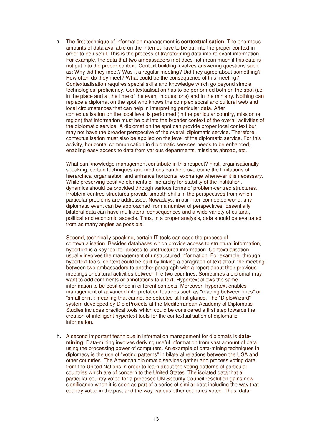a. The first technique of information management is **contextualisation**. The enormous amounts of data available on the Internet have to be put into the proper context in order to be useful. This is the process of transforming data into relevant information. For example, the data that two ambassadors met does not mean much if this data is not put into the proper context. Context building involves answering questions such as: Why did they meet? Was it a regular meeting? Did they agree about something? How often do they meet? What could be the consequence of this meeting? Contextualisation requires special skills and knowledge which go beyond simple technological proficiency. Contextualisation has to be performed both on the spot (i.e. in the place and at the time of the event in questions) and in the ministry. Nothing can replace a diplomat on the spot who knows the complex social and cultural web and local circumstances that can help in interpreting particular data. After contextualisation on the local level is performed (in the particular country, mission or region) that information must be put into the broader context of the overall activities of the diplomatic service. A diplomat on the spot can provide proper local context but may not have the broader perspective of the overall diplomatic service. Therefore, contextualisation must also be applied on the level of the diplomatic service. For this activity, horizontal communication in diplomatic services needs to be enhanced, enabling easy access to data from various departments, missions abroad, etc.

What can knowledge management contribute in this respect? First, organisationally speaking, certain techniques and methods can help overcome the limitations of hierarchical organisation and enhance horizontal exchange whenever it is necessary. While preserving positive elements of hierarchy for stability of the institution, dynamics should be provided through various forms of problem-centred structures. Problem-centred structures provide smooth shifts in the perspectives from which particular problems are addressed. Nowadays, in our inter-connected world, any diplomatic event can be approached from a number of perspectives. Essentially bilateral data can have multilateral consequences and a wide variety of cultural, political and economic aspects. Thus, in a proper analysis, data should be evaluated from as many angles as possible.

Second, technically speaking, certain IT tools can ease the process of contextualisation. Besides databases which provide access to structural information, hypertext is a key tool for access to unstructured information. Contextualisation usually involves the management of unstructured information. For example, through hypertext tools, context could be built by linking a paragraph of text about the meeting between two ambassadors to another paragraph with a report about their previous meetings or cultural activities between the two countries. Sometimes a diplomat may want to add comments or annotations to a text. Hypertext allows the same information to be positioned in different contexts. Moreover, hypertext enables management of advanced interpretation features such as "reading between lines" or "small print": meaning that cannot be detected at first glance. The "DiploWizard" system developed by DiploProjects at the Mediterranean Academy of Diplomatic Studies includes practical tools which could be considered a first step towards the creation of intelligent hypertext tools for the contextualisation of diplomatic information.

b. A second important technique in information management for diplomats is **datamining**. Data-mining involves deriving useful information from vast amount of data using the processing power of computers. An example of data-mining techniques in diplomacy is the use of "voting patterns" in bilateral relations between the USA and other countries. The American diplomatic services gather and process voting data from the United Nations in order to learn about the voting patterns of particular countries which are of concern to the United States. The isolated data that a particular country voted for a proposed UN Security Council resolution gains new significance when it is seen as part of a series of similar data including the way that country voted in the past and the way various other countries voted. Thus, data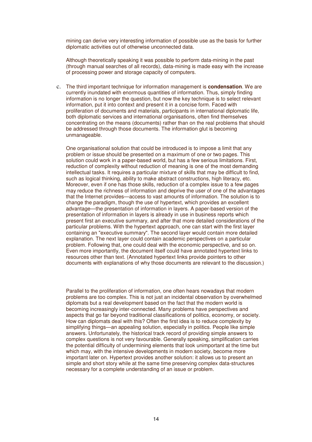mining can derive very interesting information of possible use as the basis for further diplomatic activities out of otherwise unconnected data.

Although theoretically speaking it was possible to perform data-mining in the past (through manual searches of all records), data-mining is made easy with the increase of processing power and storage capacity of computers.

c. The third important technique for information management is **condensation**. We are currently inundated with enormous quantities of information. Thus, simply finding information is no longer the question, but now the key technique is to select relevant information, put it into context and present it in a concise form. Faced with proliferation of documents and materials, participants in international diplomatic life, both diplomatic services and international organisations, often find themselves concentrating on the means (documents) rather than on the real problems that should be addressed through those documents. The information glut is becoming unmanageable.

One organisational solution that could be introduced is to impose a limit that any problem or issue should be presented on a maximum of one or two pages. This solution could work in a paper-based world, but has a few serious limitations. First, reduction of complexity without reduction of meaning is one of the most demanding intellectual tasks. It requires a particular mixture of skills that may be difficult to find, such as logical thinking, ability to make abstract constructions, high literacy, etc. Moreover, even if one has those skills, reduction of a complex issue to a few pages may reduce the richness of information and deprive the user of one of the advantages that the Internet provides—access to vast amounts of information. The solution is to change the paradigm, though the use of hypertext, which provides an excellent advantage—the presentation of information in layers. A paper-based version of the presentation of information in layers is already in use in business reports which present first an executive summary, and after that more detailed considerations of the particular problems. With the hypertext approach, one can start with the first layer containing an "executive summary". The second layer would contain more detailed explanation. The next layer could contain academic perspectives on a particular problem. Following that, one could deal with the economic perspective, and so on. Even more importantly, the document itself could have annotated hypertext links to resources other than text. (Annotated hypertext links provide pointers to other documents with explanations of why those documents are relevant to the discussion.)

Parallel to the proliferation of information, one often hears nowadays that modern problems are too complex. This is not just an incidental observation by overwhelmed diplomats but a real development based on the fact that the modern world is becoming increasingly inter-connected. Many problems have perspectives and aspects that go far beyond traditional classifications of politics, economy, or society. How can diplomats deal with this? Often the first idea is to reduce complexity by simplifying things—an appealing solution, especially in politics. People like simple answers. Unfortunately, the historical track record of providing simple answers to complex questions is not very favourable. Generally speaking, simplification carries the potential difficulty of undermining elements that look unimportant at the time but which may, with the intensive developments in modern society, become more important later on. Hypertext provides another solution: it allows us to present an simple and short story while at the same time preserving complex data-structures necessary for a complete understanding of an issue or problem.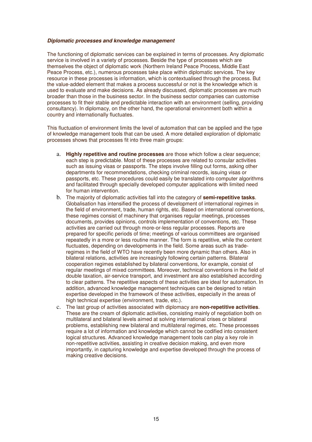#### **Diplomatic processes and knowledge management**

The functioning of diplomatic services can be explained in terms of processes. Any diplomatic service is involved in a variety of processes. Beside the type of processes which are themselves the object of diplomatic work (Northern Ireland Peace Process, Middle East Peace Process, etc.), numerous processes take place within diplomatic services. The key resource in these processes is information, which is contextualised through the process. But the value-added element that makes a process successful or not is the knowledge which is used to evaluate and make decisions. As already discussed, diplomatic processes are much broader than those in the business sector. In the business sector companies can customise processes to fit their stable and predictable interaction with an environment (selling, providing consultancy). In diplomacy, on the other hand, the operational environment both within a country and internationally fluctuates.

This fluctuation of environment limits the level of automation that can be applied and the type of knowledge management tools that can be used. A more detailed exploration of diplomatic processes shows that processes fit into three main groups:

- a. **Highly repetitive and routine processes** are those which follow a clear sequence; each step is predictable. Most of these processes are related to consular activities such as issuing visas or passports. The steps involve filling out forms, asking other departments for recommendations, checking criminal records, issuing visas or passports, etc. These procedures could easily be translated into computer algorithms and facilitated through specially developed computer applications with limited need for human intervention.
- b. The majority of diplomatic activities fall into the category of **semi-repetitive tasks**. Globalisation has intensified the process of development of international regimes in the field of environment, trade, human rights, etc. Based on international conventions, these regimes consist of machinery that organises regular meetings, processes documents, provides opinions, controls implementation of conventions, etc. These activities are carried out through more-or-less regular processes. Reports are prepared for specific periods of time; meetings of various committees are organised repeatedly in a more or less routine manner. The form is repetitive, while the content fluctuates, depending on developments in the field. Some areas such as traderegimes in the field of WTO have recently been more dynamic than others. Also in bilateral relations, activities are increasingly following certain patterns. Bilateral cooperation regimes established by bilateral conventions, for example, consist of regular meetings of mixed committees. Moreover, technical conventions in the field of double taxation, air-service transport, and investment are also established according to clear patterns. The repetitive aspects of these activities are ideal for automation. In addition, advanced knowledge management techniques can be designed to retain expertise developed in the framework of these activities, especially in the areas of high technical expertise (environment, trade, etc.).
- c. The last group of activities associated with diplomacy are **non-repetitive activities**. These are the cream of diplomatic activities, consisting mainly of negotiation both on multilateral and bilateral levels aimed at solving international crises or bilateral problems, establishing new bilateral and multilateral regimes, etc. These processes require a lot of information and knowledge which cannot be codified into consistent logical structures. Advanced knowledge management tools can play a key role in non-repetitive activities, assisting in creative decision making, and even more importantly, in capturing knowledge and expertise developed through the process of making creative decisions.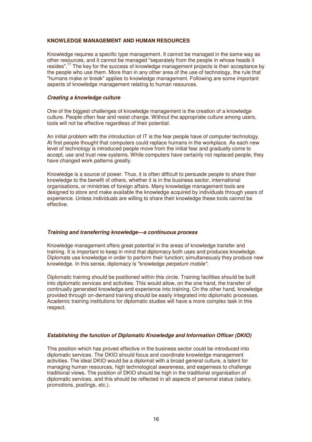## **KNOWLEDGE MANAGEMENT AND HUMAN RESOURCES**

Knowledge requires a specific type management. It cannot be managed in the same way as other resources, and it cannot be managed "separately from the people in whose heads it resides".<sup>17</sup> The key for the success of knowledge management projects is their acceptance by the people who use them. More than in any other area of the use of technology, the rule that "humans make or break" applies to knowledge management. Following are some important aspects of knowledge management relating to human resources.

#### **Creating a knowledge culture**

One of the biggest challenges of knowledge management is the creation of a knowledge culture. People often fear and resist change. Without the appropriate culture among users, tools will not be effective regardless of their potential.

An initial problem with the introduction of IT is the fear people have of computer technology. At first people thought that computers could replace humans in the workplace. As each new level of technology is introduced people move from the initial fear and gradually come to accept, use and trust new systems. While computers have certainly not replaced people, they have changed work patterns greatly.

Knowledge is a source of power. Thus, it is often difficult to persuade people to share their knowledge to the benefit of others, whether it is in the business sector, international organisations, or ministries of foreign affairs. Many knowledge management tools are designed to store and make available the knowledge acquired by individuals through years of experience. Unless individuals are willing to share their knowledge these tools cannot be effective.

#### **Training and transferring knowledge—a continuous process**

Knowledge management offers great potential in the areas of knowledge transfer and training. It is important to keep in mind that diplomacy both uses and produces knowledge. Diplomats use knowledge in order to perform their function; simultaneously they produce new knowledge. In this sense, diplomacy is "knowledge perpetum mobile".

Diplomatic training should be positioned within this circle. Training facilities should be built into diplomatic services and activities. This would allow, on the one hand, the transfer of continually generated knowledge and experience into training. On the other hand, knowledge provided through on-demand training should be easily integrated into diplomatic processes. Academic training institutions for diplomatic studies will have a more complex task in this respect.

## **Establishing the function of Diplomatic Knowledge and Information Officer (DKIO)**

This position which has proved effective in the business sector could be introduced into diplomatic services. The DKIO should focus and coordinate knowledge management activities. The ideal DKIO would be a diplomat with a broad general culture, a talent for managing human resources, high technological awareness, and eagerness to challenge traditional views. The position of DKIO should be high in the traditional organisation of diplomatic services, and this should be reflected in all aspects of personal status (salary, promotions, postings, etc.).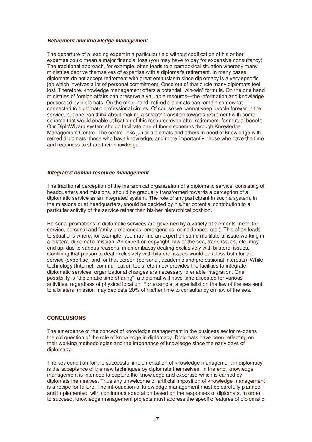#### **Retirement and knowledge management**

The departure of a leading expert in a particular field without codification of his or her expertise could mean a major financial loss (you may have to pay for expensive consultancy). The traditional approach, for example, often leads to a paradoxical situation whereby many ministries deprive themselves of expertise with a diplomat's retirement. In many cases diplomats do not accept retirement with great enthusiasm since diplomacy is a very specific job which involves a lot of personal commitment. Once out of that circle many diplomats feel lost. Therefore, knowledge management offers a potential "win-win" formula. On the one hand ministries of foreign affairs can preserve a valuable resource—the information and knowledge possessed by diplomats. On the other hand, retired diplomats can remain somewhat connected to diplomatic professional circles. Of course we cannot keep people forever in the service, but one can think about making a smooth transition towards retirement with some scheme that would enable utilisation of this resource even after retirement, for mutual benefit. Our DiploWizard system should facilitate one of those schemes through Knowledge Management Centre. The centre links junior diplomats and others in need of knowledge with retired diplomats: those who have knowledge, and more importantly, those who have the time and readiness to share their knowledge.

#### **Integrated human resource management**

The traditional perception of the hierarchical organization of a diplomatic service, consisting of headquarters and missions, should be gradually transformed towards a perception of a diplomatic service as an integrated system. The role of any participant in such a system, in the missions or at headquarters, should be decided by his/her potential contribution to a particular activity of the service rather than his/her hierarchical position.

Personal promotions in diplomatic services are governed by a variety of elements (need for service, personal and family preferences, emergencies, coincidences, etc.). This often leads to situations where, for example, you may find an expert on some multilateral issue working in a bilateral diplomatic mission. An expert on copyright, law of the sea, trade issues, etc. may end up, due to various reasons, in an embassy dealing exclusively with bilateral issues. Confining that person to deal exclusively with bilateral issues would be a loss both for the service (expertise) and for that person (personal, academic and professional interests). While technology (Internet, communication tools, etc.) now provides the facilities to integrate diplomatic services, organizational changes are necessary to enable integration. One possibility is "diplomatic time-sharing": a diplomat will have time allocated for various activities, regardless of physical location. For example, a specialist on the law of the sea sent to a bilateral mission may dedicate 20% of his/her time to consultancy on law of the sea.

#### **CONCLUSIONS**

The emergence of the concept of knowledge management in the business sector re-opens the old question of the role of knowledge in diplomacy. Diplomats have been reflecting on their working methodologies and the importance of knowledge since the early days of diplomacy.

The key condition for the successful implementation of knowledge management in diplomacy is the acceptance of the new techniques by diplomats themselves. In the end, knowledge management is intended to capture the knowledge and expertise which is carried by diplomats themselves. Thus any unwelcome or artificial imposition of knowledge management is a recipe for failure. The introduction of knowledge management must be carefully planned and implemented, with continuous adaptation based on the responses of diplomats. In order to succeed, knowledge management projects must address the specific features of diplomatic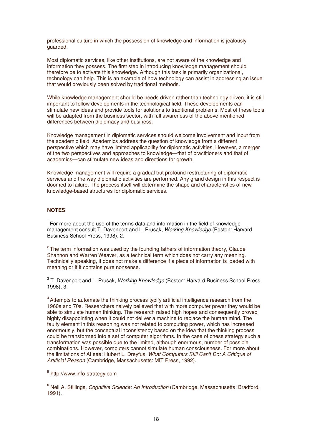professional culture in which the possession of knowledge and information is jealously guarded.

Most diplomatic services, like other institutions, are not aware of the knowledge and information they possess. The first step in introducing knowledge management should therefore be to activate this knowledge. Although this task is primarily organizational, technology can help. This is an example of how technology can assist in addressing an issue that would previously been solved by traditional methods.

While knowledge management should be needs driven rather than technology driven, it is still important to follow developments in the technological field. These developments can stimulate new ideas and provide tools for solutions to traditional problems. Most of these tools will be adapted from the business sector, with full awareness of the above mentioned differences between diplomacy and business.

Knowledge management in diplomatic services should welcome involvement and input from the academic field. Academics address the question of knowledge from a different perspective which may have limited applicability for diplomatic activities. However, a merger of the two perspectives and approaches to knowledge—that of practitioners and that of academics—can stimulate new ideas and directions for growth.

Knowledge management will require a gradual but profound restructuring of diplomatic services and the way diplomatic activities are performed. Any grand design in this respect is doomed to failure. The process itself will determine the shape and characteristics of new knowledge-based structures for diplomatic services.

## **NOTES**

 $1$  For more about the use of the terms data and information in the field of knowledge management consult T. Davenport and L. Prusak, Working Knowledge (Boston: Harvard Business School Press, 1998), 2.

 $2$  The term information was used by the founding fathers of information theory, Claude Shannon and Warren Weaver, as a technical term which does not carry any meaning. Technically speaking, it does not make a difference if a piece of information is loaded with meaning or if it contains pure nonsense.

 $3$  T. Davenport and L. Prusak, Working Knowledge (Boston: Harvard Business School Press, 1998), 3.

<sup>4</sup> Attempts to automate the thinking process typify artificial intelligence research from the 1960s and 70s. Researchers naively believed that with more computer power they would be able to simulate human thinking. The research raised high hopes and consequently proved highly disappointing when it could not deliver a machine to replace the human mind. The faulty element in this reasoning was not related to computing power, which has increased enormously, but the conceptual inconsistency based on the idea that the thinking process could be transformed into a set of computer algorithms. In the case of chess strategy such a transformation was possible due to the limited, although enormous, number of possible combinations. However, computers cannot simulate human consciousness. For more about the limitations of AI see: Hubert L. Dreyfus, What Computers Still Can't Do: A Critique of Artificial Reason (Cambridge, Massachusetts: MIT Press, 1992).

## <sup>5</sup> http://www.info-strategy.com

<sup>6</sup> Neil A. Stillings, *Cognitive Science: An Introduction* (Cambridge, Massachusetts: Bradford, 1991).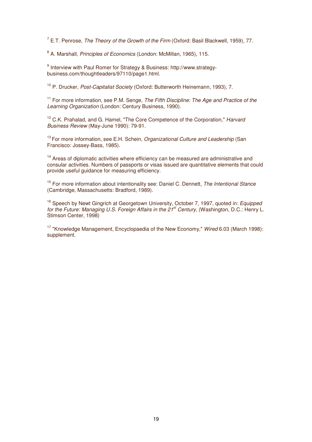$^7$  E.T. Penrose, The Theory of the Growth of the Firm (Oxford: Basil Blackwell, 1959), 77.

<sup>8</sup> A. Marshall, Principles of Economics (London: McMillan, 1965), 115.

<sup>9</sup> Interview with Paul Romer for Strategy & Business: http://www.strategybusiness.com/thoughtleaders/97110/page1.html.

<sup>10</sup> P. Drucker, *Post-Capitalist Society* (Oxford: Butterworth Heinemann, 1993), 7.

<sup>11</sup> For more information, see P.M. Senge, The Fifth Discipline: The Age and Practice of the Learning Organization (London: Century Business, 1990).

<sup>12</sup> C.K. Prahalad, and G. Hamel, "The Core Competence of the Corporation," Harvard Business Review (May-June 1990): 79-91.

<sup>13</sup> For more information, see E.H. Schein, Organizational Culture and Leadership (San Francisco: Jossey-Bass, 1985).

<sup>14</sup> Areas of diplomatic activities where efficiency can be measured are administrative and consular activities. Numbers of passports or visas issued are quantitative elements that could provide useful guidance for measuring efficiency.

<sup>15</sup> For more information about intentionality see: Daniel C. Dennett, The Intentional Stance (Cambridge, Massachusetts: Bradford, 1989).

<sup>16</sup> Speech by Newt Gingrich at Georgetown University, October 7, 1997, quoted in: Equipped for the Future: Managing U.S. Foreign Affairs in the 21<sup>st</sup> Century, (Washington, D.C.: Henry L. Stimson Center, 1998)

<sup>17</sup> "Knowledge Management, Encyclopaedia of the New Economy," *Wired* 6.03 (March 1998): supplement.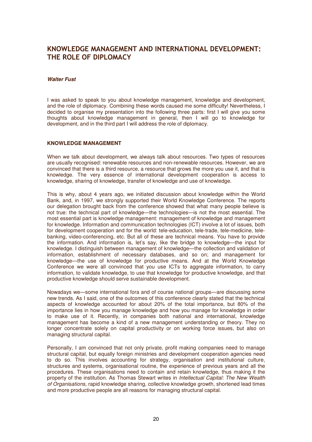# KNOWLEDGE MANAGEMENT AND INTERNATIONAL DEVELOPMENT: THE ROLE OF DIPLOMACY

## **Walter Fust**

I was asked to speak to you about knowledge management, knowledge and development, and the role of diplomacy. Combining these words caused me some difficulty! Nevertheless, I decided to organise my presentation into the following three parts: first I will give you some thoughts about knowledge management in general, then I will go to knowledge for development, and in the third part I will address the role of diplomacy.

#### **KNOWLEDGE MANAGEMENT**

When we talk about development, we always talk about resources. Two types of resources are usually recognised: renewable resources and non-renewable resources. However, we are convinced that there is a third resource, a resource that grows the more you use it, and that is knowledge. The very essence of international development cooperation is access to knowledge, sharing of knowledge, transfer of knowledge and use of knowledge.

This is why, about 4 years ago, we initiated discussion about knowledge within the World Bank, and, in 1997, we strongly supported their World Knowledge Conference. The reports our delegation brought back from the conference showed that what many people believe is not true: the technical part of knowledge—the technologies—is not the most essential. The most essential part is knowledge management: management of knowledge and management for knowledge. Information and communication technologies (ICT) involve a lot of issues, both for development cooperation and for the world: tele-education, tele-trade, tele-medicine, telebanking, video-conferencing, etc. But all of these are technical means. You have to provide the information. And information is, let's say, like the bridge to knowledge—the input for knowledge. I distinguish between management of knowledge—the collection and validation of information, establishment of necessary databases, and so on; and management for knowledge—the use of knowledge for productive means. And at the World Knowledge Conference we were all convinced that you use ICTs to aggregate information, to carry information, to validate knowledge, to use that knowledge for productive knowledge, and that productive knowledge should serve sustainable development.

Nowadays we—some international fora and of course national groups—are discussing some new trends. As I said, one of the outcomes of this conference clearly stated that the technical aspects of knowledge accounted for about 20% of the total importance, but 80% of the importance lies in how you manage knowledge and how you manage for knowledge in order to make use of it. Recently, in companies both national and international, knowledge management has become a kind of a new management understanding or theory. They no longer concentrate solely on capital productivity or on working force issues, but also on managing structural capital.

Personally, I am convinced that not only private, profit making companies need to manage structural capital, but equally foreign ministries and development cooperation agencies need to do so. This involves accounting for strategy, organisation and institutional culture, structures and systems, organisational routine, the experience of previous years and all the procedures. These organisations need to contain and retain knowledge, thus making it the property of the institution. As Thomas Stewart writes in Intellectual Capital: The New Wealth of Organisations, rapid knowledge sharing, collective knowledge growth, shortened lead times and more productive people are all reasons for managing structural capital.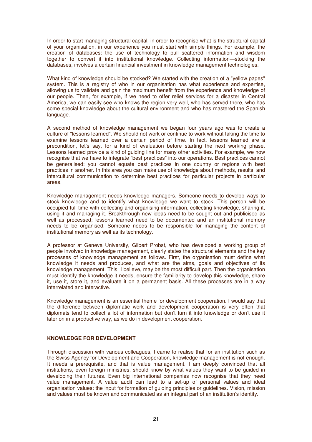In order to start managing structural capital, in order to recognise what is the structural capital of your organisation, in our experience you must start with simple things. For example, the creation of databases: the use of technology to pull scattered information and wisdom together to convert it into institutional knowledge. Collecting information—stocking the databases, involves a certain financial investment in knowledge management technologies.

What kind of knowledge should be stocked? We started with the creation of a "yellow pages" system. This is a registry of who in our organisation has what experience and expertise, allowing us to validate and gain the maximum benefit from the experience and knowledge of our people. Then, for example, if we need to offer relief services for a disaster in Central America, we can easily see who knows the region very well, who has served there, who has some special knowledge about the cultural environment and who has mastered the Spanish language.

A second method of knowledge management we began four years ago was to create a culture of "lessons learned". We should not work or continue to work without taking the time to examine lessons learned over a certain period of time. In fact, lessons learned are a precondition, let's say, for a kind of evaluation before starting the next working phase. Lessons learned provide a kind of guiding line for many other activities. For example, we now recognise that we have to integrate "best practices" into our operations. Best practices cannot be generalised: you cannot equate best practices in one country or regions with best practices in another. In this area you can make use of knowledge about methods, results, and intercultural communication to determine best practices for particular projects in particular areas.

Knowledge management needs knowledge managers. Someone needs to develop ways to stock knowledge and to identify what knowledge we want to stock. This person will be occupied full time with collecting and organising information, collecting knowledge, sharing it, using it and managing it. Breakthrough new ideas need to be sought out and publicised as well as processed; lessons learned need to be documented and an institutional memory needs to be organised. Someone needs to be responsible for managing the content of institutional memory as well as its technology.

A professor at Geneva University, Gilbert Probst, who has developed a working group of people involved in knowledge management, clearly states the structural elements and the key processes of knowledge management as follows. First, the organisation must define what knowledge it needs and produces, and what are the aims, goals and objectives of its knowledge management. This, I believe, may be the most difficult part. Then the organisation must identify the knowledge it needs, ensure the familiarity to develop this knowledge, share it, use it, store it, and evaluate it on a permanent basis. All these processes are in a way interrelated and interactive.

Knowledge management is an essential theme for development cooperation. I would say that the difference between diplomatic work and development cooperation is very often that diplomats tend to collect a lot of information but don't turn it into knowledge or don't use it later on in a productive way, as we do in development cooperation.

## **KNOWLEDGE FOR DEVELOPMENT**

Through discussion with various colleagues, I came to realise that for an institution such as the Swiss Agency for Development and Cooperation, knowledge management is not enough. It needs a prerequisite, and that is value management. I am deeply convinced that all institutions, even foreign ministries, should know by what values they want to be guided in developing their futures. Even big international companies now recognise that they need value management. A value audit can lead to a set-up of personal values and ideal organisation values: the input for formation of guiding principles or guidelines. Vision, mission and values must be known and communicated as an integral part of an institution's identity.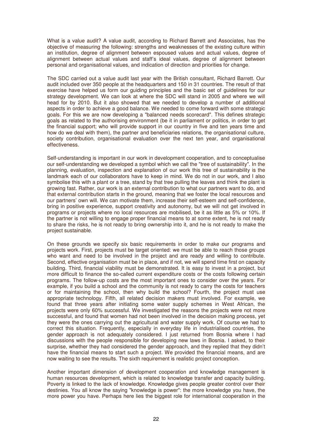What is a value audit? A value audit, according to Richard Barrett and Associates, has the objective of measuring the following: strengths and weaknesses of the existing culture within an institution, degree of alignment between espoused values and actual values, degree of alignment between actual values and staff's ideal values, degree of alignment between personal and organisational values, and indication of direction and priorities for change.

The SDC carried out a value audit last year with the British consultant, Richard Barrett. Our audit included over 350 people at the headquarters and 150 in 31 countries. The result of that exercise have helped us form our guiding principles and the basic set of guidelines for our strategy development. We can look at where the SDC will stand in 2005 and where we will head for by 2010. But it also showed that we needed to develop a number of additional aspects in order to achieve a good balance. We needed to come forward with some strategic goals. For this we are now developing a "balanced needs scorecard". This defines strategic goals as related to the authorising environment (be it in parliament or politics, in order to get the financial support; who will provide support in our country in five and ten years time and how do we deal with them), the partner and beneficiaries relations, the organisational culture, society contribution, organisational evaluation over the next ten year, and organisational effectiveness.

Self-understanding is important in our work in development cooperation, and to conceptualise our self-understanding we developed a symbol which we call the "tree of sustainability". In the planning, evaluation, inspection and explanation of our work this tree of sustainability is the landmark each of our collaborators have to keep in mind. We do not in our work, and I also symbolise this with a plant or a tree, stand by that tree pulling the leaves and think the plant is growing fast. Rather, our work is an external contribution to what our partners want to do, and that external contribution starts in the ground, meaning that we foster the local resources and our partners' own will. We can motivate them, increase their self-esteem and self-confidence, bring in positive experience, support creativity and autonomy, but we will not get involved in programs or projects where no local resources are mobilised, be it as little as 5% or 10%. If the partner is not willing to engage proper financial means to at some extent, he is not ready to share the risks, he is not ready to bring ownership into it, and he is not ready to make the project sustainable.

On these grounds we specify six basic requirements in order to make our programs and projects work. First, projects must be target oriented: we must be able to reach those groups who want and need to be involved in the project and are ready and willing to contribute. Second, effective organisation must be in place, and if not, we will spend time first on capacity building. Third, financial viability must be demonstrated. It is easy to invest in a project, but more difficult to finance the so-called current expenditure costs or the costs following certain programs. The follow-up costs are the most important ones to consider over the years. For example, if you build a school and the community is not ready to carry the costs for teachers or for maintaining the school, then why build the school? Fourth, the project must use appropriate technology. Fifth, all related decision makers must involved. For example, we found that three years after initiating some water supply schemes in West African, the projects were only 60% successful. We investigated the reasons the projects were not more successful, and found that women had not been involved in the decision making process, yet they were the ones carrying out the agricultural and water supply work. Of course we had to correct this situation. Frequently, especially in everyday life in industrialised countries, the gender approach is not adequately considered. I just returned from Bosnia where I had discussions with the people responsible for developing new laws in Bosnia. I asked, to their surprise, whether they had considered the gender approach, and they replied that they didn't have the financial means to start such a project. We provided the financial means, and are now waiting to see the results. The sixth requirement is realistic project conception.

Another important dimension of development cooperation and knowledge management is human resources development, which is related to knowledge transfer and capacity building. Poverty is linked to the lack of knowledge. Knowledge gives people greater control over their destinies. You all know the saying "knowledge is power": the more knowledge you have, the more power you have. Perhaps here lies the biggest role for international cooperation in the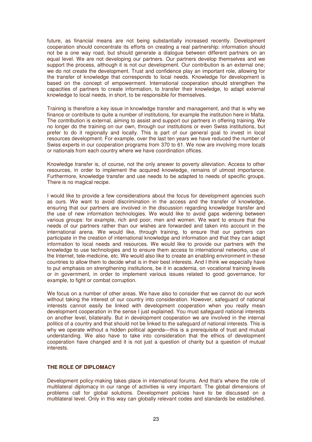future, as financial means are not being substantially increased recently. Development cooperation should concentrate its efforts on creating a real partnership: information should not be a one way road, but should generate a dialogue between different partners on an equal level. We are not developing our partners. Our partners develop themselves and we support the process, although it is not our development. Our contribution is an external one; we do not create the development. Trust and confidence play an important role, allowing for the transfer of knowledge that corresponds to local needs. Knowledge for development is based on the concept of empowerment. International cooperation should strengthen the capacities of partners to create information, to transfer their knowledge, to adapt external knowledge to local needs, in short, to be responsible for themselves.

Training is therefore a key issue in knowledge transfer and management, and that is why we finance or contribute to quite a number of institutions, for example the institution here in Malta. The contribution is external, aiming to assist and support our partners in offering training. We no longer do the training on our own, through our institutions or even Swiss institutions, but prefer to do it regionally and locally. This is part of our general goal to invest in local resources development. For example, over the last ten years we have reduced the number of Swiss experts in our cooperation programs from 370 to 61. We now are involving more locals or nationals from each country where we have coordination offices.

Knowledge transfer is, of course, not the only answer to poverty alleviation. Access to other resources, in order to implement the acquired knowledge, remains of utmost importance. Furthermore, knowledge transfer and use needs to be adapted to needs of specific groups. There is no magical recipe.

I would like to provide a few considerations about the focus for development agencies such as ours. We want to avoid discrimination in the access and the transfer of knowledge, ensuring that our partners are involved in the discussion regarding knowledge transfer and the use of new information technologies. We would like to avoid gaps widening between various groups: for example, rich and poor, men and women. We want to ensure that the needs of our partners rather than our wishes are forwarded and taken into account in the international arena. We would like, through training, to ensure that our partners can participate in the creation of international knowledge and information and that they can adapt information to local needs and resources. We would like to provide our partners with the knowledge to use technologies and to ensure them access to international networks, use of the Internet, tele-medicine, etc. We would also like to create an enabling environment in these countries to allow them to decide what is in their best interests. And I think we especially have to put emphasis on strengthening institutions, be it in academia, on vocational training levels or in government, in order to implement various issues related to good governance, for example, to fight or combat corruption.

We focus on a number of other areas. We have also to consider that we cannot do our work without taking the interest of our country into consideration. However, safeguard of national interests cannot easily be linked with development cooperation when you really mean development cooperation in the sense I just explained. You must safeguard national interests on another level, bilaterally. But in development cooperation we are involved in the internal politics of a country and that should not be linked to the safeguard of national interests. This is why we operate without a hidden political agenda—this is a prerequisite of trust and mutual understanding. We also have to take into consideration that the ethics of development cooperation have changed and it is not just a question of charity but a question of mutual interests.

## **THE ROLE OF DIPLOMACY**

Development policy-making takes place in international forums. And that's where the role of multilateral diplomacy in our range of activities is very important. The global dimensions of problems call for global solutions. Development policies have to be discussed on a multilateral level. Only in this way can globally relevant codes and standards be established.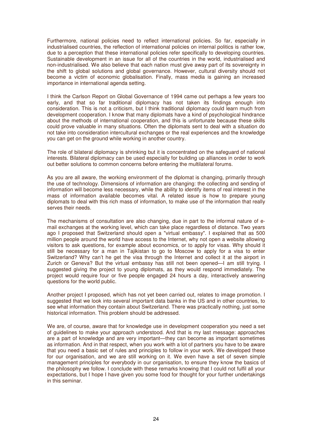Furthermore, national policies need to reflect international policies. So far, especially in industrialised countries, the reflection of international policies on internal politics is rather low, due to a perception that these international policies refer specifically to developing countries. Sustainable development in an issue for all of the countries in the world, industrialised and non-industrialised. We also believe that each nation must give away part of its sovereignty in the shift to global solutions and global governance. However, cultural diversity should not become a victim of economic globalisation. Finally, mass media is gaining an increased importance in international agenda setting.

I think the Carlson Report on Global Governance of 1994 came out perhaps a few years too early, and that so far traditional diplomacy has not taken its findings enough into consideration. This is not a criticism, but I think traditional diplomacy could learn much from development cooperation. I know that many diplomats have a kind of psychological hindrance about the methods of international cooperation, and this is unfortunate because these skills could prove valuable in many situations. Often the diplomats sent to deal with a situation do not take into consideration intercultural exchanges or the real experiences and the knowledge you can get on the ground while working in another country.

The role of bilateral diplomacy is shrinking but it is concentrated on the safeguard of national interests. Bilateral diplomacy can be used especially for building up alliances in order to work out better solutions to common concerns before entering the multilateral forums.

As you are all aware, the working environment of the diplomat is changing, primarily through the use of technology. Dimensions of information are changing: the collecting and sending of information will become less necessary, while the ability to identify items of real interest in the mass of information available becomes vital. A related issue is how to prepare young diplomats to deal with this rich mass of information, to make use of the information that really serves their needs.

The mechanisms of consultation are also changing, due in part to the informal nature of email exchanges at the working level, which can take place regardless of distance. Two years ago I proposed that Switzerland should open a "virtual embassy". I explained that as 500 million people around the world have access to the Internet, why not open a website allowing visitors to ask questions, for example about economics, or to apply for visas. Why should it still be necessary for a man in Tajikistan to go to Moscow to apply for a visa to enter Switzerland? Why can't he get the visa through the Internet and collect it at the airport in Zurich or Geneva? But the virtual embassy has still not been opened—I am still trying. I suggested giving the project to young diplomats, as they would respond immediately. The project would require four or five people engaged 24 hours a day, interactively answering questions for the world public.

Another project I proposed, which has not yet been carried out, relates to image promotion. I suggested that we look into several important data banks in the US and in other countries, to see what information they contain about Switzerland. There was practically nothing, just some historical information. This problem should be addressed.

We are, of course, aware that for knowledge use in development cooperation you need a set of guidelines to make your approach understood. And that is my last message: approaches are a part of knowledge and are very important—they can become as important sometimes as information. And in that respect, when you work with a lot of partners you have to be aware that you need a basic set of rules and principles to follow in your work. We developed these for our organisation, and we are still working on it. We even have a set of seven simple management principles for everybody in our organisation, to ensure they know the basics of the philosophy we follow. I conclude with these remarks knowing that I could not fulfil all your expectations, but I hope I have given you some food for thought for your further undertakings in this seminar.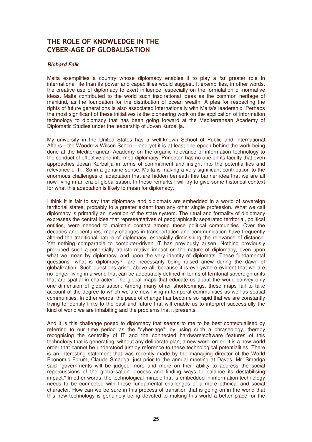# THE ROLE OF KNOWLEDGE IN THE CYBER-AGE OF GLOBALISATION

## **Richard Falk**

Malta exemplifies a country whose diplomacy enables it to play a far greater role in international life than its power and capabilities would suggest. It exemplifies, in other words, the creative use of diplomacy to exert influence, especially on the formulation of normative ideas. Malta contributed to the world such inspirational ideas as the common heritage of mankind, as the foundation for the distribution of ocean wealth. A plea for respecting the rights of future generations is also associated internationally with Malta's leadership. Perhaps the most significant of these initiatives is the pioneering work on the application of information technology to diplomacy that has been going forward at the Mediterranean Academy of Diplomatic Studies under the leadership of Jovan Kurbalija.

My university in the United States has a well-known School of Public and International Affairs—the Woodrow Wilson School—and yet it is at least one epoch behind the work being done at the Mediterranean Academy on the organic relevance of information technology to the conduct of effective and informed diplomacy. Princeton has no one on its faculty that even approaches Jovan Kurbalija in terms of commitment and insight into the potentialities and relevance of IT. So in a genuine sense, Malta is making a very significant contribution to the enormous challenges of adaptation that are hidden beneath this banner idea that we are all now living in an era of globalisation. In these remarks I will try to give some historical context for what this adaptation is likely to mean for diplomacy.

I think it is fair to say that diplomacy and diplomats are embedded in a world of sovereign territorial states, probably to a greater extent than any other single profession. What we call diplomacy is primarily an invention of the state system. The ritual and formality of diplomacy expresses the central idea that representatives of geographically separated territorial, political entities, were needed to maintain contact among these political communities. Over the decades and centuries, many changes in transportation and communication have frequently altered the traditional nature of diplomacy, especially diminishing the relevance of distance. Yet nothing comparable to computer-driven IT has previously arisen. Nothing previously produced such a potentially transformative impact on the nature of diplomacy, even upon what we mean by diplomacy, and upon the very identity of diplomats. These fundamental questions—what is diplomacy?—are necessarily being raised anew during the dawn of globalization. Such questions arise, above all, because it is everywhere evident that we are no longer living in a world that can be adequately defined in terms of territorial sovereign units that are spatial in character. The global maps that educate us about the world convey only one dimension of globalisation. Among many other shortcomings, these maps fail to take account of the degree to which we are now living in temporal communities as well as spatial communities. In other words, the pace of change has become so rapid that we are constantly trying to identify links to the past and future that will enable us to interpret successfully the kind of world we are inhabiting and the problems that it presents.

And it is this challenge posed to diplomacy that seems to me to be best contextualised by referring to our time period as the "cyber-age"; by using such a phraseology, thereby recognising the centrality of IT and the connected hardware/software features of this technology that is generating, without any deliberate plan, a new world order. It is a new world order that cannot be understood just by reference to these technological potentialities. There is an interesting statement that was recently made by the managing director of the World Economic Forum, Claude Smadga, just prior to the annual meeting at Davos. Mr. Smadga said "governments will be judged more and more on their ability to address the social repercussions of the globalisation process and finding ways to balance its destabilising impact." In other words, the technological miracle that is embedded in information technology needs to be connected with these fundamental challenges of a more ethnical and social character. How can we be sure in this process of transition that is going on in the world that this new technology is genuinely being devoted to making this world a better place for the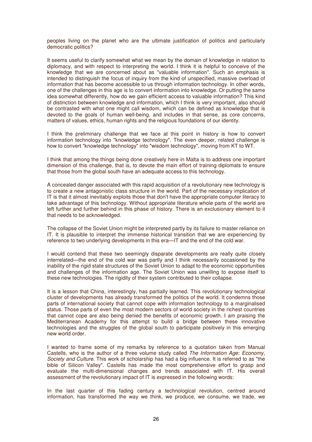peoples living on the planet who are the ultimate justification of politics and particularly democratic politics?

It seems useful to clarify somewhat what we mean by the domain of knowledge in relation to diplomacy, and with respect to interpreting the world. I think it is helpful to conceive of the knowledge that we are concerned about as "valuable information". Such an emphasis is intended to distinguish the focus of inquiry from the kind of unspecified, massive overload of information that has become accessible to us through information technology. In other words, one of the challenges in this age is to convert information into knowledge. Or putting the same idea somewhat differently, how do we gain efficient access to valuable information? This kind of distinction between knowledge and information, which I think is very important, also should be contrasted with what one might call wisdom, which can be defined as knowledge that is devoted to the goals of human well-being, and includes in that sense, as core concerns, matters of values, ethics, human rights and the religious foundations of our identity.

I think the preliminary challenge that we face at this point in history is how to convert information technology into "knowledge technology". The even deeper, related challenge is how to convert "knowledge technology" into "wisdom technology", moving from KT to WT.

I think that among the things being done creatively here in Malta is to address one important dimension of this challenge, that is, to devote the main effort of training diplomats to ensure that those from the global south have an adequate access to this technology.

A concealed danger associated with this rapid acquisition of a revolutionary new technology is to create a new antagonistic class structure in the world. Part of the necessary implication of IT is that it almost inevitably exploits those that don't have the appropriate computer literacy to take advantage of this technology. Without appropriate literature whole parts of the world are left further and further behind in this phase of history. There is an exclusionary element to it that needs to be acknowledged.

The collapse of the Soviet Union might be interpreted partly by its failure to master reliance on IT. It is plausible to interpret the immense historical transition that we are experiencing by reference to two underlying developments in this era—IT and the end of the cold war.

I would contend that these two seemingly disparate developments are really quite closely interrelated—the end of the cold war was partly and I think necessarily occasioned by the inability of the rigid state structures of the Soviet Union to adapt to the economic opportunities and challenges of the information age. The Soviet Union was unwilling to expose itself to these new technologies. The rigidity of their system contributed to their collapse.

It is a lesson that China, interestingly, has partially learned. This revolutionary technological cluster of developments has already transformed the politics of the world. It condemns those parts of international society that cannot cope with information technology to a marginalised status. Those parts of even the most modern sectors of world society in the richest countries that cannot cope are also being denied the benefits of economic growth. I am praising the Mediterranean Academy for this attempt to build a bridge between these innovative technologies and the struggles of the global south to participate positively in this emerging new world order.

I wanted to frame some of my remarks by reference to a quotation taken from Manual Castells, who is the author of a three volume study called The Information Age: Economy, Society and Culture. This work of scholarship has had a big influence. It is referred to as "the bible of Silicon Valley". Castells has made the most comprehensive effort to grasp and evaluate the multi-dimensional changes and trends associated with IT. His overall assessment of the revolutionary impact of IT is expressed in the following words:

In the last quarter of this fading century a technological revolution, centred around information, has transformed the way we think, we produce, we consume, we trade, we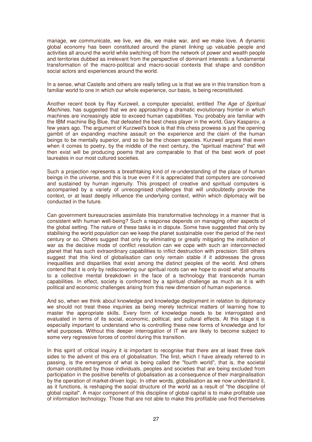manage, we communicate, we live, we die, we make war, and we make love. A dynamic global economy has been constituted around the planet linking up valuable people and activities all around the world while switching off from the network of power and wealth people and territories dubbed as irrelevant from the perspective of dominant interests: a fundamental transformation of the macro-political and macro-social contexts that shape and condition social actors and experiences around the world.

In a sense, what Castells and others are really telling us is that we are in this transition from a familiar world to one in which our whole experience, our basis, is being reconstituted.

Another recent book by Ray Kurzweil, a computer specialist, entitled The Age of Spiritual Machines, has suggested that we are approaching a dramatic evolutionary frontier in which machines are increasingly able to exceed human capabilities. You probably are familiar with the IBM machine Big Blue, that defeated the best chess player in the world, Gary Kasparov, a few years ago. The argument of Kurzweil's book is that this chess prowess is just the opening gambit of an expanding machine assault on the experience and the claim of the human beings to be mentally superior, and so to be the chosen species. Kurzweil argues that even when it comes to poetry, by the middle of the next century, the "spiritual machine" that will then exist will be producing poems that are comparable to that of the best work of poet laureates in our most cultured societies.

Such a projection represents a breathtaking kind of re-understanding of the place of human beings in the universe, and this is true even if it is appreciated that computers are conceived and sustained by human ingenuity. This prospect of creative and spiritual computers is accompanied by a variety of unrecognised challenges that will undoubtedly provide the context, or at least deeply influence the underlying context, within which diplomacy will be conducted in the future.

Can government bureaucracies assimilate this transformative technology in a manner that is consistent with human well-being? Such a response depends on managing other aspects of the global setting. The nature of these tasks is in dispute. Some have suggested that only by stabilising the world population can we keep the planet sustainable over the period of the next century or so. Others suggest that only by eliminating or greatly mitigating the institution of war as the decisive mode of conflict resolution can we cope with such an interconnected planet that has such extraordinary capabilities to inflict destruction with precision. Still others suggest that this kind of globalisation can only remain stable if it addresses the gross inequalities and disparities that exist among the distinct peoples of the world. And others contend that it is only by rediscovering our spiritual roots can we hope to avoid what amounts to a collective mental breakdown in the face of a technology that transcends human capabilities. In effect, society is confronted by a spiritual challenge as much as it is with political and economic challenges arising from this new dimension of human experience.

And so, when we think about knowledge and knowledge deployment in relation to diplomacy we should not treat these inquiries as being merely technical matters of learning how to master the appropriate skills. Every form of knowledge needs to be interrogated and evaluated in terms of its social, economic, political, and cultural effects. At this stage it is especially important to understand who is controlling these new forms of knowledge and for what purposes. Without this deeper interrogation of IT we are likely to become subject to some very regressive forces of control during this transition.

In this spirit of critical inquiry it is important to recognise that there are at least three dark sides to the advent of this era of globalisation. The first, which I have already referred to in passing, is the emergence of what is being called the "fourth world", that is, the societal domain constituted by those individuals, peoples and societies that are being excluded from participation in the positive benefits of globalisation as a consequence of their marginalisation by the operation of market-driven logic. In other words, globalisation as we now understand it, as it functions, is reshaping the social structure of the world as a result of "the discipline of global capital". A major component of this discipline of global capital is to make profitable use of information technology. Those that are not able to make this profitable use find themselves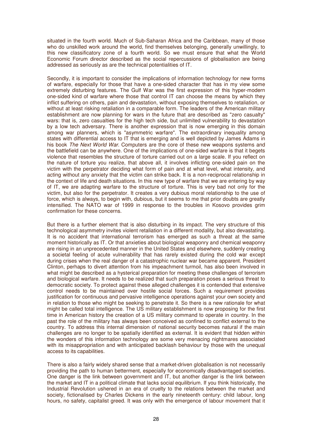situated in the fourth world. Much of Sub-Saharan Africa and the Caribbean, many of those who do unskilled work around the world, find themselves belonging, generally unwillingly, to this new classificatory zone of a fourth world. So we must ensure that what the World Economic Forum director described as the social repercussions of globalisation are being addressed as seriously as are the technical potentialities of IT.

Secondly, it is important to consider the implications of information technology for new forms of warfare, especially for those that have a one-sided character that has in my view some extremely disturbing features. The Gulf War was the first expression of this hyper-modern one-sided kind of warfare where those that control IT can choose the means by which they inflict suffering on others, pain and devastation, without exposing themselves to retaliation, or without at least risking retaliation in a comparable form. The leaders of the American military establishment are now planning for wars in the future that are described as "zero casualty" wars: that is, zero casualties for the high tech side, but unlimited vulnerability to devastation by a low tech adversary. There is another expression that is now emerging in this domain among war planners, which is "asymmetric warfare". The extraordinary inequality among states with differential access to IT that is emerging and is well depicted by James Adams in his book The Next World War. Computers are the core of these new weapons systems and the battlefield can be anywhere. One of the implications of one-sided warfare is that it begets violence that resembles the structure of torture carried out on a large scale. If you reflect on the nature of torture you realize, that above all, it involves inflicting one-sided pain on the victim with the perpetrator deciding what form of pain and at what level, what intensity, and acting without any anxiety that the victim can strike back. It is a non-reciprocal relationship in the context of life and death situations. In this new type of warfare that we are entering by way of IT, we are adapting warfare to the structure of torture. This is very bad not only for the victim, but also for the perpetrator. It creates a very dubious moral relationship to the use of force, which is always, to begin with, dubious, but it seems to me that prior doubts are greatly intensified. The NATO war of 1999 in response to the troubles in Kosovo provides grim confirmation for these concerns.

But there is a further element that is also disturbing in its impact. The very structure of this technological asymmetry invites violent retaliation in a different modality, but also devastating. It is no accident that international terrorism has emerged as such a threat at the same moment historically as IT. Or that anxieties about biological weaponry and chemical weaponry are rising in an unprecedented manner in the United States and elsewhere, suddenly creating a societal feeling of acute vulnerability that has rarely existed during the cold war except during crises when the real danger of a catastrophic nuclear war became apparent. President Clinton, perhaps to divert attention from his impeachment turmoil, has also been involved in what might be described as a hysterical preparation for meeting these challenges of terrorism and biological warfare. It needs to be realized that such preparation poses a serious threat to democratic society. To protect against these alleged challenges it is contended that extensive control needs to be maintained over hostile social forces. Such a requirement provides justification for continuous and pervasive intelligence operations against your own society and in relation to those who might be seeking to penetrate it. So there is a new rationale for what might be called total intelligence. The US military establishment is now proposing for the first time in American history the creation of a US military command to operate in country. In the past the role of the military has always been conceived as confined to conflict external to the country. To address this internal dimension of national security becomes natural if the main challenges are no longer to be spatially identified as external. It is evident that hidden within the wonders of this information technology are some very menacing nightmares associated with its misappropriation and with anticipated backlash behaviour by those with the unequal access to its capabilities.

There is also a fairly widely shared sense that a market-driven globalisation is not necessarily providing the path to human betterment, especially for economically disadvantaged societies. One danger is the link between government and IT, but another danger is the link between the market and IT in a political climate that lacks social equilibrium. If you think historically, the Industrial Revolution ushered in an era of cruelty to the relations between the market and society, fictionalised by Charles Dickens in the early nineteenth century: child labour, long hours, no safety, capitalist greed. It was only with the emergence of labour movement that it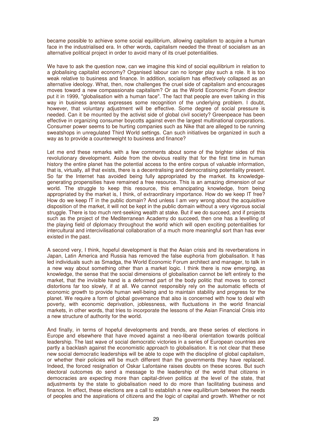became possible to achieve some social equilibrium, allowing capitalism to acquire a human face in the industrialised era. In other words, capitalism needed the threat of socialism as an alternative political project in order to avoid many of its cruel potentialities.

We have to ask the question now, can we imagine this kind of social equilibrium in relation to a globalising capitalist economy? Organised labour can no longer play such a role. It is too weak relative to business and finance. In addition, socialism has effectively collapsed as an alternative ideology. What, then, now challenges the cruel side of capitalism and encourages moves toward a new compassionate capitalism? Or as the World Economic Forum director put it in 1999, "globalisation with a human face". The fact that people are even talking in this way in business arenas expresses some recognition of the underlying problem. I doubt, however, that voluntary adjustment will be effective. Some degree of social pressure is needed. Can it be mounted by the activist side of global civil society? Greenpeace has been effective in organizing consumer boycotts against even the largest multinational corporations. Consumer power seems to be hurting companies such as Nike that are alleged to be running sweatshops in unregulated Third World settings. Can such initiatives be organized in such a way as to provide a counterweight to business and finance?

Let me end these remarks with a few comments about some of the brighter sides of this revolutionary development. Aside from the obvious reality that for the first time in human history the entire planet has the potential access to the entire corpus of valuable information, that is, virtually, all that exists, there is a decentralising and democratising potentiality present. So far the Internet has avoided being fully appropriated by the market. Its knowledgegenerating propensities have remained a free resource. This is an amazing dimension of our world. The struggle to keep this resource, this emancipating knowledge, from being appropriated by the market is, I think, of extraordinary importance. How do we keep IT free? How do we keep IT in the public domain? And unless I am very wrong about the acquisitive disposition of the market, it will not be kept in the public domain without a very vigorous social struggle. There is too much rent-seeking wealth at stake. But if we do succeed, and if projects such as the project of the Mediterranean Academy do succeed, then one has a levelling of the playing field of diplomacy throughout the world which will open exciting potentialities for intercultural and intercivilisational collaboration of a much more meaningful sort than has ever existed in the past.

A second very, I think, hopeful development is that the Asian crisis and its reverberations in Japan, Latin America and Russia has removed the false euphoria from globalisation. It has led individuals such as Smadga, the World Economic Forum architect and manager, to talk in a new way about something other than a market logic. I think there is now emerging, as knowledge, the sense that the social dimensions of globalisation cannot be left entirely to the market, that the invisible hand is a deformed part of the body politic that moves to correct distortions far too slowly, if at all. We cannot responsibly rely on the automatic effects of economic growth to provide human well-being and to maintain stability and progress for the planet. We require a form of global governance that also is concerned with how to deal with poverty, with economic deprivation, joblessness, with fluctuations in the world financial markets, in other words, that tries to incorporate the lessons of the Asian Financial Crisis into a new structure of authority for the world.

And finally, in terms of hopeful developments and trends, are these series of elections in Europe and elsewhere that have moved against a neo-liberal orientation towards political leadership. The last wave of social democratic victories in a series of European countries are partly a backlash against the economistic approach to globalisation. It is not clear that these new social democratic leaderships will be able to cope with the discipline of global capitalism, or whether their policies will be much different than the governments they have replaced. Indeed, the forced resignation of Oskar Lafontaine raises doubts on these scores. But such electoral outcomes do send a message to the leadership of the world that citizens in democracies are expecting more than capital-driven politics at the level of the state, that adjustments by the state to globalisation need to do more than facilitating business and finance. In effect, these elections are a call to establish a new equilibrium between the needs of peoples and the aspirations of citizens and the logic of capital and growth. Whether or not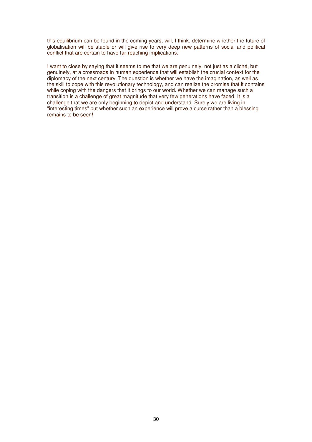this equilibrium can be found in the coming years, will, I think, determine whether the future of globalisation will be stable or will give rise to very deep new patterns of social and political conflict that are certain to have far-reaching implications.

I want to close by saying that it seems to me that we are genuinely, not just as a cliché, but genuinely, at a crossroads in human experience that will establish the crucial context for the diplomacy of the next century. The question is whether we have the imagination, as well as the skill to cope with this revolutionary technology, and can realize the promise that it contains while coping with the dangers that it brings to our world. Whether we can manage such a transition is a challenge of great magnitude that very few generations have faced. It is a challenge that we are only beginning to depict and understand. Surely we are living in "interesting times" but whether such an experience will prove a curse rather than a blessing remains to be seen!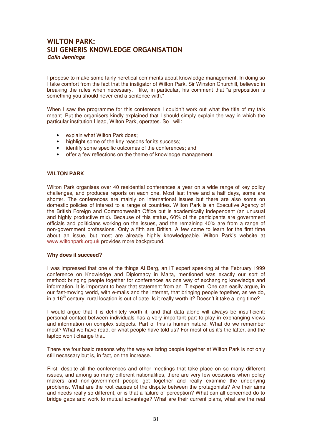# WILTON PARK: SUI GENERIS KNOWLEDGE ORGANISATION **Colin Jennings**

I propose to make some fairly heretical comments about knowledge management. In doing so I take comfort from the fact that the instigator of Wilton Park, Sir Winston Churchill, believed in breaking the rules when necessary. I like, in particular, his comment that "a preposition is something you should never end a sentence with."

When I saw the programme for this conference I couldn't work out what the title of my talk meant. But the organisers kindly explained that I should simply explain the way in which the particular institution I lead, Wilton Park, operates. So I will:

- explain what Wilton Park does;
- highlight some of the key reasons for its success:
- identify some specific outcomes of the conferences; and
- offer a few reflections on the theme of knowledge management.

#### **WILTON PARK**

Wilton Park organises over 40 residential conferences a year on a wide range of key policy challenges, and produces reports on each one. Most last three and a half days, some are shorter. The conferences are mainly on international issues but there are also some on domestic policies of interest to a range of countries. Wilton Park is an Executive Agency of the British Foreign and Commonwealth Office but is academically independent (an unusual and highly productive mix). Because of this status, 60% of the participants are government officials and politicians working on the issues, and the remaining 40% are from a range of non-government professions. Only a fifth are British. A few come to learn for the first time about an issue, but most are already highly knowledgeable. Wilton Park's website at www.wiltonpark.org.uk provides more background.

#### **Why does it succeed?**

I was impressed that one of the things Al Berg, an IT expert speaking at the February 1999 conference on Knowledge and Diplomacy in Malta, mentioned was exactly our sort of method: bringing people together for conferences as one way of exchanging knowledge and information. It is important to hear that statement from an IT expert. One can easily argue, in our fast-moving world, with e-mails and the internet, that bringing people together, as we do, in a 16<sup>th</sup> century, rural location is out of date. Is it really worth it? Doesn't it take a long time?

I would argue that it is definitely worth it, and that data alone will always be insufficient: personal contact between individuals has a very important part to play in exchanging views and information on complex subjects. Part of this is human nature. What do we remember most? What we have read, or what people have told us? For most of us it's the latter, and the laptop won't change that.

There are four basic reasons why the way we bring people together at Wilton Park is not only still necessary but is, in fact, on the increase.

First, despite all the conferences and other meetings that take place on so many different issues, and among so many different nationalities, there are very few occasions when policy makers and non-government people get together and really examine the underlying problems. What are the root causes of the dispute between the protagonists? Are their aims and needs really so different, or is that a failure of perception? What can all concerned do to bridge gaps and work to mutual advantage? What are their current plans, what are the real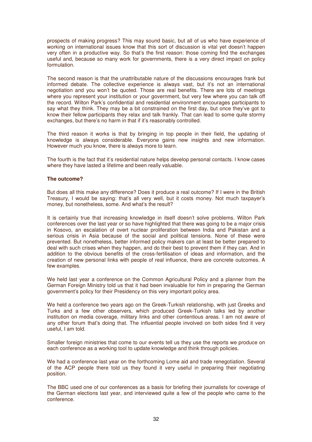prospects of making progress? This may sound basic, but all of us who have experience of working on international issues know that this sort of discussion is vital yet doesn't happen very often in a productive way. So that's the first reason: those coming find the exchanges useful and, because so many work for governments, there is a very direct impact on policy formulation.

The second reason is that the unattributable nature of the discussions encourages frank but informed debate. The collective experience is always vast, but it's not an international negotiation and you won't be quoted. Those are real benefits. There are lots of meetings where you represent your institution or your government, but very few where you can talk off the record. Wilton Park's confidential and residential environment encourages participants to say what they think. They may be a bit constrained on the first day, but once they've got to know their fellow participants they relax and talk frankly. That can lead to some quite stormy exchanges, but there's no harm in that if it's reasonably controlled.

The third reason it works is that by bringing in top people in their field, the updating of knowledge is always considerable. Everyone gains new insights and new information. However much you know, there is always more to learn.

The fourth is the fact that it's residential nature helps develop personal contacts. I know cases where they have lasted a lifetime and been really valuable.

#### **The outcome?**

But does all this make any difference? Does it produce a real outcome? If I were in the British Treasury, I would be saying: that's all very well, but it costs money. Not much taxpayer's money, but nonetheless, some. And what's the result?

It is certainly true that increasing knowledge in itself doesn't solve problems. Wilton Park conferences over the last year or so have highlighted that there was going to be a major crisis in Kosovo, an escalation of overt nuclear proliferation between India and Pakistan and a serious crisis in Asia because of the social and political tensions. None of these were prevented. But nonetheless, better informed policy makers can at least be better prepared to deal with such crises when they happen, and do their best to prevent them if they can. And in addition to the obvious benefits of the cross-fertilisation of ideas and information, and the creation of new personal links with people of real influence, there are concrete outcomes. A few examples.

We held last year a conference on the Common Agricultural Policy and a planner from the German Foreign Ministry told us that it had been invaluable for him in preparing the German government's policy for their Presidency on this very important policy area.

We held a conference two years ago on the Greek-Turkish relationship, with just Greeks and Turks and a few other observers, which produced Greek-Turkish talks led by another institution on media coverage, military links and other contentious areas. I am not aware of any other forum that's doing that. The influential people involved on both sides find it very useful, I am told.

Smaller foreign ministries that come to our events tell us they use the reports we produce on each conference as a working tool to update knowledge and think through policies.

We had a conference last year on the forthcoming Lome aid and trade renegotiation. Several of the ACP people there told us they found it very useful in preparing their negotiating position.

The BBC used one of our conferences as a basis for briefing their journalists for coverage of the German elections last year, and interviewed quite a few of the people who came to the conference.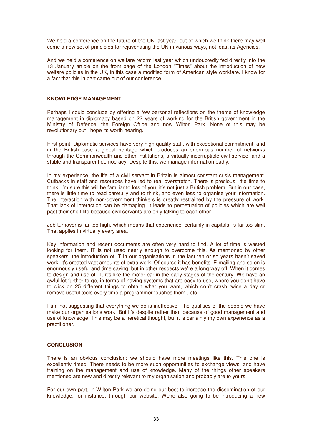We held a conference on the future of the UN last year, out of which we think there may well come a new set of principles for rejuvenating the UN in various ways, not least its Agencies.

And we held a conference on welfare reform last year which undoubtedly fed directly into the 13 January article on the front page of the London "Times" about the introduction of new welfare policies in the UK, in this case a modified form of American style workfare. I know for a fact that this in part came out of our conference.

#### **KNOWLEDGE MANAGEMENT**

Perhaps I could conclude by offering a few personal reflections on the theme of knowledge management in diplomacy based on 22 years of working for the British government in the Ministry of Defence, the Foreign Office and now Wilton Park. None of this may be revolutionary but I hope its worth hearing.

First point. Diplomatic services have very high quality staff, with exceptional commitment, and in the British case a global heritage which produces an enormous number of networks through the Commonwealth and other institutions, a virtually incorruptible civil service, and a stable and transparent democracy. Despite this, we manage information badly.

In my experience, the life of a civil servant in Britain is almost constant crisis management. Cutbacks in staff and resources have led to real overstretch. There is precious little time to think. I'm sure this will be familiar to lots of you, it's not just a British problem. But in our case, there is little time to read carefully and to think, and even less to organise your information. The interaction with non-government thinkers is greatly restrained by the pressure of work. That lack of interaction can be damaging. It leads to perpetuation of policies which are well past their shelf life because civil servants are only talking to each other.

Job turnover is far too high, which means that experience, certainly in capitals, is far too slim. That applies in virtually every area.

Key information and recent documents are often very hard to find. A lot of time is wasted looking for them. IT is not used nearly enough to overcome this. As mentioned by other speakers, the introduction of IT in our organisations in the last ten or so years hasn't saved work. It's created vast amounts of extra work. Of course it has benefits. E-mailing and so on is enormously useful and time saving, but in other respects we're a long way off. When it comes to design and use of IT, it's like the motor car in the early stages of the century. We have an awful lot further to go, in terms of having systems that are easy to use, where you don't have to click on 25 different things to obtain what you want, which don't crash twice a day or remove useful tools every time a programmer touches them , etc.

I am not suggesting that everything we do is ineffective. The qualities of the people we have make our organisations work. But it's despite rather than because of good management and use of knowledge. This may be a heretical thought, but it is certainly my own experience as a practitioner.

## **CONCLUSION**

There is an obvious conclusion: we should have more meetings like this. This one is excellently timed. There needs to be more such opportunities to exchange views, and have training on the management and use of knowledge. Many of the things other speakers mentioned are new and directly relevant to my organisation and probably are to yours.

For our own part, in Wilton Park we are doing our best to increase the dissemination of our knowledge, for instance, through our website. We're also going to be introducing a new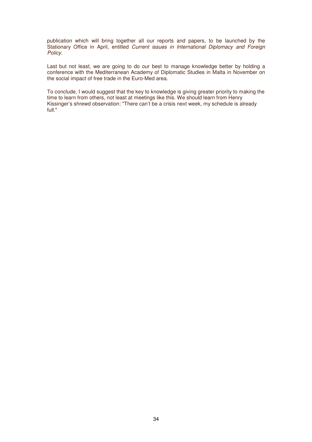publication which will bring together all our reports and papers, to be launched by the Stationary Office in April, entitled Current issues in International Diplomacy and Foreign Policy.

Last but not least, we are going to do our best to manage knowledge better by holding a conference with the Mediterranean Academy of Diplomatic Studies in Malta in November on the social impact of free trade in the Euro-Med area.

To conclude, I would suggest that the key to knowledge is giving greater priority to making the time to learn from others, not least at meetings like this. We should learn from Henry Kissinger's shrewd observation: "There can't be a crisis next week, my schedule is already full."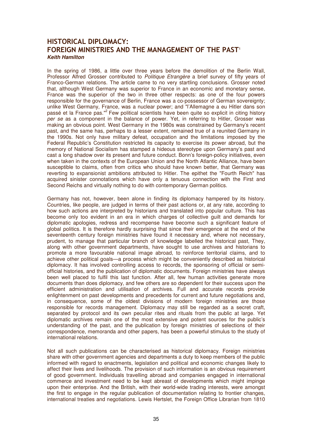## HISTORICAL DIPLOMACY: FOREIGN MINISTRIES AND THE MANAGEMENT OF THE PAST<sup>1</sup> **Keith Hamilton**

In the spring of 1986, a little over three years before the demolition of the Berlin Wall, Professor Alfred Grosser contributed to *Politique Etrangère* a brief survey of fifty years of Franco-German relations. The article came to no very startling conclusions. Grosser noted that, although West Germany was superior to France in an economic and monetary sense, France was the superior of the two in three other respects: as one of the four powers responsible for the governance of Berlin, France was a co-possessor of German sovereignty; unlike West Germany, France, was a nuclear power; and "l'Allemagne a eu Hitler dans son passé et la France pas."<sup>2</sup> Few political scientists have been quite so explicit in citing history per se as a component in the balance of power. Yet, in referring to Hitler, Grosser was making an obvious point. West Germany in the 1980s was constrained by Germany's recent past, and the same has, perhaps to a lesser extent, remained true of a reunited Germany in the 1990s. Not only have military defeat, occupation and the limitations imposed by the Federal Republic's Constitution restricted its capacity to exercise its power abroad, but the memory of National Socialism has stamped a hideous stereotype upon Germany's past and cast a long shadow over its present and future conduct. Bonn's foreign-policy initiatives, even when taken in the contexts of the European Union and the North Atlantic Alliance, have been susceptible to claims, often from critics who should have known better, that Germany was reverting to expansionist ambitions attributed to Hitler. The epithet the "Fourth Reich" has acquired sinister connotations which have only a tenuous connection with the First and Second Reichs and virtually nothing to do with contemporary German politics.

Germany has not, however, been alone in finding its diplomacy hampered by its history. Countries, like people, are judged in terms of their past actions or, at any rate, according to how such actions are interpreted by historians and translated into popular culture. This has become only too evident in an era in which charges of collective guilt and demands for diplomatic apologies, redress and recompense have become such a significant feature of global politics. It is therefore hardly surprising that since their emergence at the end of the seventeenth century foreign ministries have found it necessary and, where not necessary, prudent, to manage that particular branch of knowledge labelled the historical past, They, along with other government departments, have sought to use archives and historians to promote a more favourable national image abroad, to reinforce territorial claims, and to achieve other political goals—a process which might be conveniently described as historical diplomacy. It has involved controlling access to records, the sponsoring of official or semiofficial histories, and the publication of diplomatic documents. Foreign ministries have always been well placed to fulfil this last function. After all, few human activities generate more documents than does diplomacy, and few others are so dependent for their success upon the efficient administration and utilisation of archives. Full and accurate records provide enlightenment on past developments and precedents for current and future negotiations and, in consequence, some of the oldest divisions of modern foreign ministries are those responsible for records management. Diplomacy may still be regarded as a secret craft, separated by protocol and its own peculiar rites and rituals from the public at large. Yet diplomatic archives remain one of the most extensive and potent sources for the public's understanding of the past, and the publication by foreign ministries of selections of their correspondence, memoranda and other papers, has been a powerful stimulus to the study of international relations.

Not all such publications can be characterised as historical diplomacy. Foreign ministries share with other government agencies and departments a duty to keep members of the public informed with regard to enactments, legislation and political and economic changes likely to affect their lives and livelihoods. The provision of such information is an obvious requirement of good government. Individuals travelling abroad and companies engaged in international commerce and investment need to be kept abreast of developments which might impinge upon their enterprise. And the British, with their world-wide trading interests, were amongst the first to engage in the regular publication of documentation relating to frontier changes, international treaties and negotiations. Lewis Hertslet, the Foreign Office Librarian from 1810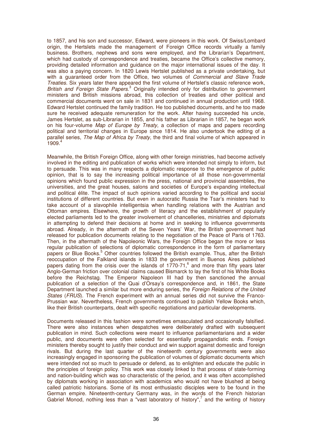to 1857, and his son and successor, Edward, were pioneers in this work. Of Swiss/Lombard origin, the Hertslets made the management of Foreign Office records virtually a family business. Brothers, nephews and sons were employed, and the Librarian's Department, which had custody of correspondence and treaties, became the Office's collective memory, providing detailed information and guidance on the major international issues of the day. It was also a paying concern. In 1820 Lewis Hertslet published as a private undertaking, but with a guaranteed order from the Office, two volumes of Commercial and Slave Trade Treaties. Six years later there appeared the first volume of Hertslet's classic reference work, British and Foreign State Papers.<sup>3</sup> Originally intended only for distribution to government ministers and British missions abroad, this collection of treaties and other political and commercial documents went on sale in 1831 and continued in annual production until 1968. Edward Hertslet continued the family tradition. He too published documents, and he too made sure he received adequate remuneration for the work. After having succeeded his uncle, James Hertslet, as sub-Librarian in 1855, and his father as Librarian in 1857, he began work on his four-volume Map of Europe by Treaty, a collection of maps and papers recording political and territorial changes in Europe since 1814. He also undertook the editing of a parallel series, The Map of Africa by Treaty, the third and final volume of which appeared in  $1909.<sup>4</sup>$ 

Meanwhile, the British Foreign Office, along with other foreign ministries, had become actively involved in the editing and publication of works which were intended not simply to inform, but to persuade. This was in many respects a diplomatic response to the emergence of public opinion, that is to say the increasing political importance of all those non-governmental opinions which found public expression in the press, national and provincial assemblies, the universities, and the great houses, salons and societies of Europe's expanding intellectual and political élite. The impact of such opinions varied according to the political and social institutions of different countries. But even in autocratic Russia the Tsar's ministers had to take account of a slavophile intelligentsia when handling relations with the Austrian and Ottoman empires. Elsewhere, the growth of literacy and the establishment of popularly elected parliaments led to the greater involvement of chancelleries, ministries and diplomats in attempting to defend their decisions at home and in seeking to influence governments abroad. Already, in the aftermath of the Seven Years' War, the British government had released for publication documents relating to the negotiation of the Peace of Paris of 1763. Then, in the aftermath of the Napoleonic Wars, the Foreign Office began the more or less regular publication of selections of diplomatic correspondence in the form of parliamentary papers or Blue Books.<sup>5</sup> Other countries followed the British example. Thus, after the British reoccupation of the Falkland islands in 1833 the government in Buenos Aires published papers dating from the crisis over the islands of  $1770-71$ , and more than fifty years later Anglo-German friction over colonial claims caused Bismarck to lay the first of his White Books before the Reichstag. The Emperor Napoleon III had by then sanctioned the annual publication of a selection of the Quai d'Orsay's correspondence and, in 1861, the State Department launched a similar but more enduring series, the Foreign Relations of the United States (FRUS). The French experiment with an annual series did not survive the Franco-Prussian war. Nevertheless, French governments continued to publish Yellow Books which, like their British counterparts, dealt with specific negotiations and particular developments.

Documents released in this fashion were sometimes emasculated and occasionally falsified. There were also instances when despatches were deliberately drafted with subsequent publication in mind. Such collections were meant to influence parliamentarians and a wider public, and documents were often selected for essentially propagandistic ends. Foreign ministers thereby sought to justify their conduct and win support against domestic and foreign rivals. But during the last quarter of the nineteenth century governments were also increasingly engaged in sponsoring the publication of volumes of diplomatic documents which were intended not so much to persuade or defend, as to enlighten and educate the public in the principles of foreign policy. This work was closely linked to that process of state-forming and nation-building which was so characteristic of the period, and it was often accomplished by diplomats working in association with academics who would not have blushed at being called patriotic historians. Some of its most enthusiastic disciples were to be found in the German empire. Nineteenth-century Germany was, in the words of the French historian Gabriel Monod, nothing less than a "vast laboratory of history",<sup>7</sup> and the writing of history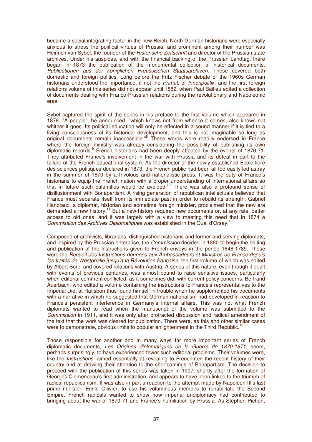became a social integrating factor in the new Reich. North German historians were especially anxious to stress the political virtues of Prussia, and prominent among their number was Heinrich von Sybel, the founder of the Historische Zeitschrift and director of the Prussian state archives. Under his auspices, and with the financial backing of the Prussian Landtag, there began in 1873 the publication of the monumental collection of historical documents, Publicationen aus der königlichen Preussischen Staatsarchiven. These covered both domestic and foreign politics. Long before the Fritz Fischer debate of the 1960s German historians understood the importance, if not the Primat, of Innenpolitik, and the first foreign relations volume of this series did not appear until 1882, when Paul Bailleu edited a collection of documents dealing with Franco-Prussian relations during the revolutionary and Napoleonic eras.

Sybel captured the spirit of the series in his preface to the first volume which appeared in 1878. "A people", he announced, "which knows not from whence it comes, also knows not whither it goes. Its political education will only be effected in a sound manner if it is tied to a living consciousness of its historical development, and this is not imaginable so long as original documents remain inaccessible."<sup>8</sup> These words were readily endorsed in France where the foreign ministry was already considering the possibility of publishing its own diplomatic records.<sup>9</sup> French historians had been deeply affected by the events of 1870-71. They attributed France's involvement in the war with Prussia and its defeat in part to the failure of the French educational system. As the director of the newly-established Ecole libre des sciences politiques declared in 1873, the French public had been all too easily led astray in the summer of 1870 by a frivolous and nationalistic press. It was the duty of France's historians to equip the French nation with a proper understanding of international affairs so that in future such calamities would be avoided.<sup>10</sup> There was also a profound sense of disillusionment with Bonapartism. A rising generation of republican intellectuals believed that France must separate itself from its immediate past in order to rebuild its strength. Gabriel Hanotaux, a diplomat, historian and sometime foreign minister, proclaimed that the new era demanded a new history.<sup>11</sup> But a new history required new documents or, at any rate, better access to old ones; and it was largely with a view to meeting this need that in 1874 a Commission des Archives Diplomatiques was established in the Quai d'Orsay.<sup>12</sup>

Composed of archivists, librarians, distinguished historians and former and serving diplomats, and inspired by the Prussian enterprise, the Commission decided in 1880 to begin the editing and publication of the instructions given to French envoys in the period 1648-1789. These were the Recueil des Instructions données aux Ambassadeurs et Ministres de France depuis les traités de Westphalie jusqu'à la Révolution française, the first volume of which was edited by Albert Sorel and covered relations with Austria. A series of this nature, even though it dealt with events of previous centuries, was almost bound to raise sensitive issues, particularly when editorial comment conflicted, as it sometimes did, with current policy concerns. Bertrand Auerbach, who edited a volume containing the instructions to France's representatives to the Imperial Diet at Ratisbon thus found himself in trouble when he supplemented his documents with a narrative in which he suggested that German nationalism had developed in reaction to France's persistent interference in Germany's internal affairs. This was not what French diplomats wanted to read when the manuscript of the volume was submitted to the Commission in 1911, and it was only after protracted discussion and radical amendment of the text that the work was cleared for publication. There were, as this and other similar cases were to demonstrate, obvious limits to popular enlightenment in the Third Republic.<sup>13</sup>

Those responsible for another and in many ways far more important series of French diplomatic documents, Les Origines diplomatiques de la Guerre de 1870-1871, seem, perhaps surprisingly, to have experienced fewer such editorial problems. Their volumes were, like the *Instructions*, aimed essentially at revealing to Frenchmen the recent history of their country and at drawing their attention to the shortcomings of Bonapartism. The decision to proceed with the publication of this series was taken in 1907, shortly after the formation of Georges Clemenceau's first administration, and appears to have been linked to the triumph of radical republicanism. It was also in part a reaction to the attempt made by Napoleon III's last prime minister, Emile Ollivier, to use his voluminous memoirs to rehabilitate the Second Empire. French radicals wanted to show how imperial undiplomacy had contributed to bringing about the war of 1870-71 and France's humiliation by Prussia. As Stephen Pichon,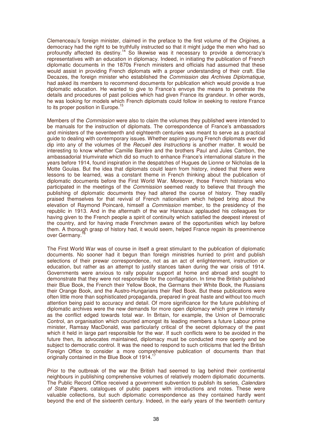Clemenceau's foreign minister, claimed in the preface to the first volume of the Origines, a democracy had the right to be truthfully instructed so that it might judge the men who had so profoundly affected its destiny.<sup>14</sup> So likewise was it necessary to provide a democracy's representatives with an education in diplomacy. Indeed, in initiating the publication of French diplomatic documents in the 1870s French ministers and officials had assumed that these would assist in providing French diplomats with a proper understanding of their craft. Elie Decazes, the foreign minister who established the Commission des Archives Diplomatique, had asked its members to recommend documents for publication which would provide a true diplomatic education. He wanted to give to France's envoys the means to penetrate the details and procedures of past policies which had given France its grandeur. In other words, he was looking for models which French diplomats could follow in seeking to restore France to its proper position in Europe.<sup>1</sup>

Members of the Commission were also to claim the volumes they published were intended to be manuals for the instruction of diplomats. The correspondence of France's ambassadors and ministers of the seventeenth and eighteenth centuries was meant to serve as a practical guide to dealing with contemporary issues. Whether aspiring young French diplomats ever did dip into any of the volumes of the Recueil des Instructions is another matter. It would be interesting to know whether Camille Barrère and the brothers Paul and Jules Cambon, the ambassadorial triumvirate which did so much to enhance France's international stature in the years before 1914, found inspiration in the despatches of Hugues de Lionne or Nicholas de la Motte Goulas. But the idea that diplomats could learn from history, indeed that there were lessons to be learned, was a constant theme in French thinking about the publication of diplomatic documents before the First World War. Moreover, those French historians who participated in the meetings of the Commission seemed ready to believe that through the publishing of diplomatic documents they had altered the course of history. They readily praised themselves for that revival of French nationalism which helped bring about the elevation of Raymond Poincaré, himself a Commission member, to the presidency of the republic in 1913. And in the aftermath of the war Hanotaux applauded his colleagues for having given to the French people a spirit of continuity which satisfied the deepest interest of the country, and for having made Frenchmen aware of the opportunities which lay before them. A thorough grasp of history had, it would seem, helped France regain its preeminence over Germany.<sup>16</sup>

The First World War was of course in itself a great stimulant to the publication of diplomatic documents. No sooner had it begun than foreign ministries hurried to print and publish selections of their prewar correspondence, not as an act of enlightenment, instruction or education, but rather as an attempt to justify stances taken during the war crisis of 1914. Governments were anxious to rally popular support at home and abroad and sought to demonstrate that they were not responsible for the conflagration. In time the British published their Blue Book, the French their Yellow Book, the Germans their White Book, the Russians their Orange Book, and the Austro-Hungarians their Red Book. But these publications were often little more than sophisticated propaganda, prepared in great haste and without too much attention being paid to accuracy and detail. Of more significance for the future publishing of diplomatic archives were the new demands for more open diplomacy which grew in intensity as the conflict edged towards total war. In Britain, for example, the Union of Democratic Control, an organisation which counted amongst its leading members a future Labour prime minister, Ramsay MacDonald, was particularly critical of the secret diplomacy of the past which it held in large part responsible for the war. If such conflicts were to be avoided in the future then, its advocates maintained, diplomacy must be conducted more openly and be subject to democratic control. It was the need to respond to such criticisms that led the British Foreign Office to consider a more comprehensive publication of documents than that originally contained in the Blue Book of 1914.<sup>17</sup>

Prior to the outbreak of the war the British had seemed to lag behind their continental neighbours in publishing comprehensive volumes of relatively modern diplomatic documents. The Public Record Office received a government subvention to publish its series, Calendars of State Papers, catalogues of public papers with introductions and notes. These were valuable collections, but such diplomatic correspondence as they contained hardly went beyond the end of the sixteenth century. Indeed, in the early years of the twentieth century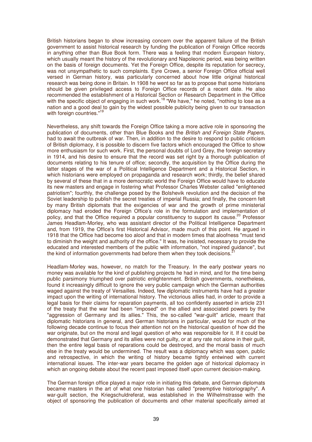British historians began to show increasing concern over the apparent failure of the British government to assist historical research by funding the publication of Foreign Office records in anything other than Blue Book form. There was a feeling that modern European history, which usually meant the history of the revolutionary and Napoleonic period, was being written on the basis of foreign documents. Yet the Foreign Office, despite its reputation for secrecy, was not unsympathetic to such complaints. Eyre Crowe, a senior Foreign Office official well versed in German history, was particularly concerned about how little original historical research was being done in Britain. In 1908 he went so far as to propose that some historians should be given privileged access to Foreign Office records of a recent date. He also recommended the establishment of a Historical Section or Research Department in the Office with the specific object of engaging in such work.<sup>18</sup> "We have," he noted, "nothing to lose as a nation and a good deal to gain by the widest possible publicity being given to our transaction with foreign countries."<sup>19</sup>

Nevertheless, any shift towards the Foreign Office taking a more active role in sponsoring the publication of documents, other than Blue Books and the British and Foreign State Papers, had to await the outbreak of war. Then, in addition to the desire to respond to public criticism of British diplomacy, it is possible to discern five factors which encouraged the Office to show more enthusiasm for such work. First, the personal doubts of Lord Grey, the foreign secretary in 1914, and his desire to ensure that the record was set right by a thorough publication of documents relating to his tenure of office; secondly, the acquisition by the Office during the latter stages of the war of a Political Intelligence Department and a Historical Section, in which historians were employed on propaganda and research work; thirdly, the belief shared by several of these that in a more democratic world the Foreign Office would have to educate its new masters and engage in fostering what Professor Charles Webster called "enlightened patriotism"; fourthly, the challenge posed by the Bolshevik revolution and the decision of the Soviet leadership to publish the secret treaties of imperial Russia; and finally, the concern felt by many British diplomats that the exigencies of war and the growth of prime ministerial diplomacy had eroded the Foreign Office's role in the formulation and implementation of policy, and that the Office required a popular constituency to support its cause.<sup>20</sup> Professor James Headlam-Morley, who was assistant director of the Political Intelligence Department and, from 1919, the Office's first Historical Advisor, made much of this point. He argued in 1918 that the Office had become too aloof and that in modern times that aloofness "must tend to diminish the weight and authority of the office." It was, he insisted, necessary to provide the educated and interested members of the public with information, "not inspired guidance", but the kind of information governments had before them when they took decisions.

Headlam-Morley was, however, no match for the Treasury. In the early postwar years no money was available for the kind of publishing projects he had in mind, and for the time being public parsimony triumphed over patriotic enlightenment. British governments, nonetheless, found it increasingly difficult to ignore the very public campaign which the German authorities waged against the treaty of Versailles. Indeed, few diplomatic instruments have had a greater impact upon the writing of international history. The victorious allies had, in order to provide a legal basis for their claims for reparation payments, all too confidently asserted in article 231 of the treaty that the war had been "imposed" on the allied and associated powers by the "aggression of Germany and its allies." This, the so-called "war-guilt" article, meant that diplomatic historians in general, and German historians in particular, would for much of the following decade continue to focus their attention not on the historical question of how did the war originate, but on the moral and legal question of who was responsible for it. If it could be demonstrated that Germany and its allies were not guilty, or at any rate not alone in their guilt, then the entire legal basis of reparations could be destroyed, and the moral basis of much else in the treaty would be undermined. The result was a diplomacy which was open, public and retrospective, in which the writing of history became tightly entwined with current international issues. The inter-war years became the golden age of historical diplomacy in which an ongoing debate about the recent past imposed itself upon current decision-making.

The German foreign office played a major role in initiating this debate, and German diplomats became masters in the art of what one historian has called "preemptive historiography". A war-guilt section, the Kriegschuldreferat, was established in the Wilhelmstrasse with the object of sponsoring the publication of documents and other material specifically aimed at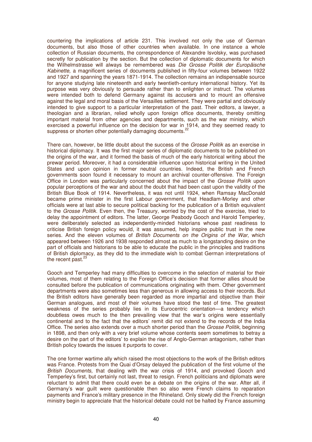countering the implications of article 231. This involved not only the use of German documents, but also those of other countries when available. In one instance a whole collection of Russian documents, the correspondence of Alexandre Isvolsky, was purchased secretly for publication by the section. But the collection of diplomatic documents for which the Wilhelmstrasse will always be remembered was Die Grosse Politik der Europäische Kabinette, a magnificent series of documents published in fifty-four volumes between 1922 and 1927 and spanning the years 1871-1914. The collection remains an indispensable source for anyone studying late nineteenth and early twentieth-century international history. Yet its purpose was very obviously to persuade rather than to enlighten or instruct. The volumes were intended both to defend Germany against its accusers and to mount an offensive against the legal and moral basis of the Versailles settlement. They were partial and obviously intended to give support to a particular interpretation of the past. Their editors, a lawyer, a theologian and a librarian, relied wholly upon foreign office documents, thereby omitting important material from other agencies and departments, such as the war ministry, which exercised a powerful influence on the decision for war in 1914, and they seemed ready to suppress or shorten other potentially damaging documents.<sup>22</sup>

There can, however, be little doubt about the success of the *Grosse Politik* as an exercise in historical diplomacy. It was the first major series of diplomatic documents to be published on the origins of the war, and it formed the basis of much of the early historical writing about the prewar period. Moreover, it had a considerable influence upon historical writing in the United States and upon opinion in former neutral countries. Indeed, the British and French governments soon found it necessary to mount an archival counter-offensive. The Foreign Office in London was particularly concerned about the impact of the Grosse Politik upon popular perceptions of the war and about the doubt that had been cast upon the validity of the British Blue Book of 1914. Nevertheless, it was not until 1924, when Ramsay MacDonald became prime minister in the first Labour government, that Headlam-Morley and other officials were at last able to secure political backing for the publication of a British equivalent to the Grosse Politik. Even then, the Treasury, worried by the cost of the exercise, tried to delay the appointment of editors. The latter, George Peabody Gooch and Harold Temperley, were deliberately selected as independently-minded historians whose past readiness to criticise British foreign policy would, it was assumed, help inspire public trust in the new series. And the eleven volumes of British Documents on the Origins of the War, which appeared between 1926 and 1938 responded almost as much to a longstanding desire on the part of officials and historians to be able to educate the public in the principles and traditions of British diplomacy, as they did to the immediate wish to combat German interpretations of the recent past.<sup>23</sup>

Gooch and Temperley had many difficulties to overcome in the selection of material for their volumes, most of them relating to the Foreign Office's decision that former allies should be consulted before the publication of communications originating with them. Other government departments were also sometimes less than generous in allowing access to their records. But the British editors have generally been regarded as more impartial and objective than their German analogues, and most of their volumes have stood the test of time. The greatest weakness of the series probably lies in its Eurocentric orientation—a tendency which doubtless owes much to the then prevailing view that the war's origins were essentially continental and to the fact that the editors' remit did not extend to the records of the India Office. The series also extends over a much shorter period than the *Grosse Politik*, beginning in 1898, and then only with a very brief volume whose contents seem sometimes to betray a desire on the part of the editors' to explain the rise of Anglo-German antagonism, rather than British policy towards the issues it purports to cover.

The one former wartime ally which raised the most objections to the work of the British editors was France. Protests from the Quai d'Orsay delayed the publication of the first volume of the British Documents, that dealing with the war crisis of 1914, and provoked Gooch and Temperley's first, but certainly not last, threat to resign. French politicians and diplomats were reluctant to admit that there could even be a debate on the origins of the war. After all, if Germany's war guilt were questionable then so also were French claims to reparation payments and France's military presence in the Rhineland. Only slowly did the French foreign ministry begin to appreciate that the historical debate could not be halted by France assuming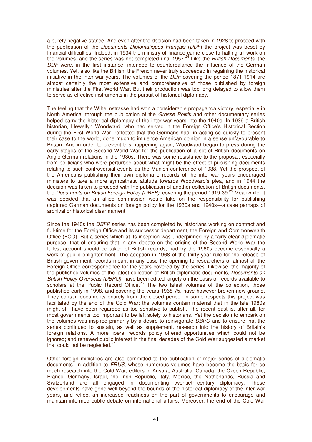a purely negative stance. And even after the decision had been taken in 1928 to proceed with the publication of the *Documents Diplomatiques Français* (DDF) the project was beset by financial difficulties. Indeed, in 1934 the ministry of finance came close to halting all work on the volumes, and the series was not completed until 1957.<sup>24</sup> Like the *British Documents*, the DDF were, in the first instance, intended to counterbalance the influence of the German volumes. Yet, also like the British, the French never truly succeeded in regaining the historical initiative in the inter-war years. The volumes of the DDF covering the period 1871-1914 are almost certainly the most extensive and comprehensive of those published by foreign ministries after the First World War. But their production was too long delayed to allow them to serve as effective instruments in the pursuit of historical diplomacy.

The feeling that the Wihelmstrasse had won a considerable propaganda victory, especially in North America, through the publication of the Grosse Politik and other documentary series helped carry the historical diplomacy of the inter-war years into the 1940s. In 1939 a British historian, Llewellyn Woodward, who had served in the Foreign Office's Historical Section during the First World War, reflected that the Germans had, in acting so quickly to present their case to the world, done much to influence American opinion in a sense unfavourable to Britain. And in order to prevent this happening again, Woodward began to press during the early stages of the Second World War for the publication of a set of British documents on Anglo-German relations in the 1930s. There was some resistance to the proposal, especially from politicians who were perturbed about what might be the effect of publishing documents relating to such controversial events as the Munich conference of 1938. Yet the prospect of the Americans publishing their own diplomatic records of the inter-war years encouraged ministers to take a more sympathetic attitude towards Woodward's plea, and in 1944 the decision was taken to proceed with the publication of another collection of British documents, the Documents on British Foreign Policy (DBFP), covering the period 1919-39.<sup>25</sup> Meanwhile, it was decided that an allied commission would take on the responsibility for publishing captured German documents on foreign policy for the 1930s and 1940s—a case perhaps of archival or historical disarmament.

Since the 1940s the DBFP series has been completed by historians working on contract and full-time for the Foreign Office and its successor department, the Foreign and Commonwealth Office (FCO). But a series which at its inception was underpinned by a fairly clear diplomatic purpose, that of ensuring that in any debate on the origins of the Second World War the fullest account should be taken of British records, had by the 1960s become essentially a work of public enlightenment. The adoption in 1968 of the thirty-year rule for the release of British government records meant in any case the opening to researchers of almost all the Foreign Office correspondence for the years covered by the series. Likewise, the majority of the published volumes of the latest collection of British diplomatic documents, Documents on British Policy Overseas (DBPO), have been edited largely on the basis of records available to scholars at the Public Record Office.<sup>26</sup> The two latest volumes of the collection, those published early in 1998, and covering the years 1968-75, have however broken new ground. They contain documents entirely from the closed period. In some respects this project was facilitated by the end of the Cold War: the volumes contain material that in the late 1980s might still have been regarded as too sensitive to publish. The recent past is, after all, for most governments too important to be left solely to historians. Yet the decision to embark on the volumes was inspired primarily by a desire to reinvigorate *DBPO* and to ensure that the series continued to sustain, as well as supplement, research into the history of Britain's foreign relations. A more liberal records policy offered opportunities which could not be ignored; and renewed public interest in the final decades of the Cold War suggested a market that could not be neglected.<sup>27</sup>

Other foreign ministries are also committed to the publication of major series of diplomatic documents. In addition to FRUS, whose numerous volumes have become the basis for so much research into the Cold War, editors in Austria, Australia, Canada, the Czech Republic, France, Germany, Israel, the Irish Republic, Italy, Mexico, the Netherlands, Russia and Switzerland are all engaged in documenting twentieth-century diplomacy. These developments have gone well beyond the bounds of the historical diplomacy of the inter-war years, and reflect an increased readiness on the part of governments to encourage and maintain informed public debate on international affairs. Moreover, the end of the Cold War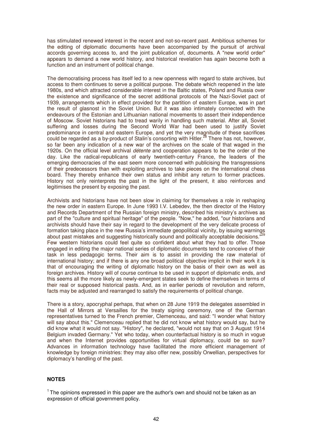has stimulated renewed interest in the recent and not-so-recent past. Ambitious schemes for the editing of diplomatic documents have been accompanied by the pursuit of archival accords governing access to, and the joint publication of, documents. A "new world order" appears to demand a new world history, and historical revelation has again become both a function and an instrument of political change.

The democratising process has itself led to a new openness with regard to state archives, but access to them continues to serve a political purpose. The debate which reopened in the late 1980s, and which attracted considerable interest in the Baltic states, Poland and Russia over the existence and significance of the secret additional protocols of the Nazi-Soviet pact of 1939, arrangements which in effect provided for the partition of eastern Europe, was in part the result of glasnost in the Soviet Union. But it was also intimately connected with the endeavours of the Estonian and Lithuanian national movements to assert their independence of Moscow. Soviet historians had to tread warily in handling such material. After all, Soviet suffering and losses during the Second World War had been used to justify Soviet predominance in central and eastern Europe, and yet the very magnitude of these sacrifices could be regarded as a by-product of Stalin's consorting with Hitler.<sup>28</sup> There has not, however, so far been any indication of a new war of the archives on the scale of that waged in the 1920s. On the official level archival détente and cooperation appears to be the order of the day. Like the radical-republicans of early twentieth-century France, the leaders of the emerging democracies of the east seem more concerned with publicising the transgressions of their predecessors than with exploiting archives to take pieces on the international chess board. They thereby enhance their own status and inhibit any return to former practices. History not only reinterprets the past in the light of the present, it also reinforces and legitimises the present by exposing the past.

Archivists and historians have not been slow in claiming for themselves a role in reshaping the new order in eastern Europe. In June 1993 I.V. Lebedev, the then director of the History and Records Department of the Russian foreign ministry, described his ministry's archives as part of the "culture and spiritual heritage" of the people. "Now," he added, "our historians and archivists should have their say in regard to the development of the very delicate process of formation taking place in the new Russia's immediate geopolitical vicinity, by issuing warnings about past mistakes and suggesting historically sound and politically acceptable decisions." Few western historians could feel quite so confident about what they had to offer. Those engaged in editing the major national series of diplomatic documents tend to conceive of their task in less pedagogic terms. Their aim is to assist in providing the raw material of international history; and if there is any one broad political objective implicit in their work it is that of encouraging the writing of diplomatic history on the basis of their own as well as foreign archives. History will of course continue to be used in support of diplomatic ends, and this seems all the more likely as newly-emergent states seek to define themselves in terms of their real or supposed historical pasts. And, as in earlier periods of revolution and reform, facts may be adjusted and rearranged to satisfy the requirements of political change.

There is a story, apocryphal perhaps, that when on 28 June 1919 the delegates assembled in the Hall of Mirrors at Versailles for the treaty signing ceremony, one of the German representatives turned to the French premier, Clemenceau, and said: "I wonder what history will say about this." Clemenceau replied that he did not know what history would say, but he did know what it would not say. "History", he declared, "would not say that on 3 August 1914 Belgium invaded Germany." Yet who today, when counterfactual history is so much in vogue and when the Internet provides opportunities for virtual diplomacy, could be so sure? Advances in information technology have facilitated the more efficient management of knowledge by foreign ministries: they may also offer new, possibly Orwellian, perspectives for diplomacy's handling of the past.

## **NOTES**

<sup>1</sup> The opinions expressed in this paper are the author's own and should not be taken as an expression of official government policy.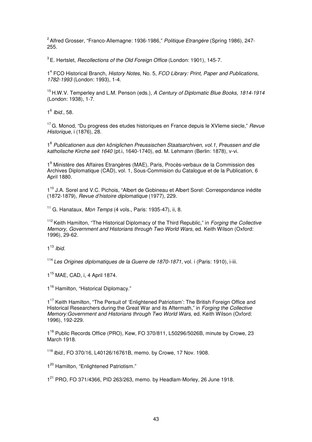<sup>2</sup> Alfred Grosser, "Franco-Allemagne: 1936-1986," Politique Etrangère (Spring 1986). 247-255.

<sup>3</sup> E. Hertslet, *Recollections of the Old Foreign Office* (London: 1901), 145-7.

1<sup>4</sup> FCO Historical Branch, History Notes, No. 5, FCO Library: Print, Paper and Publications, 1782-1993 (London: 1993), 1-4.

<sup>15</sup> H.W.V. Temperley and L.M. Penson (eds.), A Century of Diplomatic Blue Books, 1814-1914 (London: 1938), 1-7.

1<sup>6</sup> *Ibid.*, 58.

<sup>17</sup>G. Monod, "Du progress des etudes historiques en France depuis le XVIeme siecle," *Revue* Historique, i (1876), 28.

1<sup>8</sup> Publicationen aus den königlichen Preussischen Staatsarchiven, vol.1, Preussen and die katholische Kirche seit 1640 (pt.i, 1640-1740), ed. M. Lehmann (Berlin: 1878), v-vi.

1<sup>9</sup> Ministère des Affaires Etrangères (MAE), Paris, Procès-verbaux de la Commission des Archives Diplomatique (CAD), vol. 1, Sous-Commision du Catalogue et de la Publication, 6 April 1880.

1<sup>10</sup> J.A. Sorel and V.C. Pichois, "Albert de Gobineau et Albert Sorel: Correspondance inédite (1872-1879), Revue d'histoire diplomatique (1977), 229.

 $11$  G. Hanataux, Mon Temps (4 vols., Paris: 1935-47), ii, 8.

<sup>112</sup> Keith Hamilton, "The Historical Diplomacy of the Third Republic," in Forging the Collective Memory, Government and Historians through Two World Wars, ed. Keith Wilson (Oxford: 1996), 29-62.

 $1^{13}$  Ibid.

<sup>114</sup>Les Origines diplomatiques de la Guerre de 1870-1871, vol. i (Paris: 1910), i-iii.

1 <sup>15</sup> MAE, CAD, i, 4 April 1874.

1<sup>16</sup> Hamilton, "Historical Diplomacy."

1<sup>17</sup> Keith Hamilton, "The Persuit of 'Enlightened Patriotism': The British Foreign Office and Historical Researchers during the Great War and its Aftermath," in Forging the Collective Memory:Government and Historians through Two World Wars, ed. Keith Wilson (Oxford: 1996), 192-229.

1<sup>18</sup> Public Records Office (PRO), Kew, FO 370/811, L50296/5026B, minute by Crowe, 23 March 1918.

<sup>119</sup> Ibid., FO 370/16, L40126/16761B, memo. by Crowe, 17 Nov. 1908.

1<sup>20</sup> Hamilton, "Enlightened Patriotism."

1 <sup>21</sup> PRO, FO 371/4366, PID 263/263, memo. by Headlam-Morley, 26 June 1918.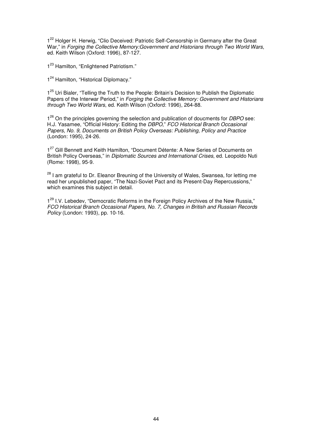1<sup>22</sup> Holger H. Herwig, "Clio Deceived: Patriotic Self-Censorship in Germany after the Great War," in Forging the Collective Memory:Government and Historians through Two World Wars, ed. Keith Wilson (Oxford: 1996), 87-127.

1<sup>23</sup> Hamilton, "Enlightened Patriotism."

1<sup>24</sup> Hamilton, "Historical Diplomacy."

1<sup>25</sup> Uri Bialer, "Telling the Truth to the People: Britain's Decision to Publish the Diplomatic Papers of the Interwar Period," in Forging the Collective Memory: Government and Historians through Two World Wars, ed. Keith Wilson (Oxford: 1996), 264-88.

1<sup>26</sup> On the principles governing the selection and publication of doucments for *DBPO* see: H.J. Yasamee, "Official History: Editing the DBPO," FCO Historical Branch Occasional Papers, No. 9, Documents on British Policy Overseas: Publishing, Policy and Practice (London: 1995), 24-26.

1<sup>27</sup> Gill Bennett and Keith Hamilton, "Document Détente: A New Series of Documents on British Policy Overseas," in *Diplomatic Sources and International Crises*, ed. Leopoldo Nuti (Rome: 1998), 95-9.

<sup>28</sup> I am grateful to Dr. Eleanor Breuning of the University of Wales, Swansea, for letting me read her unpublished paper, "The Nazi-Soviet Pact and its Present-Day Repercussions," which examines this subject in detail.

1<sup>29</sup> I.V. Lebedev, "Democratic Reforms in the Foreign Policy Archives of the New Russia," FCO Historical Branch Occasional Papers, No. 7, Changes in British and Russian Records Policy (London: 1993), pp. 10-16.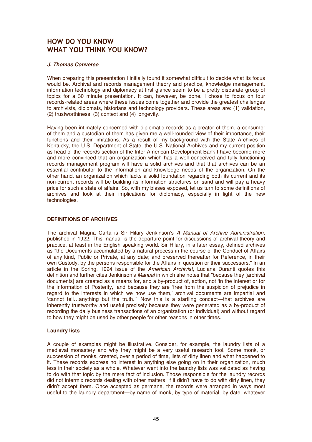## HOW DO YOU KNOW WHAT YOU THINK YOU KNOW?

#### **J. Thomas Converse**

When preparing this presentation I initially found it somewhat difficult to decide what its focus would be. Archival and records management theory and practice, knowledge management, information technology and diplomacy at first glance seem to be a pretty disparate group of topics for a 30 minute presentation. It can, however, be done. I chose to focus on four records-related areas where these issues come together and provide the greatest challenges to archivists, diplomats, historians and technology providers. These areas are: (1) validation, (2) trustworthiness, (3) context and (4) longevity.

Having been intimately concerned with diplomatic records as a creator of them, a consumer of them and a custodian of them has given me a well-rounded view of their importance, their functions and their limitations. As a result of my background with the State Archives of Kentucky, the U.S. Department of State, the U.S. National Archives and my current position as head of the records section of the Inter-American Development Bank I have become more and more convinced that an organization which has a well conceived and fully functioning records management program will have a solid archives and that that archives can be an essential contributor to the information and knowledge needs of the organization. On the other hand, an organization which lacks a solid foundation regarding both its current and its non-current records will be building its information structures on sand and will pay a heavy price for such a state of affairs. So, with my biases exposed, let us turn to some definitions of archives and look at their implications for diplomacy, especially in light of the new technologies.

## **DEFINITIONS OF ARCHIVES**

The archival Magna Carta is Sir Hilary Jenkinson's A Manual of Archive Administration, published in 1922. This manual is the departure point for discussions of archival theory and practice, at least in the English speaking world. Sir Hilary, in a later essay, defined archives as "the Documents accumulated by a natural process in the course of the Conduct of Affairs of any kind, Public or Private, at any date; and preserved thereafter for Reference, in their own Custody, by the persons responsible for the Affairs in question or their successors." In an article in the Spring, 1994 issue of the American Archivist, Luciana Duranti quotes this definition and further cites Jenkinson's Manual in which she notes that "because they [archival] documents] are created as a means for, and a by-product of, action, not 'in the interest or for the information of Posterity,' and because they are 'free from the suspicion of prejudice in regard to the interests in which we now use them,' archival documents are impartial and 'cannot tell…anything but the truth.'" Now this is a startling concept—that archives are inherently trustworthy and useful precisely because they were generated as a by-product of recording the daily business transactions of an organization (or individual) and without regard to how they might be used by other people for other reasons in other times.

## **Laundry lists**

A couple of examples might be illustrative. Consider, for example, the laundry lists of a medieval monastery and why they might be a very useful research tool. Some monk, or succession of monks, created, over a period of time, lists of dirty linen and what happened to it. These records express no interest in anything else going on in their organization, much less in their society as a whole. Whatever went into the laundry lists was validated as having to do with that topic by the mere fact of inclusion. Those responsible for the laundry records did not intermix records dealing with other matters; if it didn't have to do with dirty linen, they didn't accept them. Once accepted as germane, the records were arranged in ways most useful to the laundry department—by name of monk, by type of material, by date, whatever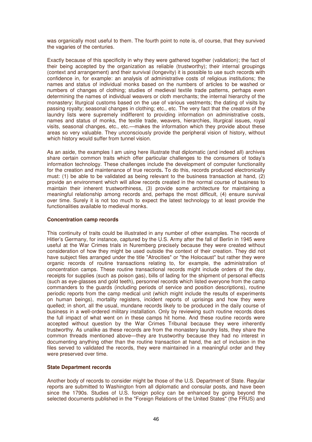was organically most useful to them. The fourth point to note is, of course, that they survived the vagaries of the centuries.

Exactly because of this specificity in why they were gathered together (validation); the fact of their being accepted by the organization as reliable (trustworthy); their internal groupings (context and arrangement) and their survival (longevity) it is possible to use such records with confidence in, for example: an analysis of administrative costs of religious institutions; the names and status of individual monks based on the numbers of articles to be washed or numbers of changes of clothing; studies of medieval textile trade patterns, perhaps even determining the names of individual weavers or cloth merchants; the internal hierarchy of the monastery; liturgical customs based on the use of various vestments; the dating of visits by passing royalty; seasonal changes in clothing; etc., etc. The very fact that the creators of the laundry lists were supremely indifferent to providing information on administrative costs, names and status of monks, the textile trade, weavers, hierarchies, liturgical issues, royal visits, seasonal changes, etc., etc.—makes the information which they provide about these areas so very valuable. They unconsciously provide the peripheral vision of history, without which history would suffer from tunnel vision.

As an aside, the examples I am using here illustrate that diplomatic (and indeed all) archives share certain common traits which offer particular challenges to the consumers of today's information technology. These challenges include the development of computer functionality for the creation and maintenance of true records**.** To do this, records produced electronically must: (1) be able to be validated as being relevant to the business transaction at hand, (2) provide an environment which will allow records created in the normal course of business to maintain their inherent trustworthiness, (3) provide some architecture for maintaining a meaningful relationship among records and, perhaps the most difficult, (4) ensure survival over time. Surely it is not too much to expect the latest technology to at least provide the functionalities available to medieval monks.

#### **Concentration camp records**

This continuity of traits could be illustrated in any number of other examples. The records of Hitler's Germany, for instance, captured by the U.S. Army after the fall of Berlin in 1945 were useful at the War Crimes trials in Nuremberg precisely because they were created without consideration of how they might be used outside the context of their creation. They did not have subject files arranged under the title "Atrocities" or "the Holocaust" but rather they were organic records of routine transactions relating to, for example, the administration of concentration camps. These routine transactional records might include orders of the day, receipts for supplies (such as poison gas), bills of lading for the shipment of personal effects (such as eye-glasses and gold teeth), personnel records which listed everyone from the camp commanders to the guards (including periods of service and position descriptions), routine periodic reports from the camp medical unit (which might include the results of experiments on human beings), mortality registers, incident reports of uprisings and how they were quelled; in short, all the usual, mundane records likely to be produced in the daily course of business in a well-ordered military installation. Only by reviewing such routine records does the full impact of what went on in these camps hit home. And these routine records were accepted without question by the War Crimes Tribunal because they were inherently trustworthy. As unalike as these records are from the monastery laundry lists, they share the common threads mentioned above—they are trustworthy because they had no interest in documenting anything other than the routine transaction at hand, the act of inclusion in the files served to validated the records, they were maintained in a meaningful order and they were preserved over time.

## **State Department records**

Another body of records to consider might be those of the U.S. Department of State. Regular reports are submitted to Washington from all diplomatic and consular posts, and have been since the 1790s. Studies of U.S. foreign policy can be enhanced by going beyond the selected documents published in the "Foreign Relations of the United States" (the FRUS) and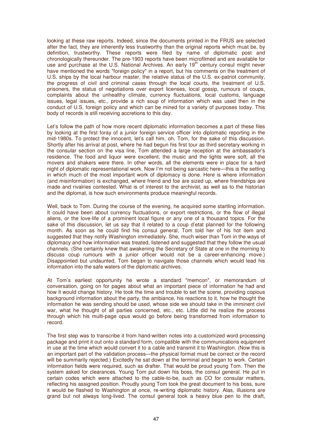looking at these raw reports. Indeed, since the documents printed in the FRUS are selected after the fact, they are inherently less trustworthy than the original reports which must be, by definition, trustworthy. These reports were filed by name of diplomatic post and chronologically thereunder. The pre-1903 reports have been microfilmed and are available for use and purchase at the U.S. National Archives. An early 19<sup>th</sup> century consul might never have mentioned the words "foreign policy" in a report, but his comments on the treatment of U.S. ships by the local harbour master, the relative status of the U.S. ex-patriot community, the progress of civil and criminal cases through the local courts, the treatment of U.S. prisoners, the status of negotiations over export licenses, local gossip, rumours of coups, complaints about the unhealthy climate, currency fluctuations, local customs, language issues, legal issues, etc., provide a rich soup of information which was used then in the conduct of U.S. foreign policy and which can be mined for a variety of purposes today. This body of records is still receiving accretions to this day.

Let's follow the path of how more recent diplomatic information becomes a part of these files by looking at the first foray of a junior foreign service officer into diplomatic reporting in the mid-1980s. To protect the innocent, let's call him, oh, Tom, for the sake of this discussion. Shortly after his arrival at post, where he had begun his first tour as third secretary working in the consular section on the visa line, Tom attended a large reception at the ambassador's residence. The food and liquor were excellent, the music and the lights were soft, all the movers and shakers were there. In other words, all the elements were in place for a hard night of diplomatic representational work. Now I'm not being sarcastic here—this is the setting in which much of the most important work of diplomacy is done. Here is where information (and misinformation) is exchanged, where friend and foe are sized up, where friendships are made and rivalries contested. What is of interest to the archivist, as well as to the historian and the diplomat, is how such environments produce meaningful records.

Well, back to Tom. During the course of the evening, he acquired some startling information. It could have been about currency fluctuations, or export restrictions, or the flow of illegal aliens, or the love-life of a prominent local figure or any one of a thousand topics. For the sake of this discussion, let us say that it related to a coup d'etat planned for the following month. As soon as he could find his consul general, Tom told her of his hot item and suggested that they notify Washington immediately. She, much wiser than Tom in the ways of diplomacy and how information was treated, listened and suggested that they follow the usual channels. (She certainly knew that awakening the Secretary of State at one in the morning to discuss coup rumours with a junior officer would not be a career-enhancing move.) Disappointed but undaunted, Tom began to navigate those channels which would lead his information into the safe waters of the diplomatic archives.

At Tom's earliest opportunity he wrote a standard "memcon", or memorandum of conversation, going on for pages about what an important piece of information he had and how it would change history. He took the time and trouble to set the scene, providing copious background information about the party, the ambiance, his reactions to it, how he thought the information he was sending should be used, whose side we should take in the imminent civil war, what he thought of all parties concerned, etc., etc. Little did he realize the process through which his multi-page opus would go before being transformed from information to record.

The first step was to transcribe it from hand-written notes into a customized word processing package and print it out onto a standard form, compatible with the communications equipment in use at the time which would convert it to a cable and transmit it to Washington. (Now this is an important part of the validation process—the physical format must be correct or the record will be summarily rejected.) Excitedly he sat down at the terminal and began to work. Certain information fields were required, such as drafter. That would be proud young Tom. Then the system asked for clearances. Young Tom put down his boss, the consul general. He put in certain codes which were attached to the cable-to-be, such as CO for consular matters, reflecting his assigned position. Proudly young Tom took the great document to his boss, sure it would be flashed to Washington at once, re-writing diplomatic history. Alas, illusions are grand but not always long-lived. The consul general took a heavy blue pen to the draft,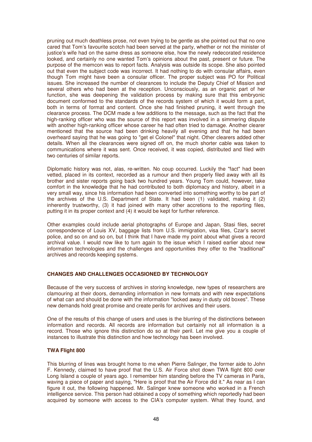pruning out much deathless prose, not even trying to be gentle as she pointed out that no one cared that Tom's favourite scotch had been served at the party, whether or not the minister of justice's wife had on the same dress as someone else, how the newly redecorated residence looked, and certainly no one wanted Tom's opinions about the past, present or future. The purpose of the memcon was to report facts. Analysis was outside its scope. She also pointed out that even the subject code was incorrect. It had nothing to do with consular affairs, even though Tom might have been a consular officer. The proper subject was PO for Political issues. She increased the number of clearances to include the Deputy Chief of Mission and several others who had been at the reception. Unconsciously, as an organic part of her function, she was deepening the validation process by making sure that this embryonic document conformed to the standards of the records system of which it would form a part, both in terms of format and content. Once she had finished pruning, it went through the clearance process. The DCM made a few additions to the message, such as the fact that the high-ranking officer who was the source of this report was involved in a simmering dispute with another high-ranking officer whose career he had often tried to damage. Another clearer mentioned that the source had been drinking heavily all evening and that he had been overheard saying that he was going to "get el Colonel" that night. Other clearers added other details. When all the clearances were signed off on, the much shorter cable was taken to communications where it was sent. Once received, it was copied, distributed and filed with two centuries of similar reports.

Diplomatic history was not, alas, re-written. No coup occurred. Luckily the "fact" had been vetted, placed in its context, recorded as a rumour and then properly filed away with all its brother and sister reports going back two hundred years. Young Tom could, however, take comfort in the knowledge that he had contributed to both diplomacy and history, albeit in a very small way, since his information had been converted into something worthy to be part of the archives of the U.S. Department of State. It had been (1) validated, making it (2) inherently trustworthy, (3) it had joined with many other accretions to the reporting files, putting it in its proper context and (4) it would be kept for further reference.

Other examples could include aerial photographs of Europe and Japan, Stasi files, secret correspondence of Louis XV, baggage lists from U.S. immigration, visa files, Czar's secret police, and so on and so on, but I think that I have made my point about what gives a record archival value. I would now like to turn again to the issue which I raised earlier about new information technologies and the challenges and opportunities they offer to the "traditional" archives and records keeping systems.

## **CHANGES AND CHALLENGES OCCASIONED BY TECHNOLOGY**

Because of the very success of archives in storing knowledge, new types of researchers are clamouring at their doors, demanding information in new formats and with new expectations of what can and should be done with the information "locked away in dusty old boxes". These new demands hold great promise and create perils for archives and their users.

One of the results of this change of users and uses is the blurring of the distinctions between information and records. All records are information but certainly not all information is a record. Those who ignore this distinction do so at their peril. Let me give you a couple of instances to illustrate this distinction and how technology has been involved.

#### **TWA Flight 800**

This blurring of lines was brought home to me when Pierre Salinger, the former aide to John F. Kennedy, claimed to have proof that the U.S. Air Force shot down TWA flight 800 over Long Island a couple of years ago. I remember him standing before the TV cameras in Paris, waving a piece of paper and saying, "Here is proof that the Air Force did it." As near as I can figure it out, the following happened. Mr. Salinger knew someone who worked in a French intelligence service. This person had obtained a copy of something which reportedly had been acquired by someone with access to the CIA's computer system. What they found, and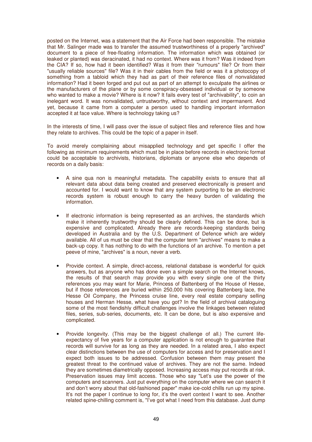posted on the Internet, was a statement that the Air Force had been responsible. The mistake that Mr. Salinger made was to transfer the assumed trustworthiness of a properly "archived" document to a piece of free-floating information. The information which was obtained (or leaked or planted) was deracinated, it had no context. Where was it from? Was it indeed from the CIA? If so, how had it been identified? Was it from their "rumours" file? Or from their "usually reliable sources" file? Was it in their cables from the field or was it a photocopy of something from a tabloid which they had as part of their reference files of nonvalidated information? Had it been forged and put out as part of an attempt to exculpate the airlines or the manufacturers of the plane or by some conspiracy-obsessed individual or by someone who wanted to make a movie? Where is it now? It fails every test of "archivability", to coin an inelegant word. It was nonvalidated, untrustworthy, without context and impermanent. And yet, because it came from a computer a person used to handling important information accepted it at face value. Where is technology taking us?

In the interests of time, I will pass over the issue of subject files and reference files and how they relate to archives. This could be the topic of a paper in itself.

To avoid merely complaining about misapplied technology and get specific I offer the following as minimum requirements which must be in place before records in electronic format could be acceptable to archivists, historians, diplomats or anyone else who depends of records on a daily basis:

- A sine qua non is meaningful metadata. The capability exists to ensure that all relevant data about data being created and preserved electronically is present and accounted for. I would want to know that any system purporting to be an electronic records system is robust enough to carry the heavy burden of validating the information.
- If electronic information is being represented as an archives, the standards which make it inherently trustworthy should be clearly defined. This can be done, but is expensive and complicated. Already there are records-keeping standards being developed in Australia and by the U.S. Department of Defence which are widely available. All of us must be clear that the computer term "archives" means to make a back-up copy. It has nothing to do with the functions of an archive. To mention a pet peeve of mine, "archives" is a noun, never a verb.
- Provide context. A simple, direct-access, relational database is wonderful for quick answers, but as anyone who has done even a simple search on the Internet knows, the results of that search may provide you with every single one of the thirty references you may want for Marie, Princess of Battenberg of the House of Hesse, but if those references are buried within 250,000 hits covering Battenberg lace, the Hesse Oil Company, the Princess cruise line, every real estate company selling houses and Herman Hesse, what have you got? In the field of archival cataloguing some of the most fiendishly difficult challenges involve the linkages between related files, series, sub-series, documents, etc. It can be done, but is also expensive and complicated.
- Provide longevity. (This may be the biggest challenge of all.) The current lifeexpectancy of five years for a computer application is not enough to guarantee that records will survive for as long as they are needed. In a related area, I also expect clear distinctions between the use of computers for access and for preservation and I expect both issues to be addressed. Confusion between them may present the greatest threat to the continued value of archives. They are not the same. Indeed they are sometimes diametrically opposed. Increasing access may put records at risk. Preservation issues may limit access. Those who say "Let's use the power of the computers and scanners. Just put everything on the computer where we can search it and don't worry about that old-fashioned paper" make ice-cold chills run up my spine. It's not the paper I continue to long for, it's the overt context I want to see. Another related spine-chilling comment is, "I've got what I need from this database. Just dump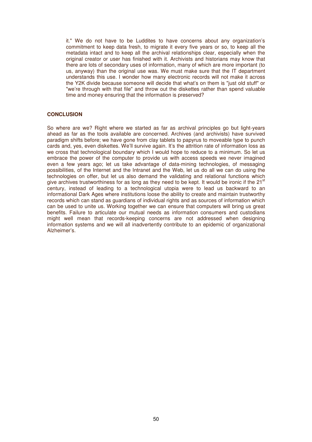it." We do not have to be Luddites to have concerns about any organization's commitment to keep data fresh, to migrate it every five years or so, to keep all the metadata intact and to keep all the archival relationships clear, especially when the original creator or user has finished with it. Archivists and historians may know that there are lots of secondary uses of information, many of which are more important (to us, anyway) than the original use was. We must make sure that the IT department understands this use. I wonder how many electronic records will not make it across the Y2K divide because someone will decide that what's on them is "just old stuff" or "we're through with that file" and throw out the diskettes rather than spend valuable time and money ensuring that the information is preserved?

## **CONCLUSION**

So where are we? Right where we started as far as archival principles go but light-years ahead as far as the tools available are concerned. Archives (and archivists) have survived paradigm shifts before; we have gone from clay tablets to papyrus to moveable type to punch cards and, yes, even diskettes. We'll survive again. It's the attrition rate of information loss as we cross that technological boundary which I would hope to reduce to a minimum. So let us embrace the power of the computer to provide us with access speeds we never imagined even a few years ago; let us take advantage of data-mining technologies, of messaging possibilities, of the Internet and the Intranet and the Web, let us do all we can do using the technologies on offer, but let us also demand the validating and relational functions which give archives trustworthiness for as long as they need to be kept. It would be ironic if the 21 $\mathrm{^{st}}$ century, instead of leading to a technological utopia were to lead us backward to an informational Dark Ages where institutions loose the ability to create and maintain trustworthy records which can stand as guardians of individual rights and as sources of information which can be used to unite us. Working together we can ensure that computers will bring us great benefits. Failure to articulate our mutual needs as information consumers and custodians might well mean that records-keeping concerns are not addressed when designing information systems and we will all inadvertently contribute to an epidemic of organizational Alzheimer's.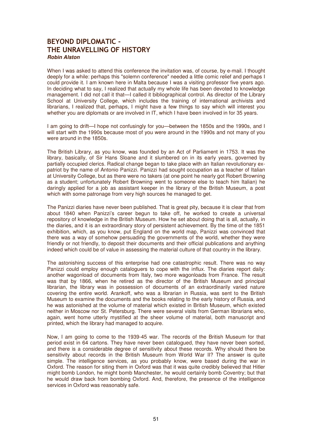## BEYOND DIPLOMATIC - THE UNRAVELLING OF HISTORY **Robin Alston**

When I was asked to attend this conference the invitation was, of course, by e-mail. I thought deeply for a while: perhaps this "solemn conference" needed a little comic relief and perhaps I could provide it. I am known here in Malta because I was a visiting professor five years ago. In deciding what to say, I realized that actually my whole life has been devoted to knowledge management. I did not call it that—I called it bibliographical control. As director of the Library School at University College, which includes the training of international archivists and librarians, I realized that, perhaps, I might have a few things to say which will interest you whether you are diplomats or are involved in IT, which I have been involved in for 35 years.

I am going to drift—I hope not confusingly for you—between the 1850s and the 1990s, and I will start with the 1990s because most of you were around in the 1990s and not many of you were around in the 1850s.

The British Library, as you know, was founded by an Act of Parliament in 1753. It was the library, basically, of Sir Hans Sloane and it slumbered on in its early years, governed by partially occupied clerics. Radical change began to take place with an Italian revolutionary expatriot by the name of Antonio Panizzi. Panizzi had sought occupation as a teacher of Italian at University College, but as there were no takers (at one point he nearly got Robert Browning as a student; unfortunately Robert Browning went to someone else to teach him Italian) he daringly applied for a job as assistant keeper in the library of the British Museum, a post which with some patronage from very high sources he managed to get.

The Panizzi diaries have never been published. That is great pity, because it is clear that from about 1840 when Panizzi's career begun to take off, he worked to create a universal repository of knowledge in the British Museum. How he set about doing that is all, actually, in the diaries, and it is an extraordinary story of persistent achievement. By the time of the 1851 exhibition, which, as you know, put England on the world map, Panizzi was convinced that there was a way of somehow persuading the governments of the world, whether they were friendly or not friendly, to deposit their documents and their official publications and anything indeed which could be of value in assessing the material culture of that country in the library.

The astonishing success of this enterprise had one catastrophic result. There was no way Panizzi could employ enough cataloguers to cope with the influx. The diaries report daily: another wagonload of documents from Italy, two more wagonloads from France. The result was that by 1866, when he retired as the director of the British Museum and principal librarian, the library was in possession of documents of an extraordinarily varied nature covering the entire world. Arankoff, who was a librarian in Russia, was sent to the British Museum to examine the documents and the books relating to the early history of Russia, and he was astonished at the volume of material which existed in British Museum, which existed neither in Moscow nor St. Petersburg. There were several visits from German librarians who, again, went home utterly mystified at the sheer volume of material, both manuscript and printed, which the library had managed to acquire.

Now, I am going to come to the 1939-45 war. The records of the British Museum for that period exist in 64 cartons. They have never been catalogued, they have never been sorted, and there is a considerable degree of sensitivity about these records. Why should there be sensitivity about records in the British Museum from World War II? The answer is quite simple. The intelligence services, as you probably know, were based during the war in Oxford. The reason for siting them in Oxford was that it was quite credibly believed that Hitler might bomb London, he might bomb Manchester, he would certainly bomb Coventry; but that he would draw back from bombing Oxford. And, therefore, the presence of the intelligence services in Oxford was reasonably safe.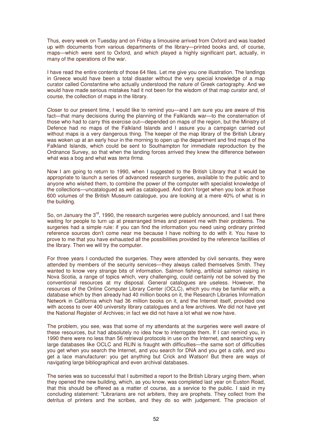Thus, every week on Tuesday and on Friday a limousine arrived from Oxford and was loaded up with documents from various departments of the library—printed books and, of course, maps—which were sent to Oxford, and which played a highly significant part, actually, in many of the operations of the war.

I have read the entire contents of those 64 files. Let me give you one illustration. The landings in Greece would have been a total disaster without the very special knowledge of a map curator called Constantine who actually understood the nature of Greek cartography. And we would have made serious mistakes had it not been for the wisdom of that map curator and, of course, the collection of maps in the library.

Closer to our present time, I would like to remind you—and I am sure you are aware of this fact—that many decisions during the planning of the Falklands war—to the consternation of those who had to carry this exercise out—depended on maps of the region, but the Ministry of Defence had no maps of the Falkland Islands and I assure you a campaign carried out without maps is a very dangerous thing. The keeper of the map library of the British Library was woken up at an early hour in the morning to open up the department and find maps of the Falkland Islands, which could be sent to Southampton for immediate reproduction by the Ordnance Survey, so that when the landing forces arrived they knew the difference between what was a bog and what was *terra firma*.

Now I am going to return to 1990, when I suggested to the British Library that it would be appropriate to launch a series of advanced research surgeries, available to the public and to anyone who wished them, to combine the power of the computer with specialist knowledge of the collections—uncatalogued as well as catalogued. And don't forget when you look at those 600 volumes of the British Museum catalogue, you are looking at a mere 40% of what is in the building.

So, on January the 3<sup>rd</sup>, 1990, the research surgeries were publicly announced, and I sat there waiting for people to turn up at prearranged times and present me with their problems. The surgeries had a simple rule: if you can find the information you need using ordinary printed reference sources don't come near me because I have nothing to do with it. You have to prove to me that you have exhausted all the possibilities provided by the reference facilities of the library. Then we will try the computer.

For three years I conducted the surgeries. They were attended by civil servants, they were attended by members of the security services—they always called themselves Smith. They wanted to know very strange bits of information. Salmon fishing, artificial salmon raising in Nova Scotia, a range of topics which, very challenging, could certainly not be solved by the conventional resources at my disposal. General catalogues are useless. However, the resources of the Online Computer Library Center (OCLC), which you may be familiar with, a database which by then already had 40 million books on it, the Research Libraries Information Network in California which had 36 million books on it, and the Internet itself, provided one with access to over 400 university library catalogues and a few archives. We did not have yet the National Register of Archives; in fact we did not have a lot what we now have.

The problem, you see, was that some of my attendants at the surgeries were well aware of these resources, but had absolutely no idea how to interrogate them. If I can remind you, in 1990 there were no less than 56 retrieval protocols in use on the Internet, and searching very large databases like OCLC and RLIN is fraught with difficulties—the same sort of difficulties you get when you search the Internet, and you search for DNA and you get a café, and you get a lace manufacturer: you get anything but Crick and Watson! But there are ways of navigating large bibliographical and even archival databases.

The series was so successful that I submitted a report to the British Library urging them, when they opened the new building, which, as you know, was completed last year on Euston Road, that this should be offered as a matter of course, as a service to the public. I said in my concluding statement: "Librarians are not arbiters, they are prophets. They collect from the detritus of printers and the scribes, and they do so with judgement. The precision of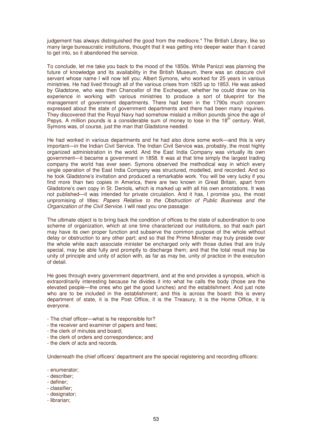judgement has always distinguished the good from the mediocre." The British Library, like so many large bureaucratic institutions, thought that it was getting into deeper water than it cared to get into, so it abandoned the service.

To conclude, let me take you back to the mood of the 1850s. While Panizzi was planning the future of knowledge and its availability in the British Museum, there was an obscure civil servant whose name I will now tell you: Albert Symons, who worked for 25 years in various ministries. He had lived through all of the various crises from 1825 up to 1853. He was asked by Gladstone, who was then Chancellor of the Exchequer, whether he could draw on his experience in working with various ministries to produce a sort of blueprint for the management of government departments. There had been in the 1790s much concern expressed about the state of government departments and there had been many inquiries. They discovered that the Royal Navy had somehow mislaid a million pounds since the age of Pepys. A million pounds is a considerable sum of money to lose in the 18<sup>th</sup> century. Well, Symons was, of course, just the man that Gladstone needed.

He had worked in various departments and he had also done some work—and this is very important—in the Indian Civil Service. The Indian Civil Service was, probably, the most highly organized administration in the world. And the East India Company was virtually its own government—it became a government in 1858. It was at that time simply the largest trading company the world has ever seen. Symons observed the methodical way in which every single operation of the East India Company was structured, modelled, and recorded. And so he took Gladstone's invitation and produced a remarkable work. You will be very lucky if you find more than two copies in America, there are two known in Great Britain, apart from Gladstone's own copy in St. Deniols, which is marked up with all his own annotations. It was not published—it was intended for private circulation. And it has, I promise you, the most unpromising of titles: Papers Relative to the Obstruction of Public Business and the Organization of the Civil Service. I will read you one passage:

The ultimate object is to bring back the condition of offices to the state of subordination to one scheme of organization, which at one time characterized our institutions, so that each part may have its own proper function and subserve the common purpose of the whole without delay or obstruction to any other part; and so that the Prime Minister may truly preside over the whole while each associate minister be encharged only with those duties that are truly special, may be able fully and promptly to discharge them; and that the total result may be unity of principle and unity of action with, as far as may be, unity of practice in the execution of detail.

He goes through every government department, and at the end provides a synopsis, which is extraordinarily interesting because he divides it into what he calls the body (those are the elevated people—the ones who get the good lunches) and the establishment. And just note who are to be included in the establishment; and this is across the board: this is every department of state, it is the Post Office, it is the Treasury, it is the Home Office, it is everyone.

- The chief officer—what is he responsible for?
- the receiver and examiner of papers and fees;
- the clerk of minutes and board;
- the clerk of orders and correspondence; and
- the clerk of acts and records.

Underneath the chief officers' department are the special registering and recording officers:

- enumerator;
- describer;
- definer;
- classifier;
- designator;
- librarian;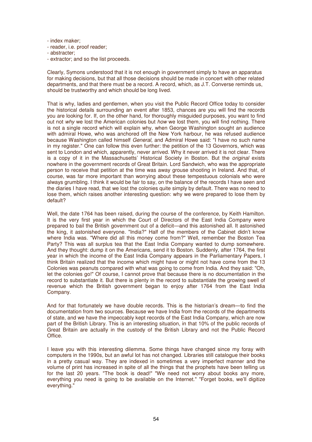- index maker;

- reader, i.e. proof reader;
- abstracter;
- extractor; and so the list proceeds.

Clearly, Symons understood that it is not enough in government simply to have an apparatus for making decisions, but that all those decisions should be made in concert with other related departments, and that there must be a record. A record, which, as J.T. Converse reminds us, should be trustworthy and which should be long lived.

That is why, ladies and gentlemen, when you visit the Public Record Office today to consider the historical details surrounding an event after 1853, chances are you will find the records you are looking for. If, on the other hand, for thoroughly misguided purposes, you want to find out not why we lost the American colonies but how we lost them, you will find nothing. There is not a single record which will explain why, when George Washington sought an audience with admiral Howe, who was anchored off the New York harbour, he was refused audience because Washington called himself General, and Admiral Howe said: "I have no such name in my register." One can follow this even further: the petition of the 13 Governors, which was sent to London and which, apparently, never arrived. Why it never arrived it is not clear. There is a copy of it in the Massachusetts' Historical Society in Boston. But the *original* exists nowhere in the government records of Great Britain. Lord Sandwich, who was the appropriate person to receive that petition at the time was away grouse shooting in Ireland. And that, of course, was far more important than worrying about these tempestuous colonials who were always grumbling. I think it would be fair to say, on the balance of the records I have seen and the diaries I have read, that we lost the colonies quite simply by default. There was no need to lose them, which raises another interesting question: why we were prepared to lose them by default?

Well, the date 1764 has been raised, during the course of the conference, by Keith Hamilton. It is the very first year in which the Court of Directors of the East India Company were prepared to bail the British government out of a deficit—and this astonished all. It astonished the king, it astonished everyone. "India?" Half of the members of the Cabinet didn't know where India was. "Where did all this money come from?" Well, remember the Boston Tea Party? This was all surplus tea that the East India Company wanted to dump somewhere. And they thought: dump it on the Americans, send it to Boston. Suddenly, after 1764, the first year in which the income of the East India Company appears in the Parliamentary Papers, I think Britain realized that the income which might have or might not have come from the 13 Colonies was peanuts compared with what was going to come from India. And they said: "Oh, let the colonies go!" Of course, I cannot prove that because there is no documentation in the record to substantiate it. But there is plenty in the record to substantiate the growing swell of revenue which the British government began to enjoy after 1764 from the East India Company.

And for that fortunately we have double records. This is the historian's dream—to find the documentation from two sources. Because we have India from the records of the departments of state, and we have the impeccably kept records of the East India Company, which are now part of the British Library. This is an interesting situation, in that 10% of the public records of Great Britain are actually in the custody of the British Library and not the Public Record Office.

I leave you with this interesting dilemma. Some things have changed since my foray with computers in the 1990s, but an awful lot has not changed. Libraries still catalogue their books in a pretty casual way. They are indexed in sometimes a very imperfect manner and the volume of print has increased in spite of all the things that the prophets have been telling us for the last 20 years. "The book is dead!" "We need not worry about books any more, everything you need is going to be available on the Internet." "Forget books, we'll digitize everything."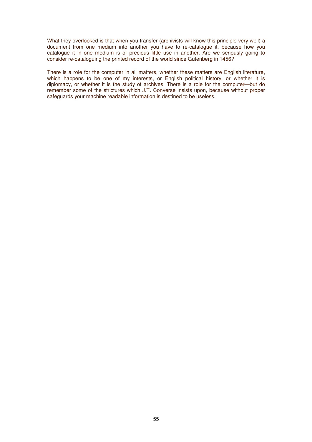What they overlooked is that when you transfer (archivists will know this principle very well) a document from one medium into another you have to re-catalogue it, because how you catalogue it in one medium is of precious little use in another. Are we seriously going to consider re-cataloguing the printed record of the world since Gutenberg in 1456?

There is a role for the computer in all matters, whether these matters are English literature, which happens to be one of my interests, or English political history, or whether it is diplomacy, or whether it is the study of archives. There is a role for the computer—but do remember some of the strictures which J.T. Converse insists upon, because without proper safeguards your machine readable information is destined to be useless.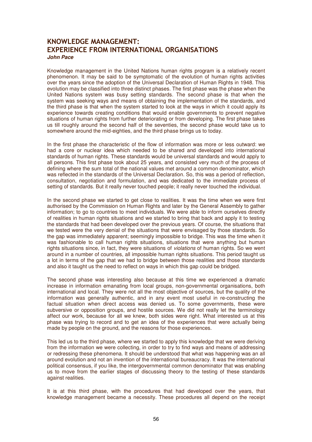## KNOWLEDGE MANAGEMENT: EXPERIENCE FROM INTERNATIONAL ORGANISATIONS **John Pace**

Knowledge management in the United Nations human rights program is a relatively recent phenomenon. It may be said to be symptomatic of the evolution of human rights activities over the years since the adoption of the Universal Declaration of Human Rights in 1948. This evolution may be classified into three distinct phases. The first phase was the phase when the United Nations system was busy setting standards. The second phase is that when the system was seeking ways and means of obtaining the implementation of the standards, and the third phase is that when the system started to look at the ways in which it could apply its experience towards creating conditions that would enable governments to prevent negative situations of human rights from further deteriorating or from developing. The first phase takes us till roughly around the second half of the seventies, the second phase would take us to somewhere around the mid-eighties, and the third phase brings us to today.

In the first phase the characteristic of the flow of information was more or less outward: we had a core or nuclear idea which needed to be shared and developed into international standards of human rights. These standards would be universal standards and would apply to all persons. This first phase took about 25 years, and consisted very much of the process of defining where the sum total of the national values met around a common denominator, which was reflected in the standards of the Universal Declaration. So, this was a period of reflection, consultation, negotiation and formulation, and was dedicated to the immediate process of setting of standards. But it really never touched people; it really never touched the individual.

In the second phase we started to get close to realities. It was the time when we were first authorised by the Commission on Human Rights and later by the General Assembly to gather information; to go to countries to meet individuals. We were able to inform ourselves directly of realities in human rights situations and we started to bring that back and apply it to testing the standards that had been developed over the previous years. Of course, the situations that we tested were the very denial of the situations that were envisaged by those standards. So the gap was immediately apparent; seemingly impossible to bridge. This was the time when it was fashionable to call human rights situations, situations that were anything but human rights situations since, in fact, they were situations of violations of human rights. So we went around in a number of countries, all impossible human rights situations. This period taught us a lot in terms of the gap that we had to bridge between those realities and those standards and also it taught us the need to reflect on ways in which this gap could be bridged.

The second phase was interesting also because at this time we experienced a dramatic increase in information emanating from local groups, non-governmental organisations, both international and local. They were not all the most objective of sources, but the quality of the information was generally authentic, and in any event most useful in re-constructing the factual situation when direct access was denied us. To some governments, these were subversive or opposition groups, and hostile sources. We did not really let the terminology affect our work, because for all we knew, both sides were right. What interested us at this phase was trying to record and to get an idea of the experiences that were actually being made by people on the ground, and the reasons for those experiences.

This led us to the third phase, where we started to apply this knowledge that we were deriving from the information we were collecting, in order to try to find ways and means of addressing or redressing these phenomena. It should be understood that what was happening was an all around evolution and not an invention of the international bureaucracy. It was the international political consensus, if you like, the intergovernmental common denominator that was enabling us to move from the earlier stages of discussing theory to the testing of these standards against realities.

It is at this third phase, with the procedures that had developed over the years, that knowledge management became a necessity. These procedures all depend on the receipt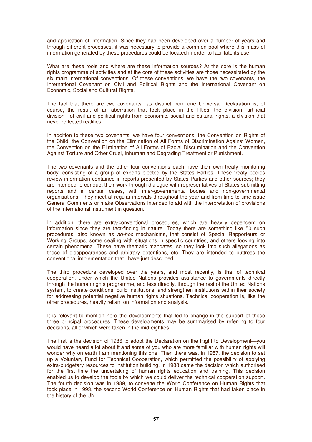and application of information. Since they had been developed over a number of years and through different processes, it was necessary to provide a common pool where this mass of information generated by these procedures could be located in order to facilitate its use.

What are these tools and where are these information sources? At the core is the human rights programme of activities and at the core of these activities are those necessitated by the six main international conventions. Of these conventions, we have the two covenants, the International Covenant on Civil and Political Rights and the International Covenant on Economic, Social and Cultural Rights.

The fact that there are two covenants—as distinct from one Universal Declaration is, of course, the result of an aberration that took place in the fifties, the division—artificial division—of civil and political rights from economic, social and cultural rights, a division that never reflected realities.

In addition to these two covenants, we have four conventions: the Convention on Rights of the Child, the Convention on the Elimination of All Forms of Discrimination Against Women, the Convention on the Elimination of All Forms of Racial Discrimination and the Convention Against Torture and Other Cruel, Inhuman and Degrading Treatment or Punishment.

The two covenants and the other four conventions each have their own treaty monitoring body, consisting of a group of experts elected by the States Parties. These treaty bodies review information contained in reports presented by States Parties and other sources; they are intended to conduct their work through dialogue with representatives of States submitting reports and in certain cases, with inter-governmental bodies and non-governmental organisations. They meet at regular intervals throughout the year and from time to time issue General Comments or make Observations intended to aid with the interpretation of provisions of the international instrument in question.

In addition, there are extra-conventional procedures, which are heavily dependent on information since they are fact-finding in nature. Today there are something like 50 such procedures, also known as ad-hoc mechanisms, that consist of Special Rapporteurs or Working Groups, some dealing with situations in specific countries, and others looking into certain phenomena. These have thematic mandates, so they look into such allegations as those of disappearances and arbitrary detentions, etc. They are intended to buttress the conventional implementation that I have just described.

The third procedure developed over the years, and most recently, is that of technical cooperation, under which the United Nations provides assistance to governments directly through the human rights programme, and less directly, through the rest of the United Nations system, to create conditions, build institutions, and strengthen institutions within their society for addressing potential negative human rights situations. Technical cooperation is, like the other procedures, heavily reliant on information and analysis.

It is relevant to mention here the developments that led to change in the support of these three principal procedures. These developments may be summarised by referring to four decisions, all of which were taken in the mid-eighties.

The first is the decision of 1986 to adopt the Declaration on the Right to Development—you would have heard a lot about it and some of you who are more familiar with human rights will wonder why on earth I am mentioning this one. Then there was, in 1987, the decision to set up a Voluntary Fund for Technical Cooperation, which permitted the possibility of applying extra-budgetary resources to institution building. In 1988 came the decision which authorised for the first time the undertaking of human rights education and training. This decision enabled us to develop the tools by which we could deliver the technical cooperation support. The fourth decision was in 1989, to convene the World Conference on Human Rights that took place in 1993, the second World Conference on Human Rights that had taken place in the history of the UN.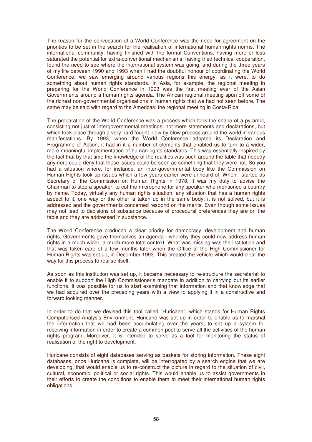The reason for the convocation of a World Conference was the need for agreement on the priorities to be set in the search for the realisation of international human rights norms. The international community, having finished with the formal Conventions, having more or less saturated the potential for extra-conventional mechanisms, having tried technical cooperation, found the need to see where the international system was going; and during the three years of my life between 1990 and 1993 when I had the doubtful honour of coordinating the World Conference, we saw emerging around various regions this energy, as it were, to do something about human rights standards. In Asia, for example, the regional meeting in preparing for the World Conference in 1993 was the first meeting ever of the Asian Governments around a human rights agenda. The African regional meeting spun off some of the richest non-governmental organisations in human rights that we had not seen before. The same may be said with regard to the Americas; the regional meeting in Costa-Rica.

The preparation of the World Conference was a process which took the shape of a pyramid, consisting not just of intergovernmental meetings, not mere statements and declarations, but which took place through a very hard fought blow by blow process around the world in various manifestations. By 1993, when the World Conference adopted its Declaration and Programme of Action, it had in it a number of elements that enabled us to turn to a wider, more meaningful implementation of human rights standards. This was essentially inspired by the fact that by that time the knowledge of the realities was such around the table that nobody anymore could deny that these issues could be seen as something that they were not. So you had a situation where, for instance, an inter-governmental body like the Commission on Human Rights took up issues which a few years earlier were unheard of. When I started as Secretary of the Commission on Human Rights in 1978, it was my duty to advise the Chairman to stop a speaker, to cut the microphone for any speaker who mentioned a country by name. Today, virtually any human rights situation, any situation that has a human rights aspect to it, one way or the other is taken up in the same body: it is not solved, but it is addressed and the governments concerned respond on the merits. Even though some issues may not lead to decisions of substance because of procedural preferences they are on the table and they are addressed in substance.

The World Conference produced a clear priority for democracy, development and human rights. Governments gave themselves an agenda—whereby they could now address human rights in a much wider, a much more total context. What was missing was the institution and that was taken care of a few months later when the Office of the High Commissioner for Human Rights was set up, in December 1993. This created the vehicle which would clear the way for this process to realise itself.

As soon as this institution was set up, it became necessary to re-structure the secretariat to enable it to support the High Commissioner's mandate in addition to carrying out its earlier functions. It was possible for us to start examining that information and that knowledge that we had acquired over the preceding years with a view to applying it in a constructive and forward looking manner.

In order to do that we devised this tool called "Huricane", which stands for Human Rights Computerised Analysis Environment. Huricane was set up in order to enable us to marshal the information that we had been accumulating over the years; to set up a system for receiving information in order to create a common pool to serve all the activities of the human rights program. Moreover, it is intended to serve as a tool for monitoring the status of realisation of the right to development.

Huricane consists of eight databases serving as baskets for storing information. These eight databases, once Huricane is complete, will be interrogated by a search engine that we are developing, that would enable us to re-construct the picture in regard to the situation of civil, cultural, economic, political or social rights. This would enable us to assist governments in their efforts to create the conditions to enable them to meet their international human rights obligations.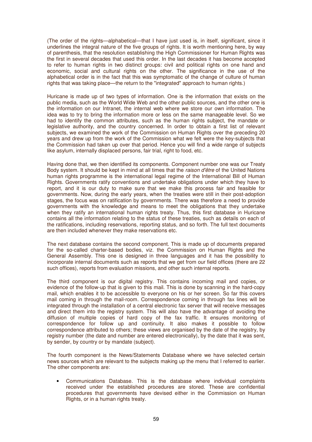(The order of the rights—alphabetical—that I have just used is, in itself, significant, since it underlines the integral nature of the five groups of rights. It is worth mentioning here, by way of parenthesis, that the resolution establishing the High Commissioner for Human Rights was the first in several decades that used this order. In the last decades it has become accepted to refer to human rights in two distinct groups: civil and political rights on one hand and economic, social and cultural rights on the other. The significance in the use of the alphabetical order is in the fact that this was symptomatic of the change of culture of human rights that was taking place—the return to the "integrated" approach to human rights.)

Huricane is made up of two types of information. One is the information that exists on the public media, such as the World Wide Web and the other public sources, and the other one is the information on our Intranet, the internal web where we store our own information. The idea was to try to bring the information more or less on the same manageable level. So we had to identify the common attributes, such as the human rights subject, the mandate or legislative authority, and the country concerned. In order to obtain a first list of relevant subjects, we examined the work of the Commission on Human Rights over the preceding 20 years and drew up from the work of the Commission what we felt were the key-subjects that the Commission had taken up over that period. Hence you will find a wide range of subjects like asylum, internally displaced persons, fair trial, right to food, etc.

Having done that, we then identified its components. Component number one was our Treaty Body system. It should be kept in mind at all times that the raison d'être of the United Nations human rights programme is the international legal regime of the International Bill of Human Rights. Governments ratify conventions and undertake obligations under which they have to report, and it is our duty to make sure that we make this process fair and feasible for governments. Now, during the early years, when the treaties were still in their post-adoption stages, the focus was on ratification by governments. There was therefore a need to provide governments with the knowledge and means to meet the obligations that they undertake when they ratify an international human rights treaty. Thus, this first database in Huricane contains all the information relating to the status of these treaties, such as details on each of the ratifications, including reservations, reporting status, and so forth. The full text documents are then included whenever they make reservations etc.

The next database contains the second component. This is made up of documents prepared for the so-called charter-based bodies, viz. the Commission on Human Rights and the General Assembly. This one is designed in three languages and it has the possibility to incorporate internal documents such as reports that we get from our field offices (there are 22 such offices), reports from evaluation missions, and other such internal reports.

The third component is our digital registry. This contains incoming mail and copies, or evidence of the follow-up that is given to this mail. This is done by scanning in the hard-copy mail, which enables it to be accessible to everyone on his or her screen. So far this covers mail coming in through the mail-room. Correspondence coming in through fax lines will be integrated through the installation of a central electronic fax server that will receive messages and direct them into the registry system. This will also have the advantage of avoiding the diffusion of multiple copies of hard copy of the fax traffic. It ensures monitoring of correspondence for follow up and continuity. It also makes it possible to follow correspondence attributed to others; these views are organised by the date of the registry, by registry number (the date and number are entered electronically), by the date that it was sent, by sender, by country or by mandate (subject).

The fourth component is the News/Statements Database where we have selected certain news sources which are relevant to the subjects making up the menu that I referred to earlier. The other components are:

• Communications Database. This is the database where individual complaints received under the established procedures are stored. These are confidential procedures that governments have devised either in the Commission on Human Rights, or in a human rights treaty.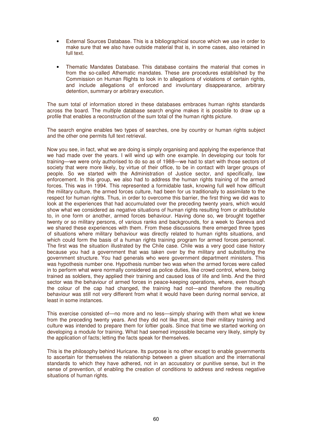- External Sources Database. This is a bibliographical source which we use in order to make sure that we also have outside material that is, in some cases, also retained in full text.
- Thematic Mandates Database. This database contains the material that comes in from the so-called Athematic mandates. These are procedures established by the Commission on Human Rights to look in to allegations of violations of certain rights, and include allegations of enforced and involuntary disappearance, arbitrary detention, summary or arbitrary execution.

The sum total of information stored in these databases embraces human rights standards across the board. The multiple database search engine makes it is possible to draw up a profile that enables a reconstruction of the sum total of the human rights picture.

The search engine enables two types of searches, one by country or human rights subject and the other one permits full text retrieval.

Now you see, in fact, what we are doing is simply organising and applying the experience that we had made over the years. I will wind up with one example. In developing our tools for training—we were only authorised to do so as of 1988—we had to start with those sectors of society that were more likely, by virtue of their office, to be in contact with larger groups of people. So we started with the Administration of Justice sector, and specifically, law enforcement. In this group, we also had to address the human rights training of the armed forces. This was in 1994. This represented a formidable task, knowing full well how difficult the military culture, the armed forces culture, had been for us traditionally to assimilate to the respect for human rights. Thus, in order to overcome this barrier, the first thing we did was to look at the experiences that had accumulated over the preceding twenty years, which would show what we considered as negative situations of human rights resulting from or attributable to, in one form or another, armed forces behaviour. Having done so, we brought together twenty or so military persons, of various ranks and backgrounds, for a week to Geneva and we shared these experiences with them. From these discussions there emerged three types of situations where military behaviour was directly related to human rights situations, and which could form the basis of a human rights training program for armed forces personnel. The first was the situation illustrated by the Chile case. Chile was a very good case history because you had a government that was taken over by the military and substituting the government structure. You had generals who were government department ministers. This was hypothesis number one. Hypothesis number two was when the armed forces were called in to perform what were normally considered as police duties, like crowd control, where, being trained as soldiers, they applied their training and caused loss of life and limb. And the third sector was the behaviour of armed forces in peace-keeping operations, where, even though the colour of the cap had changed, the training had not—and therefore the resulting behaviour was still not very different from what it would have been during normal service, at least in some instances.

This exercise consisted of—no more and no less—simply sharing with them what we knew from the preceding twenty years. And they did not like that, since their military training and culture was intended to prepare them for loftier goals. Since that time we started working on developing a module for training. What had seemed impossible became very likely, simply by the application of facts; letting the facts speak for themselves.

This is the philosophy behind Huricane. Its purpose is no other except to enable governments to ascertain for themselves the relationship between a given situation and the international standards to which they have adhered, not in an accusatory or punitive sense, but in the sense of prevention, of enabling the creation of conditions to address and redress negative situations of human rights.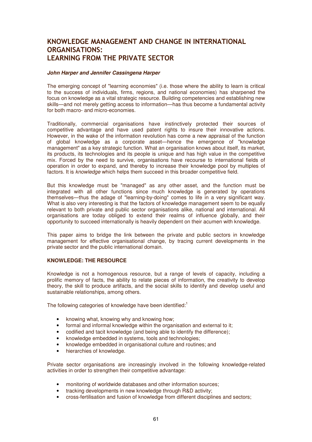## KNOWLEDGE MANAGEMENT AND CHANGE IN INTERNATIONAL ORGANISATIONS: LEARNING FROM THE PRIVATE SECTOR

#### **John Harper and Jennifer Cassingena Harper**

The emerging concept of "learning economies" (i.e. those where the ability to learn is critical to the success of individuals, firms, regions, and national economies) has sharpened the focus on knowledge as a vital strategic resource. Building competencies and establishing new skills—and not merely getting access to information—has thus become a fundamental activity for both macro- and micro-economies.

Traditionally, commercial organisations have instinctively protected their sources of competitive advantage and have used patent rights to insure their innovative actions. However, in the wake of the information revolution has come a new appraisal of the function of global knowledge as a corporate asset—hence the emergence of "knowledge management" as a key strategic function. What an organisation knows about itself, its market, its products, its technologies and its people is unique and has high value in the competitive mix. Forced by the need to survive, organisations have recourse to international fields of operation in order to expand, and thereby to increase their knowledge pool by multiples of factors. It is knowledge which helps them succeed in this broader competitive field.

But this knowledge must be "managed" as any other asset, and the function must be integrated with all other functions since much knowledge is generated by operations themselves—thus the adage of "learning-by-doing" comes to life in a very significant way. What is also very interesting is that the factors of knowledge management seem to be equally relevant to both private and public sector organisations alike, national and international. All organisations are today obliged to extend their realms of influence globally, and their opportunity to succeed internationally is heavily dependent on their acumen with knowledge.

This paper aims to bridge the link between the private and public sectors in knowledge management for effective organisational change, by tracing current developments in the private sector and the public international domain.

#### **KNOWLEDGE: THE RESOURCE**

Knowledge is not a homogenous resource, but a range of levels of capacity, including a prolific memory of facts, the ability to relate pieces of information, the creativity to develop theory, the skill to produce artifacts, and the social skills to identify and develop useful and sustainable relationships, among others.

The following categories of knowledge have been identified: $1$ 

- knowing what, knowing why and knowing how:
- formal and informal knowledge within the organisation and external to it:
- codified and tacit knowledge (and being able to identify the difference);
- knowledge embedded in systems, tools and technologies;
- knowledge embedded in organisational culture and routines; and
- hierarchies of knowledge.

Private sector organisations are increasingly involved in the following knowledge-related activities in order to strengthen their competitive advantage:

- monitoring of worldwide databases and other information sources;
- tracking developments in new knowledge through R&D activity;
- cross-fertilisation and fusion of knowledge from different disciplines and sectors;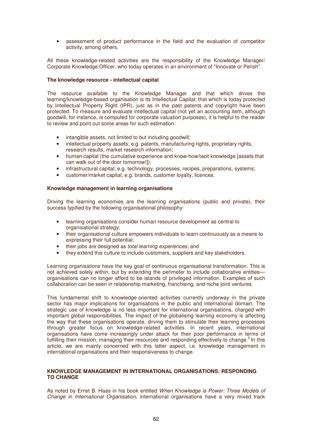• assessment of product performance in the field and the evaluation of competitor activity, among others.

All these knowledge-related activities are the responsibility of the Knowledge Manager/ Corporate Knowledge Officer, who today operates in an environment of "Innovate or Perish".

#### **The knowledge resource - intellectual capital**

The resource available to the Knowledge Manager and that which drives the learning/knowledge-based organisation is its Intellectual Capital; that which is today protected by Intellectual Property Right (IPR), just as in the past patents and copyright have been protected. To measure and evaluate intellectual capital (not yet an accounting item, although goodwill, for instance, is computed for corporate valuation purposes), it is helpful to the reader to review and point out some areas for such estimation:

- intangible assets, not limited to but including goodwill;
- intellectual property assets; e.g. patents, manufacturing rights, proprietary rights, research results, market research information;
- human capital (the cumulative experience and know-how/tacit knowledge [assets that can walk out of the door tomorrow!]);
- infrastructural capital; e.g. technology, processes, recipes, preparations, systems;
- customer/market capital; e.g. brands, customer loyalty, licences.

#### **Knowledge management in learning organisations**

Driving the learning economies are the learning organisations (public and private), their success typified by the following organisational philosophy:

- learning organisations consider human resource development as central to organisational strategy;
- their organisational culture empowers individuals to learn continuously as a means to expressing their full potential;
- their jobs are designed as *total learning experiences;* and
- they extend this culture to include customers, suppliers and key stakeholders.

Learning organisations have the key goal of continuous organisational transformation. This is not achieved solely within, but by extending the perimeter to include collaborative entities organisations can no longer afford to be islands of privileged information. Examples of such collaboration can be seen in relationship marketing, franchising, and niche joint ventures.

This fundamental shift to knowledge-oriented activities currently underway in the private sector has major implications for organisations in the public and international domain. The strategic use of knowledge is no less important for international organisations, charged with important global responsibilities. The impact of the globalising learning economy is affecting the way that these organisations operate, driving them to stimulate their learning processes through greater focus on knowledge-related activities. In recent years, international organisations have come increasingly under attack for their poor performance in terms of fulfilling their mission, managing their resources and responding effectively to change.<sup>2</sup> In this article, we are mainly concerned with this latter aspect, i.e. knowledge management in international organisations and their responsiveness to change.

#### **KNOWLEDGE MANAGEMENT IN INTERNATIONAL ORGANISATIONS: RESPONDING TO CHANGE**

As noted by Ernst B. Haas in his book entitled When Knowledge is Power: Three Models of Change in International Organisation, international organisations have a very mixed track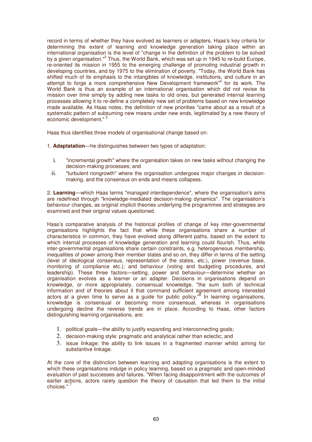record in terms of whether they have evolved as learners or adapters. Haas's key criteria for determining the extent of learning and knowledge generation taking place within an international organisation is the level of "change in the definition of the problem to be solved by a given organisation."<sup>3</sup> Thus, the World Bank, which was set up in 1945 to re-build Europe, re-oriented its mission in 1955 to the emerging challenge of promoting industrial growth in developing countries, and by 1975 to the elimination of poverty. "Today, the World Bank has shifted much of its emphasis to the intangibles of knowledge, institutions, and culture in an attempt to forge a more comprehensive New Development framework<sup>"4</sup> for its work. The World Bank is thus an example of an international organisation which did not revise its mission over time simply by adding new tasks to old ones, but generated internal learning processes allowing it to re-define a completely new set of problems based on new knowledge made available. As Haas notes, the definition of new priorities "came about as a result of a systematic pattern of subsuming new means under new ends, legitimated by a new theory of economic development." <sup>5</sup>

Haas thus identifies three models of organisational change based on:

1. **Adaptatation**—he distinguishes between two types of adaptation:

- i. "incremental growth" where the organisation takes on new tasks without changing the decision-making processes; and
- ii. "turbulent nongrowth" where the organisation undergoes major changes in decisionmaking, and the consensus on ends and means collapses.

2. **Learning**—which Haas terms "managed interdependence", where the organisation's aims are redefined through "knowledge-mediated decision-making dynamics". The organisation's behaviour changes, as original implicit theories underlying the programmes and strategies are examined and their original values questioned.

Haas's comparative analysis of the historical profiles of change of key inter-governmental organisations highlights the fact that while these organisations share a number of characteristics in common, they have evolved along different paths, based on the extent to which internal processes of knowledge generation and learning could flourish. Thus, while inter-governmental organisations share certain constraints, e.g. heterogeneous membership, inequalities of power among their member states and so on, they differ in terms of the setting (level of ideological consensus, representation of the states, etc.), power (revenue base, monitoring of compliance etc.); and behaviour (voting and budgeting procedures, and leadership). These three factors—setting, power and behaviour—determine whether an organisation evolves as a learner or an adapter. Decisions in organisations depend on knowledge, or more appropriately, consensual knowledge, "the sum both of technical information and of theories about it that command sufficient agreement among interested actors at a given time to serve as a guide for public policy."<sup>8</sup> In learning organisations, knowledge is consensual or becoming more consensual, whereas in organisations undergoing decline the reverse trends are in place. According to Haas, other factors distinguishing learning organisations, are:

- 1. political goals—the ability to justify expanding and interconnecting goals;
- 2. decision-making style: pragmatic and analytical rather than eclectic; and
- 3. issue linkage: the ability to link issues in a fragmented manner whilst aiming for substantive linkage.

At the core of the distinction between learning and adapting organisations is the extent to which these organisations indulge in policy learning, based on a pragmatic and open-minded evaluation of past successes and failures. "When facing disappointment with the outcomes of earlier actions, actors rarely question the theory of causation that led them to the initial choices."<sup>7</sup>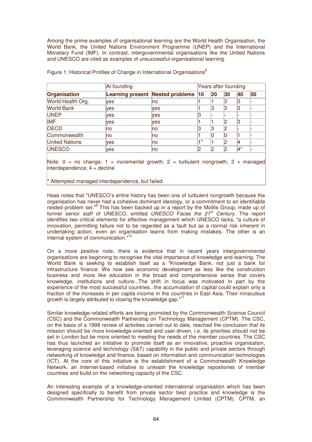Among the prime examples of organisational learning are the World Health Organisation, the World Bank, the United Nations Environment Programme (UNEP) and the International Monetary Fund (IMF). In contrast, intergovernmental organisations like the United Nations and UNESCO are cited as examples of unsuccessful organisational learning.

|                       | At founding |                                     | Years after founding |    |    |           |    |
|-----------------------|-------------|-------------------------------------|----------------------|----|----|-----------|----|
| Organisation          |             | Learning present Nested problems 10 |                      | 20 | 30 | 40        | 50 |
| World Health Org.     | yes         | no                                  |                      |    |    |           |    |
| <b>World Bank</b>     | ves         | ves                                 |                      | 13 |    |           |    |
| <b>UNEP</b>           | ves         | yes                                 | ß                    |    |    |           |    |
| <b>IMF</b>            | ves         | ves                                 |                      |    |    | ß         |    |
| <b>OECD</b>           | no          | no                                  | ß                    | ß  | פי |           |    |
| Commonwealth          | <b>no</b>   | no                                  |                      |    |    |           |    |
| <b>United Nations</b> | ves         | no                                  | ∣⊣ *                 |    |    | 14        |    |
| <b>UNESCO</b>         | yes         | <b>no</b>                           | 2                    | פו |    | <b>4*</b> |    |

Figure 1: Historical Profiles of Change in International Organisations<sup>8</sup>

Note:  $0 =$  no change;  $1 =$  incremental growth;  $2 =$  turbulent nongrowth;  $3 =$  managed interdependence; 4 = decline

Attempted managed interdependence, but failed.

Haas notes that "UNESCO's entire history has been one of turbulent nongrowth because the organisation has never had a cohesive dominant ideology, or a commitment to an identifiable nested problem set."<sup>9</sup> This has been backed up in a report by the Moillis Group, made up of former senior staff of UNESCO, entitled *UNESCO Faces the*  $21<sup>st</sup>$  *Century*. The report identifies two critical elements for effective management which UNESCO lacks, "a culture of innovation, permitting failure not to be regarded as a fault but as a normal risk inherent in undertaking action; even an organisation learns from making mistakes. The other is an internal system of communication."<sup>10</sup>

On a more positive note, there is evidence that in recent years intergovernmental organisations are beginning to recognise the vital importance of knowledge and learning. The World Bank is seeking to establish itself as a "Knowledge Bank, not just a bank for infrastructure finance. We now see economic development as less like the construction business and more like education in the broad and comprehensive sense that covers knowledge, institutions and culture...The shift in focus was motivated in part by the experience of the most successful countries...the accumulation of capital could explain only a fraction of the increases in per capita income in the countries in East Asia. Their miraculous growth is largely attributed to closing the knowledge gap."<sup>11</sup>

Similar knowledge-related efforts are being promoted by the Commonwealth Science Council (CSC) and the Commonwealth Partnership on Technology Management (CPTM). The CSC, on the basis of a 1998 review of activities carried out to date, reached the conclusion that its mission should be more knowledge-oriented and user-driven, i.e. its priorities should not be set in London but be more oriented to meeting the needs of the member countries. The CSC has thus launched an initiative to promote itself as an innovative, proactive organisation, leveraging science and technology (S&T) capability in the public and private sectors through networking of knowledge and finance, based on information and communication technologies (ICT). At the core of this initiative is the establishment of a Commonwealth Knowledge Network, an Internet-based initiative to unleash the knowledge repositories of member countries and build on the networking capacity of the CSC.

An interesting example of a knowledge-oriented international organisation which has been designed specifically to benefit from private sector best practice and knowledge is the Commonwealth Partnership for Technology Management Limited (CPTM). CPTM, an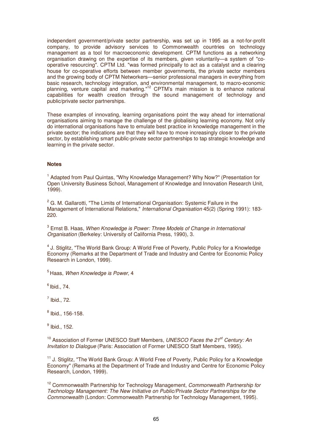independent government/private sector partnership, was set up in 1995 as a not-for-profit company, to provide advisory services to Commonwealth countries on technology management as a tool for macroeconomic development. CPTM functions as a networking organisation drawing on the expertise of its members, given voluntarily—a system of "cooperative resourcing". CPTM Ltd. "was formed principally to act as a catalyst and a clearing house for co-operative efforts between member governments, the private sector members and the growing body of CPTM Networkers—senior professional managers in everything from basic research, technology integration, and environmental management, to macro-economic planning, venture capital and marketing."<sup>12</sup> CPTM's main mission is to enhance national capabilities for wealth creation through the sound management of technology and public/private sector partnerships.

These examples of innovating, learning organisations point the way ahead for international organisations aiming to manage the challenge of the globalising learning economy. Not only do international organisations have to emulate best practice in knowledge management in the private sector; the indications are that they will have to move increasingly closer to the private sector, by establishing smart public-private sector partnerships to tap strategic knowledge and learning in the private sector.

#### **Notes**

<sup>1</sup> Adapted from Paul Quintas, "Why Knowledge Management? Why Now?" (Presentation for Open University Business School, Management of Knowledge and Innovation Research Unit, 1999).

<sup>2</sup> G. M. Gallarotti, "The Limits of International Organisation: Systemic Failure in the Management of International Relations," International Organisation 45(2) (Spring 1991): 183-220.

 $3$  Ernst B. Haas, When Knowledge is Power: Three Models of Change in International Organisation (Berkeley: University of California Press, 1990), 3.

<sup>4</sup> J. Stiglitz, "The World Bank Group: A World Free of Poverty, Public Policy for a Knowledge Economy (Remarks at the Department of Trade and Industry and Centre for Economic Policy Research in London, 1999).

<sup>5</sup> Haas, When Knowledge is Power, 4

 $6$  Ibid., 74.

 $<sup>7</sup>$  Ibid., 72.</sup>

 $<sup>8</sup>$  Ibid., 156-158.</sup>

 $<sup>9</sup>$  Ibid., 152.</sup>

 $10$  Association of Former UNESCO Staff Members, UNESCO Faces the 21<sup>st</sup> Century: An Invitation to Dialogue (Paris: Association of Former UNESCO Staff Members, 1995).

<sup>11</sup> J. Stiglitz, "The World Bank Group: A World Free of Poverty, Public Policy for a Knowledge Economy" (Remarks at the Department of Trade and Industry and Centre for Economic Policy Research, London, 1999).

<sup>12</sup> Commonwealth Partnership for Technology Management, Commonwealth Partnership for Technology Management: The New Initiative on Public/Private Sector Partnerships for the Commonwealth (London: Commonwealth Partnership for Technology Management, 1995).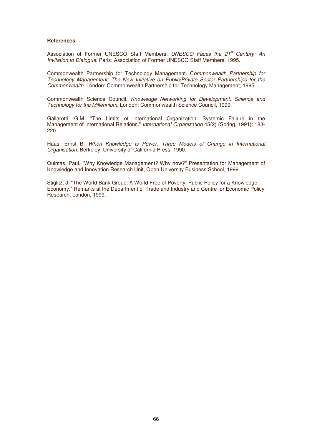#### **References**

Association of Former UNESCO Staff Members. UNESCO Faces the 21<sup>st</sup> Century: An Invitation to Dialogue. Paris: Association of Former UNESCO Staff Members, 1995.

Commonwealth Partnership for Technology Management. Commonwealth Partnership for Technology Management: The New Initiative on Public/Private Sector Partnerships for the Commonwealth. London: Commonwealth Partnership for Technology Management, 1995.

Commonwealth Science Council. Knowledge Networking for Development: Science and Technology for the Millennium. London: Commonwealth Science Council, 1999.

Gallarotti, G.M. "The Limits of International Organization: Systemic Failure in the Management of International Relations." International Organization 45(2) (Spring, 1991): 183-220.

Haas, Ernst B. When Knowledge is Power: Three Models of Change in International Organisation. Berkeley: University of California Press, 1990.

Quintas, Paul. "Why Knowledge Management? Why now?" Presentation for Management of Knowledge and Innovation Research Unit, Open University Business School, 1999.

Stiglitz, J. "The World Bank Group: A World Free of Poverty, Public Policy for a Knowledge Economy." Remarks at the Department of Trade and Industry and Centre for Economic Policy Research, London, 1999.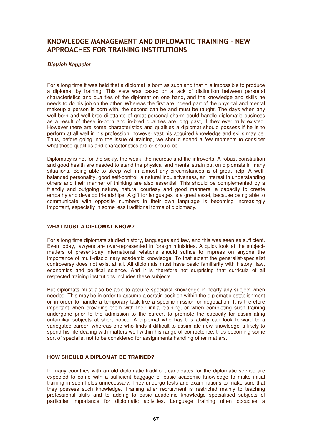## KNOWLEDGE MANAGEMENT AND DIPLOMATIC TRAINING - NEW APPROACHES FOR TRAINING INSTITUTIONS

## **Dietrich Kappeler**

For a long time it was held that a diplomat is born as such and that it is impossible to produce a diplomat by training. This view was based on a lack of distinction between personal characteristics and qualities of the diplomat on one hand, and the knowledge and skills he needs to do his job on the other. Whereas the first are indeed part of the physical and mental makeup a person is born with, the second can be and must be taught. The days when any well-born and well-bred dilettante of great personal charm could handle diplomatic business as a result of these in-born and in-bred qualities are long past, if they ever truly existed. However there are some characteristics and qualities a diplomat should possess if he is to perform at all well in his profession, however vast his acquired knowledge and skills may be. Thus, before going into the issue of training, we should spend a few moments to consider what these qualities and characteristics are or should be.

Diplomacy is not for the sickly, the weak, the neurotic and the introverts. A robust constitution and good health are needed to stand the physical and mental strain put on diplomats in many situations. Being able to sleep well in almost any circumstances is of great help. A wellbalanced personality, good self-control, a natural inquisitiveness, an interest in understanding others and their manner of thinking are also essential. This should be complemented by a friendly and outgoing nature, natural courtesy and good manners, a capacity to create empathy and develop friendships. A gift for languages is a great asset, because being able to communicate with opposite numbers in their own language is becoming increasingly important, especially in some less traditional forms of diplomacy.

## **WHAT MUST A DIPLOMAT KNOW?**

For a long time diplomats studied history, languages and law, and this was seen as sufficient. Even today, lawyers are over-represented in foreign ministries. A quick look at the subjectmatters of present-day international relations should suffice to impress on anyone the importance of multi-disciplinary academic knowledge. To that extent the generalist-specialist controversy does not exist at all. All diplomats must have basic familiarity with history, law, economics and political science. And it is therefore not surprising that curricula of all respected training institutions includes these subjects.

But diplomats must also be able to acquire specialist knowledge in nearly any subject when needed. This may be in order to assume a certain position within the diplomatic establishment or in order to handle a temporary task like a specific mission or negotiation. It is therefore important when providing them with their initial training, or when completing such training undergone prior to the admission to the career, to promote the capacity for assimilating unfamiliar subjects at short notice. A diplomat who has this ability can look forward to a variegated career, whereas one who finds it difficult to assimilate new knowledge is likely to spend his life dealing with matters well within his range of competence, thus becoming some sort of specialist not to be considered for assignments handling other matters.

#### **HOW SHOULD A DIPLOMAT BE TRAINED?**

In many countries with an old diplomatic tradition, candidates for the diplomatic service are expected to come with a sufficient baggage of basic academic knowledge to make initial training in such fields unnecessary. They undergo tests and examinations to make sure that they possess such knowledge. Training after recruitment is restricted mainly to teaching professional skills and to adding to basic academic knowledge specialised subjects of particular importance for diplomatic activities. Language training often occupies a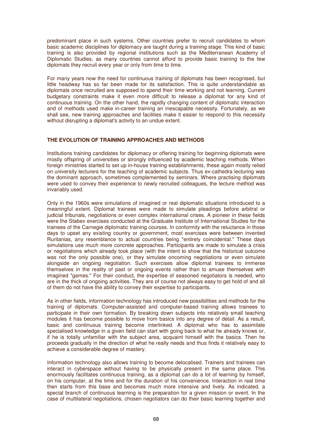predominant place in such systems. Other countries prefer to recruit candidates to whom basic academic disciplines for diplomacy are taught during a training stage. This kind of basic training is also provided by regional institutions such as the Mediterranean Academy of Diplomatic Studies, as many countries cannot afford to provide basic training to the few diplomats they recruit every year or only from time to time.

For many years now the need for continuous training of diplomats has been recognised, but little headway has so far been made for its satisfaction. This is quite understandable as diplomats once recruited are supposed to spend their time working and not learning. Current budgetary constraints make it even more difficult to release a diplomat for any kind of continuous training. On the other hand, the rapidly changing content of diplomatic interaction and of methods used make in-career training an inescapable necessity. Fortunately, as we shall see, new training approaches and facilities make it easier to respond to this necessity without disrupting a diplomat's activity to an undue extent.

## **THE EVOLUTION OF TRAINING APPROACHES AND METHODS**

Institutions training candidates for diplomacy or offering training for beginning diplomats were mostly offspring of universities or strongly influenced by academic teaching methods. When foreign ministries started to set up in-house training establishments, these again mostly relied on university lecturers for the teaching of academic subjects. Thus ex-cathedra lecturing was the dominant approach, sometimes complemented by seminars. Where practising diplomats were used to convey their experience to newly recruited colleagues, the lecture method was invariably used.

Only in the 1960s were simulations of imagined or real diplomatic situations introduced to a meaningful extent. Diplomat trainees were made to simulate pleadings before arbitral or judicial tribunals, negotiations or even complex international crises. A pioneer in these fields were the Stabex exercises conducted at the Graduate Institute of International Studies for the trainees of the Carnegie diplomatic training courses. In conformity with the reluctance in those days to upset any existing country or government, most exercises were between invented Ruritanias, any resemblance to actual countries being "entirely coincidental." These days simulations use much more concrete approaches. Participants are made to simulate a crisis or negotiations which already took place (with the intent to show that the historical outcome was not the only possible one), or they simulate oncoming negotiations or even simulate alongside an ongoing negotiation. Such exercises allow diplomat trainees to immerse themselves in the reality of past or ongoing events rather than to amuse themselves with imagined "games." For their conduct, the expertise of seasoned negotiators is needed, who are in the thick of ongoing activities. They are of course not always easy to get hold of and all of them do not have the ability to convey their expertise to participants.

As in other fields, information technology has introduced new possibilities and methods for the training of diplomats. Computer-assisted and computer-based training allows trainees to participate in their own formation. By breaking down subjects into relatively small teaching modules it has become possible to move from basics into any degree of detail. As a result, basic and continuous training become interlinked. A diplomat who has to assimilate specialised knowledge in a given field can start with going back to what he already knows or, if he is totally unfamiliar with the subject area, acquaint himself with the basics. Then he proceeds gradually in the direction of what he really needs and thus finds it relatively easy to achieve a considerable degree of mastery.

Information technology also allows training to become delocalised. Trainers and trainees can interact in cyberspace without having to be physically present in the same place. This enormously facilitates continuous training, as a diplomat can do a lot of learning by himself, on his computer, at the time and for the duration of his convenience. Interaction in real time then starts from this base and becomes much more intensive and lively. As indicated, a special branch of continuous learning is the preparation for a given mission or event. In the case of multilateral negotiations, chosen negotiators can do their basic learning together and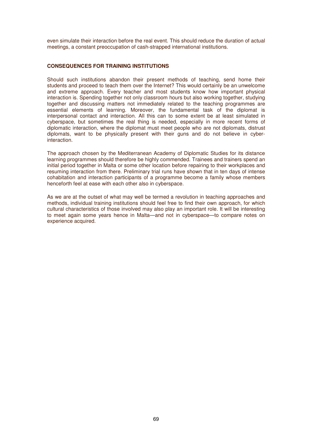even simulate their interaction before the real event. This should reduce the duration of actual meetings, a constant preoccupation of cash-strapped international institutions.

### **CONSEQUENCES FOR TRAINING INSTITUTIONS**

Should such institutions abandon their present methods of teaching, send home their students and proceed to teach them over the Internet? This would certainly be an unwelcome and extreme approach. Every teacher and most students know how important physical interaction is. Spending together not only classroom hours but also working together, studying together and discussing matters not immediately related to the teaching programmes are essential elements of learning. Moreover, the fundamental task of the diplomat is interpersonal contact and interaction. All this can to some extent be at least simulated in cyberspace, but sometimes the real thing is needed, especially in more recent forms of diplomatic interaction, where the diplomat must meet people who are not diplomats, distrust diplomats, want to be physically present with their guns and do not believe in cyberinteraction.

The approach chosen by the Mediterranean Academy of Diplomatic Studies for its distance learning programmes should therefore be highly commended. Trainees and trainers spend an initial period together in Malta or some other location before repairing to their workplaces and resuming interaction from there. Preliminary trial runs have shown that in ten days of intense cohabitation and interaction participants of a programme become a family whose members henceforth feel at ease with each other also in cyberspace.

As we are at the outset of what may well be termed a revolution in teaching approaches and methods, individual training institutions should feel free to find their own approach, for which cultural characteristics of those involved may also play an important role. It will be interesting to meet again some years hence in Malta—and not in cyberspace—to compare notes on experience acquired.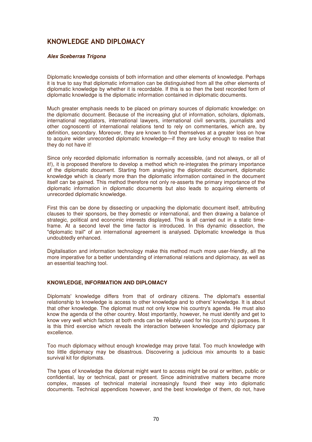# KNOWLEDGE AND DIPLOMACY

#### **Alex Sceberras Trigona**

Diplomatic knowledge consists of both information and other elements of knowledge. Perhaps it is true to say that diplomatic information can be distinguished from all the other elements of diplomatic knowledge by whether it is recordable. If this is so then the best recorded form of diplomatic knowledge is the diplomatic information contained in diplomatic documents.

Much greater emphasis needs to be placed on primary sources of diplomatic knowledge: on the diplomatic document. Because of the increasing glut of information, scholars, diplomats, international negotiators, international lawyers, international civil servants, journalists and other cognoscenti of international relations tend to rely on commentaries, which are, by definition, secondary. Moreover, they are known to find themselves at a greater loss on how to acquire wider unrecorded diplomatic knowledge—if they are lucky enough to realise that they do not have it!

Since only recorded diplomatic information is normally accessible, (and not always, or all of it!), it is proposed therefore to develop a method which re-integrates the primary importance of the diplomatic document. Starting from analysing the diplomatic document, diplomatic knowledge which is clearly more than the diplomatic information contained in the document itself can be gained. This method therefore not only re-asserts the primary importance of the diplomatic information in diplomatic documents but also leads to acquiring elements of unrecorded diplomatic knowledge.

First this can be done by dissecting or unpacking the diplomatic document itself, attributing clauses to their sponsors, be they domestic or international, and then drawing a balance of strategic, political and economic interests displayed. This is all carried out in a static timeframe. At a second level the time factor is introduced. In this dynamic dissection, the "diplomatic trail" of an international agreement is analysed. Diplomatic knowledge is thus undoubtedly enhanced.

Digitalisation and information technology make this method much more user-friendly, all the more imperative for a better understanding of international relations and diplomacy, as well as an essential teaching tool.

## **KNOWLEDGE, INFORMATION AND DIPLOMACY**

Diplomats' knowledge differs from that of ordinary citizens. The diplomat's essential relationship to knowledge is access to other knowledge and to others' knowledge. It is about that other knowledge. The diplomat must not only know his country's agenda. He must also know the agenda of the other country. Most importantly, however, he must identify and get to know very well which factors at both ends can be reliably used for his (country's) purposes. It is this third exercise which reveals the interaction between knowledge and diplomacy par excellence.

Too much diplomacy without enough knowledge may prove fatal. Too much knowledge with too little diplomacy may be disastrous. Discovering a judicious mix amounts to a basic survival kit for diplomats.

The types of knowledge the diplomat might want to access might be oral or written, public or confidential, lay or technical, past or present. Since administrative matters became more complex, masses of technical material increasingly found their way into diplomatic documents. Technical appendices however, and the best knowledge of them, do not, have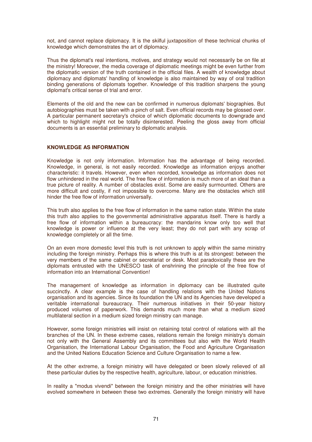not, and cannot replace diplomacy. It is the skilful juxtaposition of these technical chunks of knowledge which demonstrates the art of diplomacy.

Thus the diplomat's real intentions, motives, and strategy would not necessarily be on file at the ministry! Moreover, the media coverage of diplomatic meetings might be even further from the diplomatic version of the truth contained in the official files. A wealth of knowledge about diplomacy and diplomats' handling of knowledge is also maintained by way of oral tradition binding generations of diplomats together. Knowledge of this tradition sharpens the young diplomat's critical sense of trial and error.

Elements of the old and the new can be confirmed in numerous diplomats' biographies. But autobiographies must be taken with a pinch of salt. Even official records may be glossed over. A particular permanent secretary's choice of which diplomatic documents to downgrade and which to highlight might not be totally disinterested. Peeling the gloss away from official documents is an essential preliminary to diplomatic analysis.

## **KNOWLEDGE AS INFORMATION**

Knowledge is not only information. Information has the advantage of being recorded. Knowledge, in general, is not easily recorded. Knowledge as information enjoys another characteristic: it travels. However, even when recorded, knowledge as information does not flow unhindered in the real world. The free flow of information is much more of an ideal than a true picture of reality. A number of obstacles exist. Some are easily surmounted. Others are more difficult and costly, if not impossible to overcome. Many are the obstacles which still hinder the free flow of information universally.

This truth also applies to the free flow of information in the same nation state. Within the state this truth also applies to the governmental administrative apparatus itself. There is hardly a free flow of information within a bureaucracy: the mandarins know only too well that knowledge is power or influence at the very least; they do not part with any scrap of knowledge completely or all the time.

On an even more domestic level this truth is not unknown to apply within the same ministry including the foreign ministry. Perhaps this is where this truth is at its strongest: between the very members of the same cabinet or secretariat or desk. Most paradoxically these are the diplomats entrusted with the UNESCO task of enshrining the principle of the free flow of information into an International Convention!

The management of knowledge as information in diplomacy can be illustrated quite succinctly. A clear example is the case of handling relations with the United Nations organisation and its agencies. Since its foundation the UN and its Agencies have developed a veritable international bureaucracy. Their numerous initiatives in their 50-year history produced volumes of paperwork. This demands much more than what a medium sized multilateral section in a medium sized foreign ministry can manage.

However, some foreign ministries will insist on retaining total control of relations with all the branches of the UN. In these extreme cases, relations remain the foreign ministry's domain not only with the General Assembly and its committees but also with the World Health Organisation, the International Labour Organisation, the Food and Agriculture Organisation and the United Nations Education Science and Culture Organisation to name a few.

At the other extreme, a foreign ministry will have delegated or been slowly relieved of all these particular duties by the respective health, agriculture, labour, or education ministries.

In reality a "modus vivendi" between the foreign ministry and the other ministries will have evolved somewhere in between these two extremes. Generally the foreign ministry will have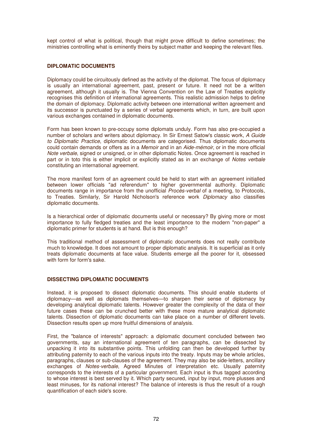kept control of what is political, though that might prove difficult to define sometimes; the ministries controlling what is eminently theirs by subject matter and keeping the relevant files.

## **DIPLOMATIC DOCUMENTS**

Diplomacy could be circuitously defined as the activity of the diplomat. The focus of diplomacy is usually an international agreement, past, present or future. It need not be a written agreement, although it usually is. The Vienna Convention on the Law of Treaties explicitly recognises this definition of international agreements. This realistic admission helps to define the domain of diplomacy. Diplomatic activity between one international written agreement and its successor is punctuated by a series of verbal agreements which, in turn, are built upon various exchanges contained in diplomatic documents.

Form has been known to pre-occupy some diplomats unduly. Form has also pre-occupied a number of scholars and writers about diplomacy. In Sir Ernest Satow's classic work, A Guide to Diplomatic Practice, diplomatic documents are categorised. Thus diplomatic documents could contain demands or offers as in a *Memoir* and in an *Aide-mémoir*, or in the more official Note verbale, signed or unsigned, or in other diplomatic Notes. Once agreement is reached in part or in toto this is either implicit or explicitly stated as in an exchange of Notes verbale constituting an international agreement.

The more manifest form of an agreement could be held to start with an agreement initialled between lower officials "ad referendum" to higher governmental authority. Diplomatic documents range in importance from the unofficial Procès-verbal of a meeting, to Protocols, to Treaties. Similarly, Sir Harold Nicholson's reference work Diplomacy also classifies diplomatic documents.

Is a hierarchical order of diplomatic documents useful or necessary? By giving more or most importance to fully fledged treaties and the least importance to the modern "non-paper" a diplomatic primer for students is at hand. But is this enough?

This traditional method of assessment of diplomatic documents does not really contribute much to knowledge. It does not amount to proper diplomatic analysis. It is superficial as it only treats diplomatic documents at face value. Students emerge all the poorer for it, obsessed with form for form's sake.

#### **DISSECTING DIPLOMATIC DOCUMENTS**

Instead, it is proposed to dissect diplomatic documents. This should enable students of diplomacy—as well as diplomats themselves—to sharpen their sense of diplomacy by developing analytical diplomatic talents. However greater the complexity of the data of their future cases these can be crunched better with these more mature analytical diplomatic talents. Dissection of diplomatic documents can take place on a number of different levels. Dissection results open up more fruitful dimensions of analysis.

First, the "balance of interests" approach: a diplomatic document concluded between two governments, say an international agreement of ten paragraphs, can be dissected by unpacking it into its substantive points. This unfolding can then be developed further by attributing paternity to each of the various inputs into the treaty. Inputs may be whole articles, paragraphs, clauses or sub-clauses of the agreement. They may also be side-letters, ancillary exchanges of Notes-verbale, Agreed Minutes of interpretation etc. Usually paternity corresponds to the interests of a particular government. Each input is thus tagged according to whose interest is best served by it. Which party secured, input by input, more plusses and least minuses, for its national interest? The balance of interests is thus the result of a rough quantification of each side's score.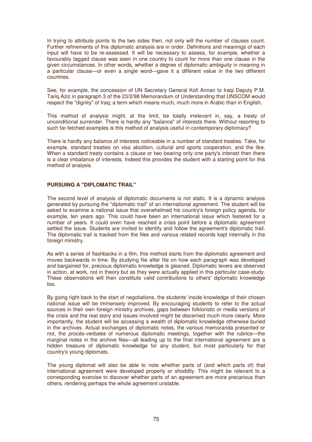In trying to attribute points to the two sides then, not only will the number of clauses count. Further refinements of this diplomatic analysis are in order. Definitions and meanings of each input will have to be re-assessed. It will be necessary to assess, for example, whether a favourably tagged clause was seen in one country to count for more than one clause in the given circumstances. In other words, whether a degree of diplomatic ambiguity in meaning in a particular clause—or even a single word—gave it a different value in the two different countries.

See, for example, the concession of UN Secretary General Kofi Annan to Iraqi Deputy P.M. Tariq Aziz in paragraph 3 of the 23/2/98 Memorandum of Understanding that UNSCOM would respect the "dignity" of Iraq; a term which means much, much more in Arabic than in English.

This method of analysis might, at the limit, be totally irrelevant in, say, a treaty of unconditional surrender. There is hardly any "balance" of interests there. Without resorting to such far-fetched examples is this method of analysis useful in contemporary diplomacy?

There is hardly any balance of interests noticeable in a number of standard treaties. Take, for example, standard treaties on visa abolition, cultural and sports cooperation, and the like. When a standard treaty contains a clause or two bearing only one party's interest then there is a clear imbalance of interests. Indeed this provides the student with a starting point for this method of analysis.

# **PURSUING A "DIPLOMATIC TRAIL"**

The second level of analysis of diplomatic documents is not static. It is a dynamic analysis generated by pursuing the "diplomatic trail" of an international agreement. The student will be asked to examine a national issue that overwhelmed his country's foreign policy agenda, for example, ten years ago. This could have been an international issue which festered for a number of years. It could even have reached a crisis point before a diplomatic agreement settled the issue. Students are invited to identify and follow the agreement's diplomatic trail. The diplomatic trail is tracked from the files and various related records kept internally in the foreign ministry.

As with a series of flashbacks in a film, this method starts from the diplomatic agreement and moves backwards in time. By studying file after file on how each paragraph was developed and bargained for, precious diplomatic knowledge is gleaned. Diplomatic levers are observed in action, at work, not in theory but as they were actually applied in this particular case-study. These observations will then constitute valid contributions to others' diplomatic knowledge too.

By going right back to the start of negotiations, the students' inside knowledge of their chosen national issue will be immensely improved. By encouraging students to refer to the actual sources in their own foreign ministry archives, gaps between folkloristic or media versions of the crisis and the real story and issues involved might be discerned much more clearly. More importantly, the student will be accessing a wealth of diplomatic knowledge otherwise buried in the archives. Actual exchanges of diplomatic notes, the various memoranda presented or not, the procès-verbales of numerous diplomatic meetings, together with the rubrics—the marginal notes in the archive files—all leading up to the final international agreement are a hidden treasure of diplomatic knowledge for any student, but most particularly for that country's young diplomats.

The young diplomat will also be able to note whether parts of (and which parts of) that international agreement were developed properly or shoddily. This might be relevant to a corresponding exercise to discover whether parts of an agreement are more precarious than others, rendering perhaps the whole agreement unstable.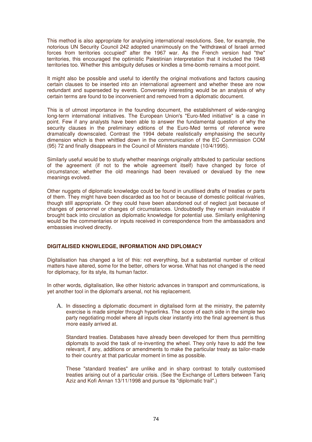This method is also appropriate for analysing international resolutions. See, for example, the notorious UN Security Council 242 adopted unanimously on the "withdrawal of Israeli armed forces from territories occupied" after the 1967 war. As the French version had "the" territories, this encouraged the optimistic Palestinian interpretation that it included the 1948 territories too. Whether this ambiguity defuses or kindles a time-bomb remains a moot point.

It might also be possible and useful to identify the original motivations and factors causing certain clauses to be inserted into an international agreement and whether these are now redundant and superseded by events. Conversely interesting would be an analysis of why certain terms are found to be inconvenient and removed from a diplomatic document.

This is of utmost importance in the founding document, the establishment of wide-ranging long-term international initiatives. The European Union's "Euro-Med initiative" is a case in point. Few if any analysts have been able to answer the fundamental question of why the security clauses in the preliminary editions of the Euro-Med terms of reference were dramatically downscaled. Contrast the 1994 debate realistically emphasising the security dimension which is then whittled down in the communication of the EC Commission COM (95) 72 and finally disappears in the Council of Ministers mandate (10/4/1995).

Similarly useful would be to study whether meanings originally attributed to particular sections of the agreement (if not to the whole agreement itself) have changed by force of circumstance; whether the old meanings had been revalued or devalued by the new meanings evolved.

Other nuggets of diplomatic knowledge could be found in unutilised drafts of treaties or parts of them. They might have been discarded as too hot or because of domestic political rivalries, though still appropriate. Or they could have been abandoned out of neglect just because of changes of personnel or changes of circumstances. Undoubtedly they remain invaluable if brought back into circulation as diplomatic knowledge for potential use. Similarly enlightening would be the commentaries or inputs received in correspondence from the ambassadors and embassies involved directly.

# **DIGITALISED KNOWLEDGE, INFORMATION AND DIPLOMACY**

Digitalisation has changed a lot of this: not everything, but a substantial number of critical matters have altered, some for the better, others for worse. What has not changed is the need for diplomacy, for its style, its human factor.

In other words, digitalisation, like other historic advances in transport and communications, is yet another tool in the diplomat's arsenal, not his replacement.

A. In dissecting a diplomatic document in digitalised form at the ministry, the paternity exercise is made simpler through hyperlinks. The score of each side in the simple two party negotiating model where all inputs clear instantly into the final agreement is thus more easily arrived at.

Standard treaties. Databases have already been developed for them thus permitting diplomats to avoid the task of re-inventing the wheel. They only have to add the few relevant, if any, additions or amendments to make the particular treaty as tailor-made to their country at that particular moment in time as possible.

These "standard treaties" are unlike and in sharp contrast to totally customised treaties arising out of a particular crisis. (See the Exchange of Letters between Tariq Aziz and Kofi Annan 13/11/1998 and pursue its "diplomatic trail".)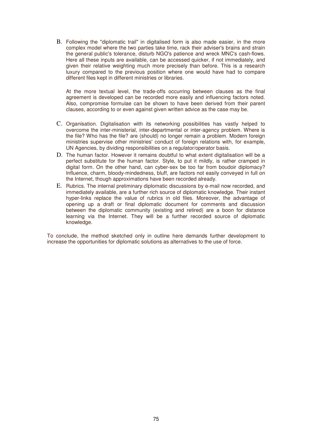B. Following the "diplomatic trail" in digitalised form is also made easier, in the more complex model where the two parties take time, rack their adviser's brains and strain the general public's tolerance, disturb NGO's patience and wreck MNC's cash-flows. Here all these inputs are available, can be accessed quicker, if not immediately, and given their relative weighting much more precisely than before. This is a research luxury compared to the previous position where one would have had to compare different files kept in different ministries or libraries.

At the more textual level, the trade-offs occurring between clauses as the final agreement is developed can be recorded more easily and influencing factors noted. Also, compromise formulae can be shown to have been derived from their parent clauses, according to or even against given written advice as the case may be.

- C. Organisation. Digitalisation with its networking possibilities has vastly helped to overcome the inter-ministerial, inter-departmental or inter-agency problem. Where is the file? Who has the file? are (should) no longer remain a problem. Modern foreign ministries supervise other ministries' conduct of foreign relations with, for example, UN Agencies, by dividing responsibilities on a regulator/operator basis.
- D. The human factor. However it remains doubtful to what extent digitalisation will be a perfect substitute for the human factor. Style, to put it mildly, is rather cramped in digital form. On the other hand, can cyber-sex be too far from boudoir diplomacy? Influence, charm, bloody-mindedness, bluff, are factors not easily conveyed in full on the Internet, though approximations have been recorded already.
- E. Rubrics. The internal preliminary diplomatic discussions by e-mail now recorded, and immediately available, are a further rich source of diplomatic knowledge. Their instant hyper-links replace the value of rubrics in old files. Moreover, the advantage of opening up a draft or final diplomatic document for comments and discussion between the diplomatic community (existing and retired) are a boon for distance learning via the Internet. They will be a further recorded source of diplomatic knowledge.

To conclude, the method sketched only in outline here demands further development to increase the opportunities for diplomatic solutions as alternatives to the use of force.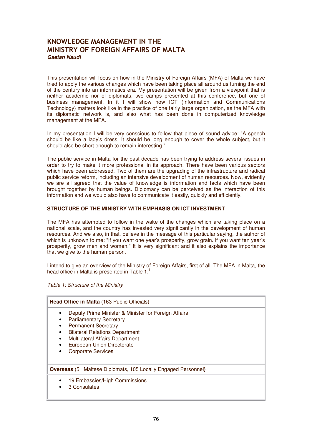# KNOWLEDGE MANAGEMENT IN THE MINISTRY OF FOREIGN AFFAIRS OF MALTA **Gaetan Naudi**

This presentation will focus on how in the Ministry of Foreign Affairs (MFA) of Malta we have tried to apply the various changes which have been taking place all around us turning the end of the century into an informatics era. My presentation will be given from a viewpoint that is neither academic nor of diplomats, two camps presented at this conference, but one of business management. In it I will show how ICT (Information and Communications Technology) matters look like in the practice of one fairly large organization, as the MFA with its diplomatic network is, and also what has been done in computerized knowledge management at the MFA.

In my presentation I will be very conscious to follow that piece of sound advice: "A speech should be like a lady's dress. It should be long enough to cover the whole subject, but it should also be short enough to remain interesting."

The public service in Malta for the past decade has been trying to address several issues in order to try to make it more professional in its approach. There have been various sectors which have been addressed. Two of them are the upgrading of the infrastructure and radical public service reform, including an intensive development of human resources. Now, evidently we are all agreed that the value of knowledge is information and facts which have been brought together by human beings. Diplomacy can be perceived as the interaction of this information and we would also have to communicate it easily, quickly and efficiently.

# **STRUCTURE OF THE MINISTRY WITH EMPHASIS ON ICT INVESTMENT**

The MFA has attempted to follow in the wake of the changes which are taking place on a national scale, and the country has invested very significantly in the development of human resources. And we also, in that, believe in the message of this particular saying, the author of which is unknown to me: "If you want one year's prosperity, grow grain. If you want ten year's prosperity, grow men and women." It is very significant and it also explains the importance that we give to the human person.

I intend to give an overview of the Ministry of Foreign Affairs, first of all. The MFA in Malta, the head office in Malta is presented in Table 1.<sup>1</sup>

|  |  | Table 1: Structure of the Ministry |  |  |
|--|--|------------------------------------|--|--|
|--|--|------------------------------------|--|--|

| Head Office in Malta (163 Public Officials)                                                                                                                                                                                                                                                         |  |  |  |  |
|-----------------------------------------------------------------------------------------------------------------------------------------------------------------------------------------------------------------------------------------------------------------------------------------------------|--|--|--|--|
| Deputy Prime Minister & Minister for Foreign Affairs<br><b>Parliamentary Secretary</b><br>٠<br><b>Permanent Secretary</b><br>٠<br><b>Bilateral Relations Department</b><br>$\bullet$<br><b>Multilateral Affairs Department</b><br>٠<br>European Union Directorate<br><b>Corporate Services</b><br>٠ |  |  |  |  |
| <b>Overseas</b> (51 Maltese Diplomats, 105 Locally Engaged Personnel)                                                                                                                                                                                                                               |  |  |  |  |
| 19 Embassies/High Commissions<br>3 Consulates<br>٠                                                                                                                                                                                                                                                  |  |  |  |  |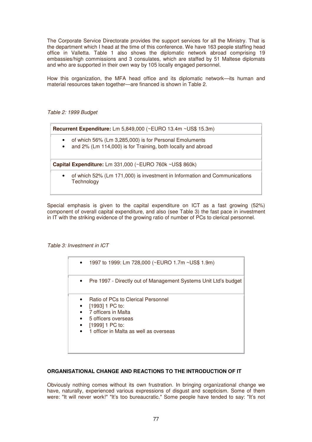The Corporate Service Directorate provides the support services for all the Ministry. That is the department which I head at the time of this conference. We have 163 people staffing head office in Valletta. Table 1 also shows the diplomatic network abroad comprising 19 embassies/high commissions and 3 consulates, which are staffed by 51 Maltese diplomats and who are supported in their own way by 105 locally engaged personnel.

How this organization, the MFA head office and its diplomatic network—its human and material resources taken together—are financed is shown in Table 2.

## Table 2: 1999 Budget

**Recurrent Expenditure:** Lm 5,849,000 (~EURO 13.4m ~US\$ 15.3m)

- of which 56% (Lm 3,285,000) is for Personal Emoluments
- and 2% (Lm 114,000) is for Training, both locally and abroad

**Capital Expenditure:** Lm 331,000 (~EURO 760k ~US\$ 860k)

• of which 52% (Lm 171,000) is investment in Information and Communications **Technology** 

Special emphasis is given to the capital expenditure on ICT as a fast growing (52%) component of overall capital expenditure, and also (see Table 3) the fast pace in investment in IT with the striking evidence of the growing ratio of number of PCs to clerical personnel.

#### Table 3: Investment in ICT

- 1997 to 1999: Lm 728,000 (~EURO 1.7m ~US\$ 1.9m)
- Pre 1997 Directly out of Management Systems Unit Ltd's budget
- Ratio of PCs to Clerical Personnel
- [1993] 1 PC to:
- 7 officers in Malta
- 5 officers overseas
- [1999] 1 PC to:
- 1 officer in Malta as well as overseas

#### **ORGANISATIONAL CHANGE AND REACTIONS TO THE INTRODUCTION OF IT**

Obviously nothing comes without its own frustration. In bringing organizational change we have, naturally, experienced various expressions of disgust and scepticism. Some of them were: "It will never work!" "It's too bureaucratic." Some people have tended to say: "It's not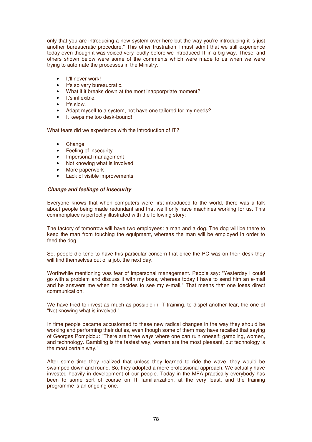only that you are introducing a new system over here but the way you're introducing it is just another bureaucratic procedure." This other frustration I must admit that we still experience today even though it was voiced very loudly before we introduced IT in a big way. These, and others shown below were some of the comments which were made to us when we were trying to automate the processes in the Ministry.

- It'll never work!
- It's so very bureaucratic.
- What if it breaks down at the most inapporpriate moment?
- It's inflexible.
- It's slow.
- Adapt myself to a system, not have one tailored for my needs?
- It keeps me too desk-bound!

What fears did we experience with the introduction of IT?

- **Change**
- Feeling of insecurity
- Impersonal management
- Not knowing what is involved
- More paperwork
- Lack of visible improvements

#### **Change and feelings of insecurity**

Everyone knows that when computers were first introduced to the world, there was a talk about people being made redundant and that we'll only have machines working for us. This commonplace is perfectly illustrated with the following story:

The factory of tomorrow will have two employees: a man and a dog. The dog will be there to keep the man from touching the equipment, whereas the man will be employed in order to feed the dog.

So, people did tend to have this particular concern that once the PC was on their desk they will find themselves out of a job, the next day.

Worthwhile mentioning was fear of impersonal management. People say: "Yesterday I could go with a problem and discuss it with my boss, whereas today I have to send him an e-mail and he answers me when he decides to see my e-mail." That means that one loses direct communication.

We have tried to invest as much as possible in IT training, to dispel another fear, the one of "Not knowing what is involved."

In time people became accustomed to these new radical changes in the way they should be working and performing their duties, even though some of them may have recalled that saying of Georges Pompidou: "There are three ways where one can ruin oneself: gambling, women, and technology. Gambling is the fastest way, women are the most pleasant, but technology is the most certain way."

After some time they realized that unless they learned to ride the wave, they would be swamped down and round. So, they adopted a more professional approach. We actually have invested heavily in development of our people. Today in the MFA practically everybody has been to some sort of course on IT familiarization, at the very least, and the training programme is an ongoing one.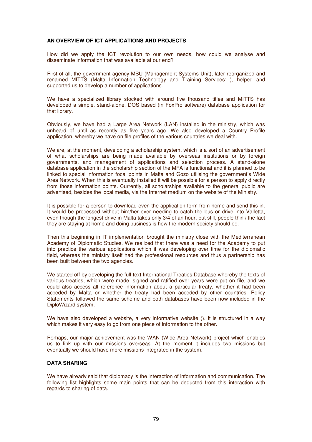## **AN OVERVIEW OF ICT APPLICATIONS AND PROJECTS**

How did we apply the ICT revolution to our own needs, how could we analyse and disseminate information that was available at our end?

First of all, the government agency MSU (Management Systems Unit), later reorganized and renamed MITTS (Malta Information Technology and Training Services: ), helped and supported us to develop a number of applications.

We have a specialized library stocked with around five thousand titles and MITTS has developed a simple, stand-alone, DOS based (in FoxPro software) database application for that library.

Obviously, we have had a Large Area Network (LAN) installed in the ministry, which was unheard of until as recently as five years ago. We also developed a Country Profile application, whereby we have on file profiles of the various countries we deal with.

We are, at the moment, developing a scholarship system, which is a sort of an advertisement of what scholarships are being made available by overseas institutions or by foreign governments, and management of applications and selection process. A stand-alone database application in the scholarship section of the MFA is functional and it is planned to be linked to special information focal points in Malta and Gozo utilising the government's Wide Area Network. When this is eventually installed it will be possible for a person to apply directly from those information points. Currently, all scholarships available to the general public are advertised, besides the local media, via the Internet medium on the website of the Ministry.

It is possible for a person to download even the application form from home and send this in. It would be processed without him/her ever needing to catch the bus or drive into Valletta, even though the longest drive in Malta takes only 3/4 of an hour, but still, people think the fact they are staying at home and doing business is how the modern society should be.

Then this beginning in IT implementation brought the ministry close with the Mediterranean Academy of Diplomatic Studies. We realized that there was a need for the Academy to put into practice the various applications which it was developing over time for the diplomatic field, whereas the ministry itself had the professional resources and thus a partnership has been built between the two agencies.

We started off by developing the full-text International Treaties Database whereby the texts of various treaties, which were made, signed and ratified over years were put on file, and we could also access all reference information about a particular treaty, whether it had been acceded by Malta or whether the treaty had been acceded by other countries. Policy Statements followed the same scheme and both databases have been now included in the DiploWizard system.

We have also developed a website, a very informative website (). It is structured in a way which makes it very easy to go from one piece of information to the other.

Perhaps, our major achievement was the WAN (Wide Area Network) project which enables us to link up with our missions overseas. At the moment it includes two missions but eventually we should have more missions integrated in the system.

## **DATA SHARING**

We have already said that diplomacy is the interaction of information and communication. The following list highlights some main points that can be deducted from this interaction with regards to sharing of data.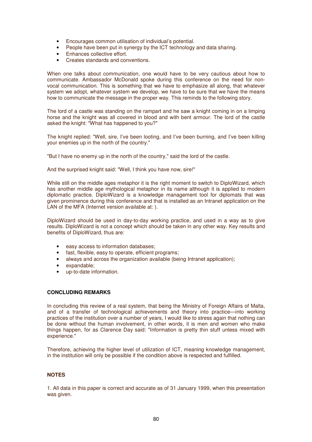- Encourages common utilisation of individual's potential.
- People have been put in synergy by the ICT technology and data sharing.
- Enhances collective effort.
- Creates standards and conventions.

When one talks about communication, one would have to be very cautious about how to communicate. Ambassador McDonald spoke during this conference on the need for nonvocal communication. This is something that we have to emphasize all along, that whatever system we adopt, whatever system we develop, we have to be sure that we have the means how to communicate the message in the proper way. This reminds to the following story.

The lord of a castle was standing on the rampart and he saw a knight coming in on a limping horse and the knight was all covered in blood and with bent armour. The lord of the castle asked the knight: "What has happened to you?"

The knight replied: "Well, sire, I've been looting, and I've been burning, and I've been killing your enemies up in the north of the country."

"But I have no enemy up in the north of the country," said the lord of the castle.

And the surprised knight said: "Well, I think you have now, sire!"

While still on the middle ages metaphor it is the right moment to switch to DiploWizard, which has another middle age mythological metaphor in its name although it is applied to modern diplomatic practice. DiploWizard is a knowledge management tool for diplomats that was given prominence during this conference and that is installed as an Intranet application on the LAN of the MFA (Internet version available at: ).

DiploWizard should be used in day-to-day working practice, and used in a way as to give results. DiploWizard is not a concept which should be taken in any other way. Key results and benefits of DiploWizard, thus are:

- easy access to information databases:
- fast, flexible, easy to operate, efficient programs;
- always and across the organization available (being Intranet application);
- expandable:
- up-to-date information.

### **CONCLUDING REMARKS**

In concluding this review of a real system, that being the Ministry of Foreign Affairs of Malta, and of a transfer of technological achievements and theory into practice—into working practices of the institution over a number of years, I would like to stress again that nothing can be done without the human involvement, in other words, it is men and women who make things happen, for as Clarence Day said: "Information is pretty thin stuff unless mixed with experience."

Therefore, achieving the higher level of utilization of ICT, meaning knowledge management, in the institution will only be possible if the condition above is respected and fulfilled.

### **NOTES**

1. All data in this paper is correct and accurate as of 31 January 1999, when this presentation was given.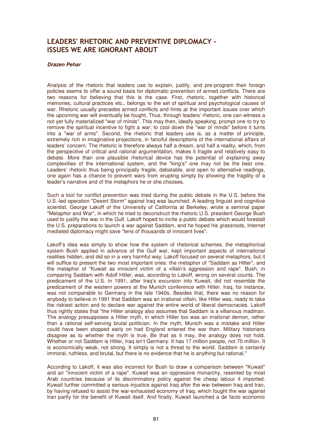# LEADERS' RHETORIC AND PREVENTIVE DIPLOMACY - ISSUES WE ARE IGNORANT ABOUT

## **Drazen Pehar**

Analysis of the rhetoric that leaders use to explain, justify, and pre-program their foreign policies seems to offer a sound basis for diplomatic prevention of armed conflicts. There are two reasons for believing that this is the case. First, rhetoric, together with historical memories, cultural practices etc., belongs to the set of spiritual and psychological causes of war. Rhetoric usually precedes armed conflicts and hints at the important issues over which the upcoming war will eventually be fought. Thus, through leaders' rhetoric, one can witness a not yet fully materialized "war of minds". This may then, ideally speaking, prompt one to try to remove the spiritual incentive to fight a war; to cool down the "war of minds" before it turns into a "war of arms". Second, the rhetoric that leaders use is, as a matter of principle, extremely rich in imaginative projections, in fanciful descriptions of the international affairs of leaders' concern. The rhetoric is therefore always half a dream, and half a reality, which, from the perspective of critical and rational argumentation, makes it fragile and relatively easy to debate. More than one plausible rhetorical device has the potential of explaining away complexities of the international system, and the "king's" one may not be the best one. Leaders' rhetoric thus being principally fragile, debatable, and open to alternative readings, one again has a chance to prevent wars from erupting simply by showing the fragility of a leader's narrative and of the metaphors he or she chooses.

Such a tool for conflict prevention was tried during the public debate in the U.S. before the U.S.-led operation "Desert Storm" against Iraq was launched. A leading linguist and cognitive scientist, George Lakoff of the University of California at Berkeley, wrote a seminal paper "Metaphor and War", in which he tried to deconstruct the rhetoric U.S. president George Bush used to justify the war in the Gulf. Lakoff hoped to incite a public debate which would forestall the U.S. preparations to launch a war against Saddam, and he hoped his grassroots, Internet mediated diplomacy might save "tens of thousands of innocent lives".

Lakoff's idea was simply to show how the system of rhetorical schemes, the metaphorical system Bush applied in advance of the Gulf war, kept important aspects of international realities hidden, and did so in a very harmful way. Lakoff focused on several metaphors, but it will suffice to present the two most important ones: the metaphor of "Saddam as Hitler", and the metaphor of "Kuwait as innocent victim of a villain's aggression and rape". Bush, in comparing Saddam with Adolf Hitler, was, according to Lakoff, wrong on several counts. The predicament of the U.S. in 1991, after Iraq's excursion into Kuwait, did not resemble the predicament of the western powers at the Munich conference with Hitler. Iraq, for instance, was not comparable to Germany in the late 1940s. Besides that, there was no reason for anybody to believe in 1991 that Saddam was an irrational villain, like Hitler was, ready to take the riskiest action and to declare war against the entire world of liberal democracies. Lakoff thus rightly states that "the Hitler analogy also assumes that Saddam is a villainous madman. The analogy presupposes a Hitler myth, in which Hitler too was an irrational demon, rather than a rational self-serving brutal politician. In the myth, Munich was a mistake and Hitler could have been stopped early on had England entered the war then. Military historians disagree as to whether the myth is true. Be that as it may, the analogy does not hold. Whether or not Saddam is Hitler, Iraq isn't Germany. It has 17 million people, not 70 million. It is economically weak, not strong. It simply is not a threat to the world. Saddam is certainly immoral, ruthless, and brutal, but there is no evidence that he is anything but rational."

According to Lakoff, it was also incorrect for Bush to draw a comparison between "Kuwait" and an "innocent victim of a rape". Kuwait was an oppressive monarchy, resented by most Arab countries because of its discriminatory policy against the cheap labour it imported. Kuwait further committed a serious injustice against Iraq after the war between Iraq and Iran, by having refused to assist the war-exhausted economy of Iraq, which fought the war against Iran partly for the benefit of Kuwait itself. And finally, Kuwait launched a de facto economic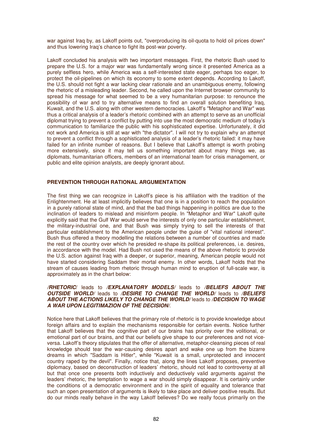war against Iraq by, as Lakoff points out, "overproducing its oil-quota to hold oil prices down" and thus lowering Iraq's chance to fight its post-war poverty.

Lakoff concluded his analysis with two important messages. First, the rhetoric Bush used to prepare the U.S. for a major war was fundamentally wrong since it presented America as a purely selfless hero, while America was a self-interested state eager, perhaps too eager, to protect the oil-pipelines on which its economy to some extent depends. According to Lakoff, the U.S. should not fight a war lacking clear rationale and an unambiguous enemy, following the rhetoric of a misleading leader. Second, he called upon the Internet browser community to spread his message for what seemed to be a very humanitarian purpose: to renounce the possibility of war and to try alternative means to find an overall solution benefiting Iraq, Kuwait, and the U.S. along with other western democracies. Lakoff's "Metaphor and War" was thus a critical analysis of a leader's rhetoric combined with an attempt to serve as an unofficial diplomat trying to prevent a conflict by putting into use the most democratic medium of today's communication to familiarize the public with his sophisticated expertise. Unfortunately, it did not work and America is still at war with "the dictator". I will not try to explain why an attempt to prevent a conflict through a sophisticated analysis of a leader's rhetoric failed: it may have failed for an infinite number of reasons. But I believe that Lakoff's attempt is worth probing more extensively, since it may tell us something important about many things we, as diplomats, humanitarian officers, members of an international team for crisis management, or public and elite opinion analysts, are deeply ignorant about.

# **PREVENTION THROUGH RATIONAL ARGUMENTATION**

The first thing we can recognize in Lakoff's piece is his affiliation with the tradition of the Enlightenment. He at least implicitly believes that one is in a position to reach the population in a purely rational state of mind, and that the bad things happening in politics are due to the inclination of leaders to mislead and misinform people. In "Metaphor and War" Lakoff quite explicitly said that the Gulf War would serve the interests of only one particular establishment, the military-industrial one, and that Bush was simply trying to sell the interests of that particular establishment to the American people under the guise of "vital national interest". Bush thus offered a theory modelling the relations between a number of countries and made the rest of the country over which he presided re-shape its political preferences, i.e. desires, in accordance with the model. Had Bush not used the means of the above rhetoric to provide the U.S. action against Iraq with a deeper, or superior, meaning, American people would not have started considering Saddam their mortal enemy. In other words, Lakoff holds that the stream of causes leading from rhetoric through human mind to eruption of full-scale war, is approximately as in the chart below:

## **/RHETORIC**/ leads to **/EXPLANATORY MODELS/** leads to **/BELIEFS ABOUT THE OUTSIDE WORLD/** leads to **/DESIRE TO CHANGE THE WORLD/** leads to **/BELIEFS ABOUT THE ACTIONS LIKELY TO CHANGE THE WORLD/** leads to **/DECISION TO WAGE A WAR UPON LEGITIMAZION OF THE DECISION/**.

Notice here that Lakoff believes that the primary role of rhetoric is to provide knowledge about foreign affairs and to explain the mechanisms responsible for certain events. Notice further that Lakoff believes that the cognitive part of our brains has priority over the volitional, or emotional part of our brains, and that our beliefs give shape to our preferences and not viceversa. Lakoff's theory stipulates that the offer of alternative, metaphor-cleansing pieces of real knowledge should tear the war-causing desires apart and wake one up from the bizarre dreams in which "Saddam is Hitler", while "Kuwait is a small, unprotected and innocent country raped by the devil". Finally, notice that, along the lines Lakoff proposes, preventive diplomacy, based on deconstruction of leaders' rhetoric, should not lead to controversy at all but that once one presents both inductively and deductively valid arguments against the leaders' rhetoric, the temptation to wage a war should simply disappear. It is certainly under the conditions of a democratic environment and in the spirit of equality and tolerance that such an open presentation of arguments is likely to take place and deliver positive results. But do our minds really behave in the way Lakoff believes? Do we really focus primarily on the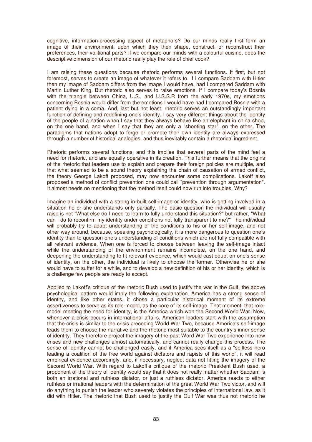cognitive, information-processing aspect of metaphors? Do our minds really first form an image of their environment, upon which they then shape, construct, or reconstruct their preferences, their volitional parts? If we compare our minds with a colourful cuisine, does the descriptive dimension of our rhetoric really play the role of chief cook?

I am raising these questions because rhetoric performs several functions. It first, but not foremost, serves to create an image of whatever it refers to. If I compare Saddam with Hitler then my image of Saddam differs from the image I would have, had I compared Saddam with Martin Luther King. But rhetoric also serves to raise emotions. If I compare today's Bosnia with the triangle between China, U.S., and U.S.S.R from the early 1970s, my emotions concerning Bosnia would differ from the emotions I would have had I compared Bosnia with a patient dying in a coma. And, last but not least, rhetoric serves an outstandingly important function of defining and redefining one's identity. I say very different things about the identity of the people of a nation when I say that they always behave like an elephant in china shop, on the one hand, and when I say that they are only a "shooting star", on the other. The paradigms that nations adopt to forge or promote their own identity are always expressed through a number of historical analogies, and thus inevitably contain a rhetorical ingredient.

Rhetoric performs several functions, and this implies that several parts of the mind feel a need for rhetoric, and are equally operative in its creation. This further means that the origins of the rhetoric that leaders use to explain and prepare their foreign policies are multiple, and that what seemed to be a sound theory explaining the chain of causation of armed conflict, the theory George Lakoff proposed, may now encounter some complications. Lakoff also proposed a method of conflict prevention one could call "prevention through argumentation". It almost needs no mentioning that the method itself could now run into troubles. Why?

Imagine an individual with a strong in-built self-image or identity, who is getting involved in a situation he or she understands only partially. The basic question the individual will usually raise is not "What else do I need to learn to fully understand this situation?" but rather, "What can I do to reconfirm my identity under conditions not fully transparent to me?" The individual will probably try to adapt understanding of the conditions to his or her self-image, and not other way around, because, speaking psychologically, it is more dangerous to question one's identity than to question one's understanding of conditions which are not fully compatible with all relevant evidence. When one is forced to choose between leaving the self-image intact while the understanding of the environment remains incomplete, on the one hand, and deepening the understanding to fit relevant evidence, which would cast doubt on one's sense of identity, on the other, the individual is likely to choose the former. Otherwise he or she would have to suffer for a while, and to develop a new definition of his or her identity, which is a challenge few people are ready to accept.

Applied to Lakoff's critique of the rhetoric Bush used to justify the war in the Gulf, the above psychological pattern would imply the following explanation. America has a strong sense of identity, and like other states, it chose a particular historical moment of its extreme assertiveness to serve as its role-model, as the core of its self-image. That moment, that rolemodel meeting the need for identity, is the America which won the Second World War. Now, whenever a crisis occurs in international affairs, American leaders start with the assumption that the crisis is similar to the crisis preceding World War Two, because America's self-image leads them to choose the narrative and the rhetoric most suitable to the country's inner sense of identity. They therefore project the imagery of the past Word War Two experience into new crises and new challenges almost automatically, and cannot really change this process. The sense of identity cannot be challenged easily, and if America sees itself as a "selfless hero leading a coalition of the free world against dictators and rapists of this world", it will read empirical evidence accordingly, and, if necessary, neglect data not fitting the imagery of the Second World War. With regard to Lakoff's critique of the rhetoric President Bush used, a proponent of the theory of identity would say that it does not really matter whether Saddam is both an irrational and ruthless dictator, or just a ruthless dictator. America reacts to either ruthless or irrational leaders with the determination of the great World War Two victor, and will do anything to punish the leader who severely violates the principles of international law, as it did with Hitler. The rhetoric that Bush used to justify the Gulf War was thus not rhetoric he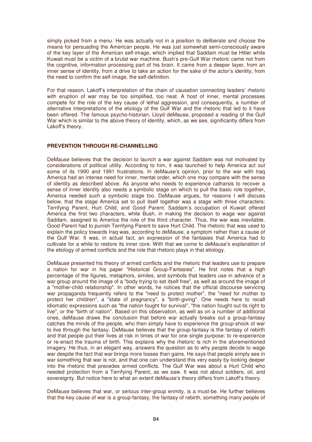simply picked from a menu. He was actually not in a position to deliberate and choose the means for persuading the American people. He was just somewhat semi-consciously aware of the key layer of the American self-image, which implied that Saddam must be Hitler while Kuwait must be a victim of a brutal war machine. Bush's pre-Gulf War rhetoric came not from the cognitive, information processing part of his brain. It came from a deeper layer, from an inner sense of identity, from a drive to take an action for the sake of the actor's identity, from the need to confirm the self-image, the self-definition.

For that reason, Lakoff's interpretation of the chain of causation connecting leaders' rhetoric with eruption of war may be too simplified, too neat. A host of inner, mental processes compete for the role of the key cause of lethal aggression, and consequently, a number of alternative interpretations of the etiology of the Gulf War and the rhetoric that led to it have been offered. The famous psycho-historian, Lloyd deMause, proposed a reading of the Gulf War which is similar to the above theory of identity, which, as we see, significantly differs from Lakoff's theory.

## **PREVENTION THROUGH RE-CHANNELLING**

DeMause believes that the decision to launch a war against Saddam was not motivated by considerations of political utility. According to him, it was launched to help America act out some of its 1990 and 1991 frustrations. In deMause's opinion, prior to the war with Iraq America had an intense need for inner, mental order, which one may compare with the sense of identity as described above. As anyone who needs to experience catharsis to recover a sense of inner identity also needs a symbolic stage on which to pull the basic role together, America needed such a symbolic stage too. DeMause argues, for reasons I will discuss below, that the stage America set to pull itself together was a stage with three characters: Terrifying Parent, Hurt Child, and Good Parent. Saddam's occupation of Kuwait offered America the first two characters, while Bush, in making the decision to wage war against Saddam, assigned to America the role of the third character. Thus, the war was inevitable. Good Parent had to punish Terrifying Parent to save Hurt Child. The rhetoric that was used to explain the policy towards Iraq was, according to deMause, a symptom rather than a cause of the Gulf War. It was, in actual fact, an expression of the fantasies that America had to cultivate for a while to restore its inner core. With that we come to deMause's explanation of the etiology of armed conflicts and the role that rhetoric plays in that etiology.

DeMause presented his theory of armed conflicts and the rhetoric that leaders use to prepare a nation for war in his paper "Historical Group-Fantasies". He first notes that a high percentage of the figures, metaphors, similes, and symbols that leaders use in advance of a war group around the image of a "body trying to set itself free", as well as around the image of a "mother-child relationship". In other words, he notices that the official discourse servicing war propaganda frequently refers to the "need to protect mother", the "need for mother to protect her children", a "state of pregnancy", a "birth-giving". One needs here to recall idiomatic expressions such as "the nation fought for survival", "the nation fought out its right to live", or the "birth of nation". Based on this observation, as well as on a number of additional ones, deMause draws the conclusion that before war actually breaks out a group-fantasy catches the minds of the people, who then simply have to experience the group-shock of war to live through the fantasy. DeMause believes that the group-fantasy is the fantasy of rebirth and that people put their lives at risk in times of war for one single purpose: to re-experience or re-enact the trauma of birth. This explains why the rhetoric is rich in the aforementioned imagery. He thus, in an elegant way, answers the question as to why people decide to wage war despite the fact that war brings more losses than gains. He says that people simply see in war something that war is not, and that one can understand this very easily by looking deeper into the rhetoric that precedes armed conflicts. The Gulf War was about a Hurt Child who needed protection from a Terrifying Parent, as we saw. It was not about soldiers, oil, and sovereignty. But notice here to what an extent deMause's theory differs from Lakoff's theory.

DeMause believes that war, or serious inter-group enmity, is a must-be. He further believes that the key cause of war is a group-fantasy, the fantasy of rebirth, something many people of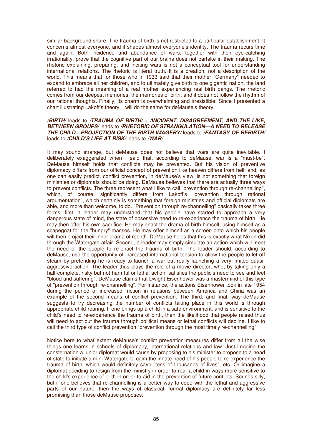similar background share. The trauma of birth is not restricted to a particular establishment. It concerns almost everyone, and it shapes almost everyone's identity. The trauma recurs time and again. Both incidence and abundance of wars, together with their eye-catching irrationality, prove that the cognitive part of our brains does not partake in their making. The rhetoric explaining, preparing, and inciting wars is not a conceptual tool for understanding international relations. The rhetoric is literal truth. It is a creation, not a description of the world. This means that for those who in 1933 said that their mother "Germany" needed to expand to embrace all her children, and to ultimately give birth to one gigantic nation, the land referred to had the meaning of a real mother experiencing real birth pangs. The rhetoric comes from our deepest memories, the memories of birth, and it does not follow the rhythm of our rational thoughts. Finally, its charm is overwhelming and irresistible. Since I presented a chart illustrating Lakoff's theory, I will do the same for deMause's theory.

### **/BIRTH/** leads to **/TRAUMA OF BIRTH/** + **/INCIDENT, DISAGREEMENT, AND THE LIKE, BETWEEN GROUPS/** leads to **/RHETORIC OF STRANGULATION—A NEED TO RELEASE THE CHILD—PROJECTION OF THE BIRTH IMAGERY/** leads to **/FANTASY OF REBIRTH/** leads to **/CHILD'S LIFE AT RISK/** leads to **/WAR/**.

It may sound strange, but deMause does not believe that wars are quite inevitable. I deliberately exaggerated when I said that, according to deMause, war is a "must-be". DeMause himself holds that conflicts may be prevented. But his vision of preventive diplomacy differs from our official concept of prevention like heaven differs from hell, and, as one can easily predict, conflict prevention, in deMause's view, is not something that foreign ministries or diplomats should be doing. DeMause believes that there are actually three ways to prevent conflicts. The three represent what I like to call "prevention through re-channelling", which, of course, significantly differs from Lakoff's "prevention through rational argumentation", which certainly is something that foreign ministries and official diplomats are able, and more than welcome, to do. "Prevention through re-channelling" basically takes three forms: first, a leader may understand that his people have started to approach a very dangerous state of mind, the state of obsessive need to re-experience the trauma of birth. He may then offer his own sacrifice. He may enact the drama of birth himself, using himself as a scapegoat for the "hungry" masses. He may offer himself as a screen onto which his people will then project their inner drama of rebirth. DeMause holds that this is exactly what Nixon did through the Watergate affair. Second, a leader may simply simulate an action which will meet the need of the people to re-enact the trauma of birth. The leader should, according to deMause, use the opportunity of increased international tension to allow the people to let off steam by pretending he is ready to launch a war but really launching a very limited quasiaggressive action. The leader thus plays the role of a movie director, who, by taking only a half-complete, risky but not harmful or lethal action, satisfies the public's need to see and feel "blood and suffering". DeMause claims that Dwight Eisenhower was a mastermind of this type of "prevention through re-channelling". For instance, the actions Eisenhower took in late 1954 during the period of increased friction in relations between America and China was an example of the second means of conflict prevention. The third, and final, way deMause suggests to try decreasing the number of conflicts taking place in this world is through appropriate child-rearing. If one brings up a child in a safe environment, and is sensitive to the child's need to re-experience the trauma of birth, then the likelihood that people raised thus will need to act out the trauma through political means or lethal conflicts will decline. I like to call the third type of conflict prevention "prevention through the most timely re-channelling".

Notice here to what extent deMause's conflict prevention measures differ from all the wise things one learns in schools of diplomacy, international relations and law. Just imagine the consternation a junior diplomat would cause by proposing to his minister to propose to a head of state to initiate a mini-Watergate to calm the innate need of his people to re-experience the trauma of birth, which would definitely save "tens of thousands of lives", etc. Or imagine a diplomat deciding to resign from the ministry in order to rear a child in ways more sensitive to the child's experience of birth in order to aid in the prevention of future conflicts. Sounds silly, but if one believes that re-channelling is a better way to cope with the lethal and aggressive parts of our nature, then the ways of classical, formal diplomacy are definitely far less promising than those deMause proposes.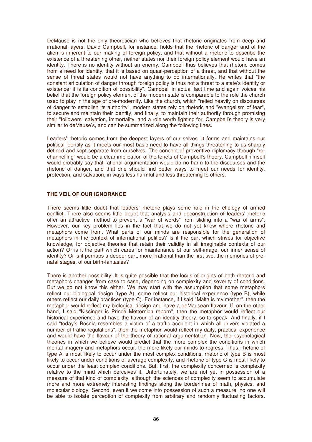DeMause is not the only theoretician who believes that rhetoric originates from deep and irrational layers. David Campbell, for instance, holds that the rhetoric of danger and of the alien is inherent to our making of foreign policy, and that without a rhetoric to describe the existence of a threatening other, neither states nor their foreign policy element would have an identity. There is no identity without an enemy. Campbell thus believes that rhetoric comes from a need for identity, that it is based on quasi-perception of a threat, and that without the sense of threat states would not have anything to do internationally. He writes that "the constant articulation of danger through foreign policy is thus not a threat to a state's identity or existence; it is its condition of possibility". Campbell in actual fact time and again voices his belief that the foreign policy element of the modern state is comparable to the role the church used to play in the age of pre-modernity. Like the church, which "relied heavily on discourses of danger to establish its authority", modern states rely on rhetoric and "evangelism of fear", to secure and maintain their identity, and finally, to maintain their authority through promising their "followers" salvation, immortality, and a role worth fighting for. Campbell's theory is very similar to deMause's, and can be summarized along the following lines.

Leaders' rhetoric comes from the deepest layers of our selves. It forms and maintains our political identity as it meets our most basic need to have all things threatening to us sharply defined and kept separate from ourselves. The concept of preventive diplomacy through "rechannelling" would be a clear implication of the tenets of Campbell's theory. Campbell himself would probably say that rational argumentation would do no harm to the discourses and the rhetoric of danger, and that one should find better ways to meet our needs for identity, protection, and salvation, in ways less harmful and less threatening to others.

# **THE VEIL OF OUR IGNORANCE**

There seems little doubt that leaders' rhetoric plays some role in the etiology of armed conflict. There also seems little doubt that analysis and deconstruction of leaders' rhetoric offer an attractive method to prevent a "war of words" from sliding into a "war of arms". However, our key problem lies in the fact that we do not yet know where rhetoric and metaphors come from. What parts of our minds are responsible for the generation of metaphors in the context of international politics? Is it the part which strives for objective knowledge, for objective theories that retain their validity in all imaginable contexts of our action? Or is it the part which cares for maintenance of our self-image, our inner sense of identity? Or is it perhaps a deeper part, more irrational than the first two, the memories of prenatal stages, of our birth-fantasies?

There is another possibility. It is quite possible that the locus of origins of both rhetoric and metaphors changes from case to case, depending on complexity and severity of conditions. But we do not know this either. We may start with the assumption that some metaphors reflect our biological design (type A), some reflect our historical experience (type B), while others reflect our daily practices (type C). For instance, if I said "Malta is my mother", then the metaphor would reflect my biological design and have a deMausean flavour. If, on the other hand, I said "Kissinger is Prince Metternich reborn", then the metaphor would reflect our historical experience and have the flavour of an identity theory, so to speak. And finally, if I said "today's Bosnia resembles a victim of a traffic accident in which all drivers violated a number of traffic-regulations", then the metaphor would reflect my daily, practical experience and would have the flavour of the theory of rational argumentation. Now, the psychological theories in which we believe would predict that the more complex the conditions in which mental imagery and metaphors occur, the more likely our minds to regress. Thus, rhetoric of type A is most likely to occur under the most complex conditions, rhetoric of type B is most likely to occur under conditions of average complexity, and rhetoric of type C is most likely to occur under the least complex conditions. But, first, the complexity concerned is complexity relative to the mind which perceives it. Unfortunately, we are not yet in possession of a measure of that kind of complexity, although the sciences of complexity seem to accumulate more and more extremely interesting findings along the borderlines of math, physics, and molecular biology. Second, even if we come into possession of such a measure, no one will be able to isolate perception of complexity from arbitrary and randomly fluctuating factors.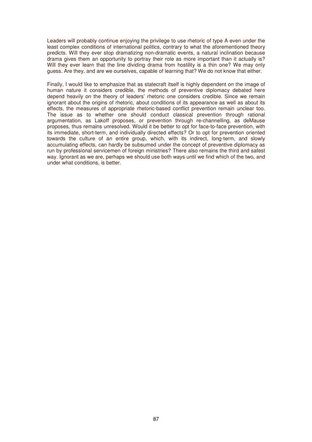Leaders will probably continue enjoying the privilege to use rhetoric of type A even under the least complex conditions of international politics, contrary to what the aforementioned theory predicts. Will they ever stop dramatizing non-dramatic events, a natural inclination because drama gives them an opportunity to portray their role as more important than it actually is? Will they ever learn that the line dividing drama from hostility is a thin one? We may only guess. Are they, and are we ourselves, capable of learning that? We do not know that either.

Finally, I would like to emphasize that as statecraft itself is highly dependent on the image of human nature it considers credible, the methods of preventive diplomacy debated here depend heavily on the theory of leaders' rhetoric one considers credible. Since we remain ignorant about the origins of rhetoric, about conditions of its appearance as well as about its effects, the measures of appropriate rhetoric-based conflict prevention remain unclear too. The issue as to whether one should conduct classical prevention through rational argumentation, as Lakoff proposes, or prevention through re-channelling, as deMause proposes, thus remains unresolved. Would it be better to opt for face-to-face prevention, with its immediate, short-term, and individually directed effects? Or to opt for prevention oriented towards the culture of an entire group, which, with its indirect, long-term, and slowly accumulating effects, can hardly be subsumed under the concept of preventive diplomacy as run by professional servicemen of foreign ministries? There also remains the third and safest way. Ignorant as we are, perhaps we should use both ways until we find which of the two, and under what conditions, is better.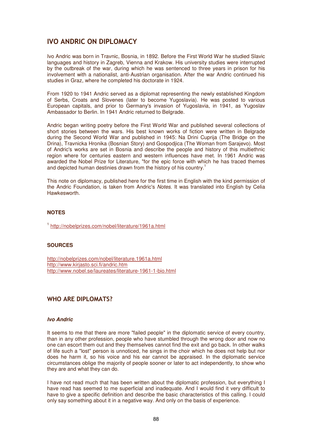# IVO ANDRIC ON DIPLOMACY

Ivo Andric was born in Travnic, Bosnia, in 1892. Before the First World War he studied Slavic languages and history in Zagreb, Vienna and Krakow. His university studies were interrupted by the outbreak of the war, during which he was sentenced to three years in prison for his involvement with a nationalist, anti-Austrian organisation. After the war Andric continued his studies in Graz, where he completed his doctorate in 1924.

From 1920 to 1941 Andric served as a diplomat representing the newly established Kingdom of Serbs, Croats and Slovenes (later to become Yugoslavia). He was posted to various European capitals, and prior to Germany's invasion of Yugoslavia, in 1941, as Yugoslav Ambassador to Berlin. In 1941 Andric returned to Belgrade.

Andric began writing poetry before the First World War and published several collections of short stories between the wars. His best known works of fiction were written in Belgrade during the Second World War and published in 1945: Na Drini Cuprija (The Bridge on the Drina), Travnicka Hronika (Bosnian Story) and Gospodjica (The Woman from Sarajevo). Most of Andric's works are set in Bosnia and describe the people and history of this multiethnic region where for centuries eastern and western influences have met. In 1961 Andric was awarded the Nobel Prize for Literature, "for the epic force with which he has traced themes and depicted human destinies drawn from the history of his country.<sup>1</sup>

This note on diplomacy, published here for the first time in English with the kind permission of the Andric Foundation, is taken from Andric's Notes. It was translated into English by Celia Hawkesworth.

## **NOTES**

1 http://nobelprizes.com/nobel/literature/1961a.html

#### **SOURCES**

http://nobelprizes.com/nobel/literature.1961a.html http://www.kirjasto.sci.fi/andric.htm http://www.nobel.se/laureates/literature-1961-1-bio.html

# WHO ARE DIPLOMATS?

## **Ivo Andric**

It seems to me that there are more "failed people" in the diplomatic service of every country, than in any other profession, people who have stumbled through the wrong door and now no one can escort them out and they themselves cannot find the exit and go back. In other walks of life such a "lost" person is unnoticed, he sings in the choir which he does not help but nor does he harm it, so his voice and his ear cannot be appraised. In the diplomatic service circumstances oblige the majority of people sooner or later to act independently, to show who they are and what they can do.

I have not read much that has been written about the diplomatic profession, but everything I have read has seemed to me superficial and inadequate. And I would find it very difficult to have to give a specific definition and describe the basic characteristics of this calling. I could only say something about it in a negative way. And only on the basis of experience.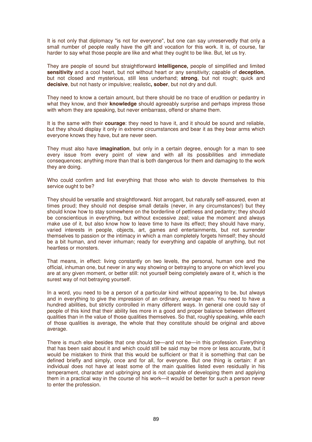It is not only that diplomacy "is not for everyone", but one can say unreservedly that only a small number of people really have the gift and vocation for this work. It is, of course, far harder to say what those people are like and what they ought to be like. But, let us try.

They are people of sound but straightforward **intelligence,** people of simplified and limited **sensitivity** and a cool heart, but not without heart or any sensitivity; capable of **deception**, but not closed and mysterious, still less underhand; **strong**, but not rough; quick and **decisive**, but not hasty or impulsive; realistic**, sober**, but not dry and dull.

They need to know a certain amount, but there should be no trace of erudition or pedantry in what they know, and their **knowledge** should agreeably surprise and perhaps impress those with whom they are speaking, but never embarrass, offend or shame them.

It is the same with their **courage**: they need to have it, and it should be sound and reliable, but they should display it only in extreme circumstances and bear it as they bear arms which everyone knows they have, but are never seen.

They must also have **imagination**, but only in a certain degree, enough for a man to see every issue from every point of view and with all its possibilities and immediate consequences; anything more than that is both dangerous for them and damaging to the work they are doing.

Who could confirm and list everything that those who wish to devote themselves to this service ought to be?

They should be versatile and straightforward. Not arrogant, but naturally self-assured, even at times proud; they should not despise small details (never, in any circumstances!) but they should know how to stay somewhere on the borderline of pettiness and pedantry; they should be conscientious in everything, but without excessive zeal; value the moment and always make use of it, but also know how to leave time to have its effect; they should have many, varied interests in people, objects, art, games and entertainments, but not surrender themselves to passion or the intimacy in which a man completely forgets himself; they should be a bit human, and never inhuman; ready for everything and capable of anything, but not heartless or monsters.

That means, in effect: living constantly on two levels, the personal, human one and the official, inhuman one, but never in any way showing or betraying to anyone on which level you are at any given moment, or better still: not yourself being completely aware of it, which is the surest way of not betraying yourself.

In a word, you need to be a person of a particular kind without appearing to be, but always and in everything to give the impression of an ordinary, average man. You need to have a hundred abilities, but strictly controlled in many different ways. In general one could say of people of this kind that their ability lies more in a good and proper balance between different qualities than in the value of those qualities themselves. So that, roughly speaking, while each of those qualities is average, the whole that they constitute should be original and above average.

There is much else besides that one should be—and not be—in this profession. Everything that has been said about it and which could still be said may be more or less accurate, but it would be mistaken to think that this would be sufficient or that it is something that can be defined briefly and simply, once and for all, for everyone. But one thing is certain: if an individual does not have at least some of the main qualities listed even residually in his temperament, character and upbringing and is not capable of developing them and applying them in a practical way in the course of his work—it would be better for such a person never to enter the profession.